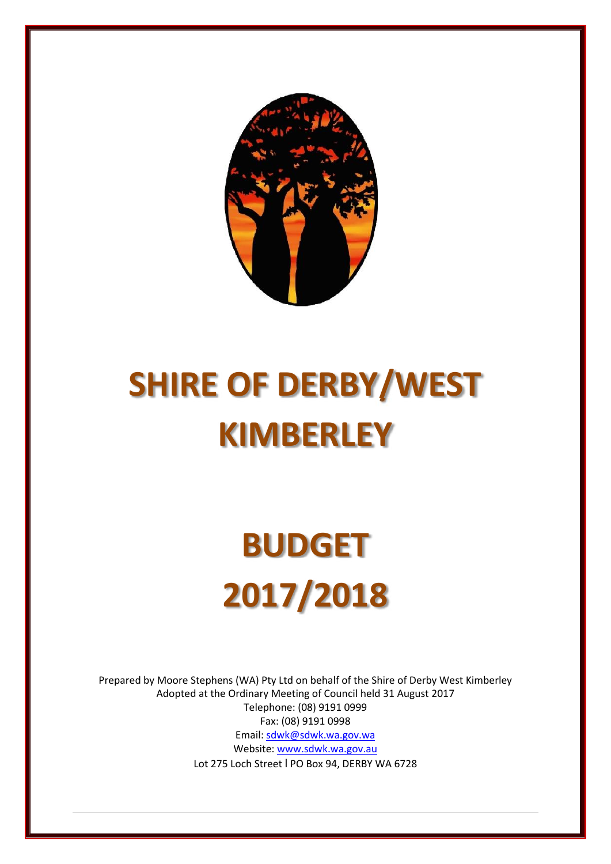

# **SHIRE OF DERBY/WEST KIMBERLEY**

# **BUDGET 2017/2018**

Prepared by Moore Stephens (WA) Pty Ltd on behalf of the Shire of Derby West Kimberley Adopted at the Ordinary Meeting of Council held 31 August 2017 Telephone: (08) 9191 0999 Fax: (08) 9191 0998 Email: sdwk@sdwk.wa.gov.wa Website: www.sdwk.wa.gov.au Lot 275 Loch Street l PO Box 94, DERBY WA 6728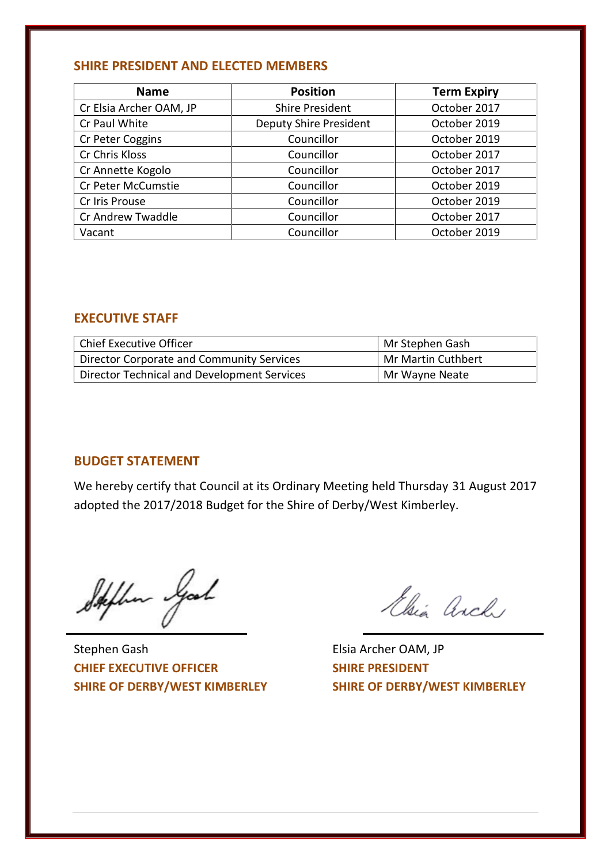# **SHIRE PRESIDENT AND ELECTED MEMBERS**

| <b>Name</b>             | <b>Position</b>               | <b>Term Expiry</b> |
|-------------------------|-------------------------------|--------------------|
| Cr Elsia Archer OAM, JP | <b>Shire President</b>        | October 2017       |
| Cr Paul White           | <b>Deputy Shire President</b> | October 2019       |
| Cr Peter Coggins        | Councillor                    | October 2019       |
| Cr Chris Kloss          | Councillor                    | October 2017       |
| Cr Annette Kogolo       | Councillor                    | October 2017       |
| Cr Peter McCumstie      | Councillor                    | October 2019       |
| Cr Iris Prouse          | Councillor                    | October 2019       |
| Cr Andrew Twaddle       | Councillor                    | October 2017       |
| Vacant                  | Councillor                    | October 2019       |

# **EXECUTIVE STAFF**

| <b>Chief Executive Officer</b>              | Mr Stephen Gash                 |
|---------------------------------------------|---------------------------------|
| Director Corporate and Community Services   | <sup>'</sup> Mr Martin Cuthbert |
| Director Technical and Development Services | Mr Wayne Neate                  |

# **BUDGET STATEMENT**

We hereby certify that Council at its Ordinary Meeting held Thursday 31 August 2017 adopted the 2017/2018 Budget for the Shire of Derby/West Kimberley.

Stephen Good

Stephen Gash Elsia Archer OAM, JP **CHIEF EXECUTIVE OFFICER SHIRE PRESIDENT**

Elsia Arch

**SHIRE OF DERBY/WEST KIMBERLEY SHIRE OF DERBY/WEST KIMBERLEY**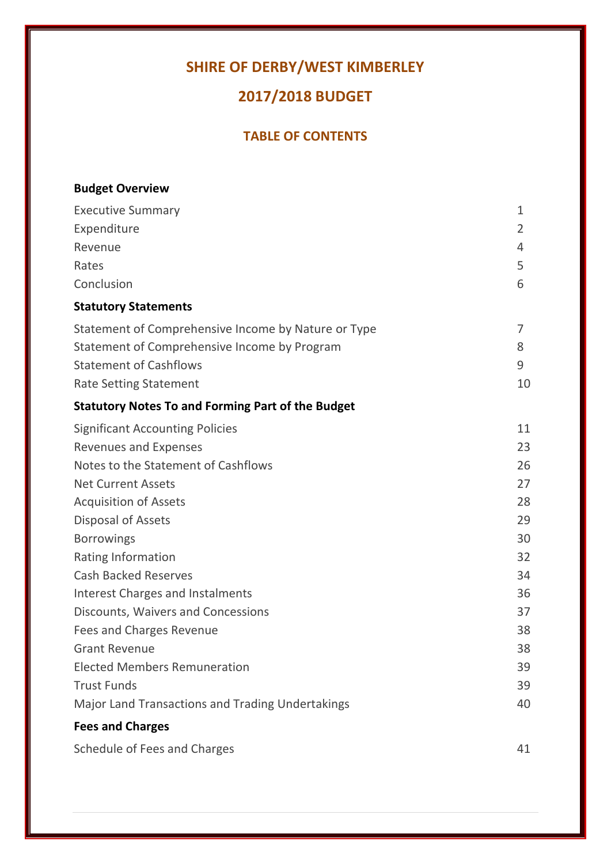# **SHIRE OF DERBY/WEST KIMBERLEY**

# **2017/2018 BUDGET**

# **TABLE OF CONTENTS**

| <b>Budget Overview</b>                                   |                |
|----------------------------------------------------------|----------------|
| <b>Executive Summary</b>                                 | $\mathbf{1}$   |
| Expenditure                                              | $\overline{2}$ |
| Revenue                                                  | 4              |
| Rates                                                    | 5              |
| Conclusion                                               | 6              |
| <b>Statutory Statements</b>                              |                |
| Statement of Comprehensive Income by Nature or Type      | 7              |
| Statement of Comprehensive Income by Program             | 8              |
| <b>Statement of Cashflows</b>                            | 9              |
| <b>Rate Setting Statement</b>                            | 10             |
| <b>Statutory Notes To and Forming Part of the Budget</b> |                |
| <b>Significant Accounting Policies</b>                   | 11             |
| <b>Revenues and Expenses</b>                             | 23             |
| Notes to the Statement of Cashflows                      | 26             |
| <b>Net Current Assets</b>                                | 27             |
| <b>Acquisition of Assets</b>                             | 28             |
| Disposal of Assets                                       | 29             |
| <b>Borrowings</b>                                        | 30             |
| Rating Information                                       | 32             |
| <b>Cash Backed Reserves</b>                              | 34             |
| <b>Interest Charges and Instalments</b>                  | 36             |
| Discounts, Waivers and Concessions                       | 37             |
| <b>Fees and Charges Revenue</b>                          | 38             |
| <b>Grant Revenue</b>                                     | 38             |
| <b>Elected Members Remuneration</b>                      | 39             |
| <b>Trust Funds</b>                                       | 39             |
| Major Land Transactions and Trading Undertakings         | 40             |
| <b>Fees and Charges</b>                                  |                |
| Schedule of Fees and Charges                             | 41             |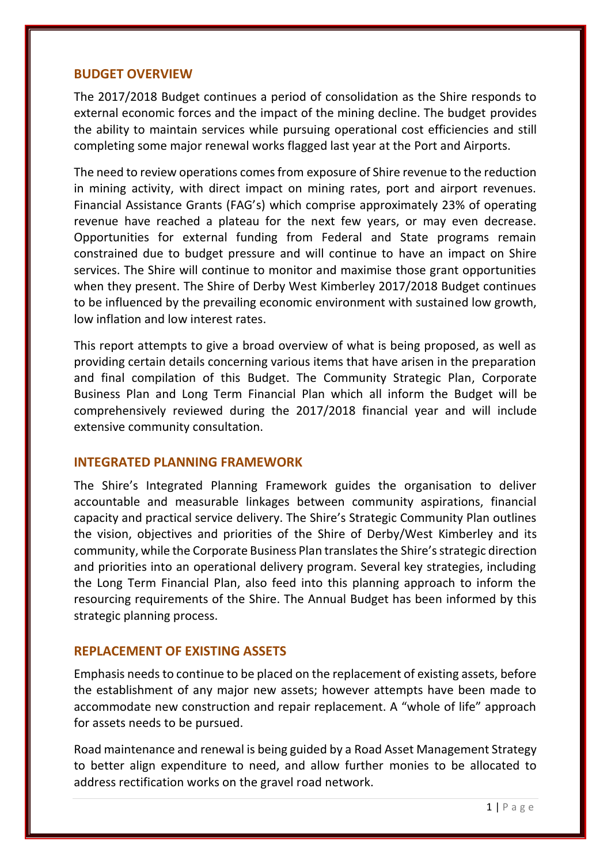# **BUDGET OVERVIEW**

The 2017/2018 Budget continues a period of consolidation as the Shire responds to external economic forces and the impact of the mining decline. The budget provides the ability to maintain services while pursuing operational cost efficiencies and still completing some major renewal works flagged last year at the Port and Airports.

The need to review operations comes from exposure of Shire revenue to the reduction in mining activity, with direct impact on mining rates, port and airport revenues. Financial Assistance Grants (FAG's) which comprise approximately 23% of operating revenue have reached a plateau for the next few years, or may even decrease. Opportunities for external funding from Federal and State programs remain constrained due to budget pressure and will continue to have an impact on Shire services. The Shire will continue to monitor and maximise those grant opportunities when they present. The Shire of Derby West Kimberley 2017/2018 Budget continues to be influenced by the prevailing economic environment with sustained low growth, low inflation and low interest rates.

This report attempts to give a broad overview of what is being proposed, as well as providing certain details concerning various items that have arisen in the preparation and final compilation of this Budget. The Community Strategic Plan, Corporate Business Plan and Long Term Financial Plan which all inform the Budget will be comprehensively reviewed during the 2017/2018 financial year and will include extensive community consultation.

# **INTEGRATED PLANNING FRAMEWORK**

The Shire's Integrated Planning Framework guides the organisation to deliver accountable and measurable linkages between community aspirations, financial capacity and practical service delivery. The Shire's Strategic Community Plan outlines the vision, objectives and priorities of the Shire of Derby/West Kimberley and its community, while the Corporate Business Plan translates the Shire's strategic direction and priorities into an operational delivery program. Several key strategies, including the Long Term Financial Plan, also feed into this planning approach to inform the resourcing requirements of the Shire. The Annual Budget has been informed by this strategic planning process.

# **REPLACEMENT OF EXISTING ASSETS**

Emphasis needs to continue to be placed on the replacement of existing assets, before the establishment of any major new assets; however attempts have been made to accommodate new construction and repair replacement. A "whole of life" approach for assets needs to be pursued.

t Strategy<br>bcated to<br>1 | P a g e Road maintenance and renewal is being guided by a Road Asset Management Strategy to better align expenditure to need, and allow further monies to be allocated to address rectification works on the gravel road network.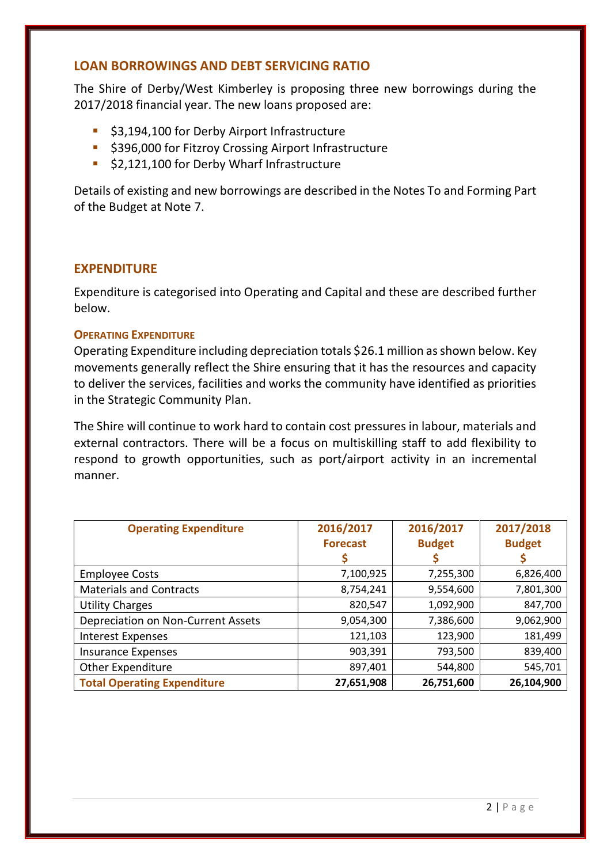# **LOAN BORROWINGS AND DEBT SERVICING RATIO**

The Shire of Derby/West Kimberley is proposing three new borrowings during the 2017/2018 financial year. The new loans proposed are:

- **53,194,100 for Derby Airport Infrastructure**
- **5396,000 for Fitzroy Crossing Airport Infrastructure**
- \$2,121,100 for Derby Wharf Infrastructure

Details of existing and new borrowings are described in the Notes To and Forming Part of the Budget at Note 7.

# **EXPENDITURE**

Expenditure is categorised into Operating and Capital and these are described further below.

# **OPERATING EXPENDITURE**

Operating Expenditure including depreciation totals \$26.1 million as shown below. Key movements generally reflect the Shire ensuring that it has the resources and capacity to deliver the services, facilities and works the community have identified as priorities in the Strategic Community Plan.

The Shire will continue to work hard to contain cost pressures in labour, materials and external contractors. There will be a focus on multiskilling staff to add flexibility to respond to growth opportunities, such as port/airport activity in an incremental manner.

| <b>Operating Expenditure</b>       | 2016/2017<br><b>Forecast</b> | 2016/2017<br><b>Budget</b> | 2017/2018<br><b>Budget</b> |
|------------------------------------|------------------------------|----------------------------|----------------------------|
| <b>Employee Costs</b>              | 7,100,925                    | 7,255,300                  | 6,826,400                  |
| <b>Materials and Contracts</b>     | 8,754,241                    | 9,554,600                  | 7,801,300                  |
| <b>Utility Charges</b>             | 820,547                      | 1,092,900                  | 847,700                    |
| Depreciation on Non-Current Assets | 9,054,300                    | 7,386,600                  | 9,062,900                  |
| <b>Interest Expenses</b>           | 121,103                      | 123,900                    | 181,499                    |
| <b>Insurance Expenses</b>          | 903,391                      | 793,500                    | 839,400                    |
| Other Expenditure                  | 897,401                      | 544,800                    | 545,701                    |
| <b>Total Operating Expenditure</b> | 27,651,908                   | 26,751,600                 | 26,104,900                 |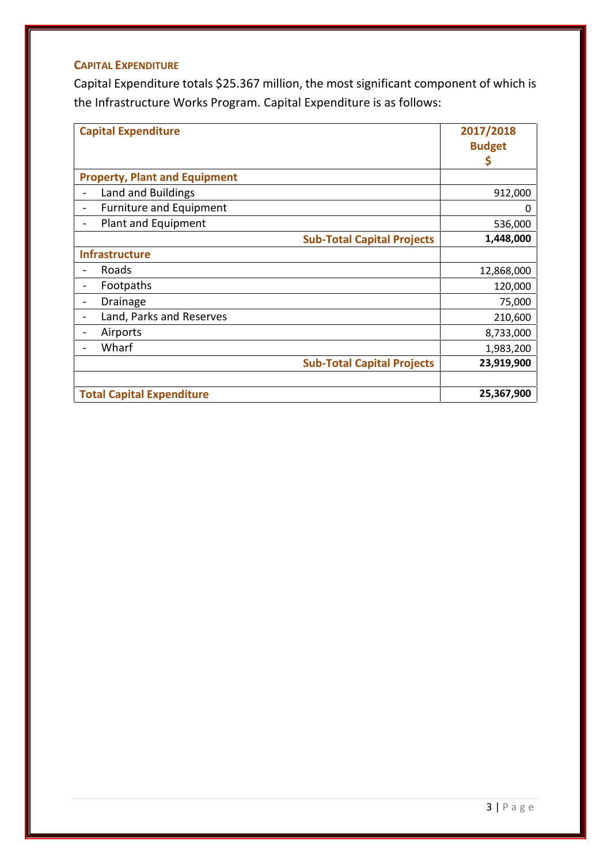# **CAPITAL EXPENDITURE**

Capital Expenditure totals \$25.367 million, the most significant component of which is the Infrastructure Works Program. Capital Expenditure is as follows:

| <b>Capital Expenditure</b>                           | 2017/2018<br><b>Budget</b><br>\$ |
|------------------------------------------------------|----------------------------------|
| <b>Property, Plant and Equipment</b>                 |                                  |
| Land and Buildings                                   | 912,000                          |
| Furniture and Equipment                              | 0                                |
| Plant and Equipment                                  | 536,000                          |
| <b>Sub-Total Capital Projects</b>                    | 1,448,000                        |
| <b>Infrastructure</b>                                |                                  |
| Roads                                                | 12,868,000                       |
| Footpaths<br>$\overline{\phantom{a}}$                | 120,000                          |
| Drainage<br>$\overline{\phantom{a}}$                 | 75,000                           |
| Land, Parks and Reserves<br>$\overline{\phantom{a}}$ | 210,600                          |
| Airports                                             | 8,733,000                        |
| Wharf                                                | 1,983,200                        |
| <b>Sub-Total Capital Projects</b>                    | 23,919,900                       |
| <b>Total Capital Expenditure</b>                     | 25,367,900                       |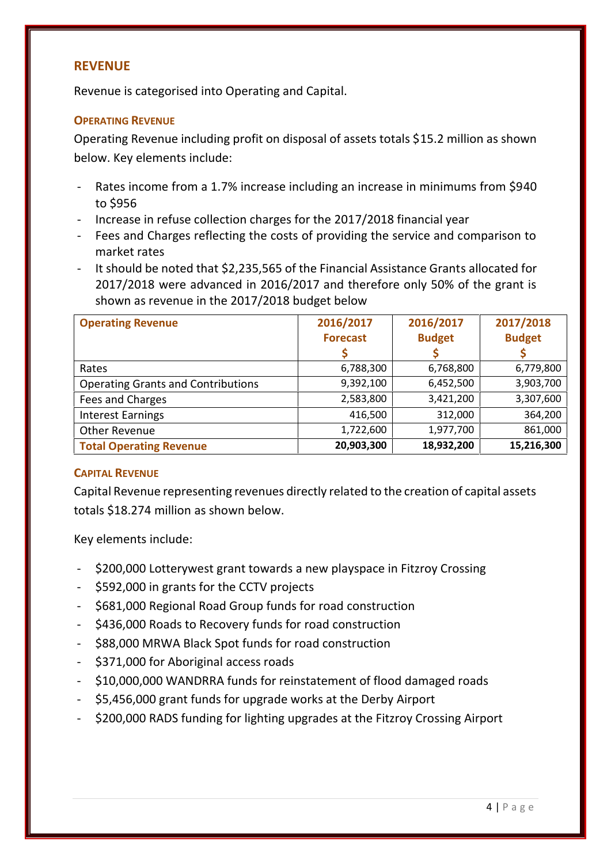# **REVENUE**

Revenue is categorised into Operating and Capital.

# **OPERATING REVENUE**

Operating Revenue including profit on disposal of assets totals \$15.2 million as shown below. Key elements include:

- Rates income from a 1.7% increase including an increase in minimums from \$940 to \$956
- Increase in refuse collection charges for the 2017/2018 financial year
- Fees and Charges reflecting the costs of providing the service and comparison to market rates
- It should be noted that \$2,235,565 of the Financial Assistance Grants allocated for 2017/2018 were advanced in 2016/2017 and therefore only 50% of the grant is shown as revenue in the 2017/2018 budget below

| <b>Operating Revenue</b>                  | 2016/2017<br><b>Forecast</b> | 2016/2017<br><b>Budget</b> | 2017/2018<br><b>Budget</b> |
|-------------------------------------------|------------------------------|----------------------------|----------------------------|
| Rates                                     | 6,788,300                    | 6,768,800                  | 6,779,800                  |
| <b>Operating Grants and Contributions</b> | 9,392,100                    | 6,452,500                  | 3,903,700                  |
| Fees and Charges                          | 2,583,800                    | 3,421,200                  | 3,307,600                  |
| <b>Interest Earnings</b>                  | 416,500                      | 312,000                    | 364,200                    |
| Other Revenue                             | 1,722,600                    | 1,977,700                  | 861,000                    |
| <b>Total Operating Revenue</b>            | 20,903,300                   | 18,932,200                 | 15,216,300                 |

# **CAPITAL REVENUE**

Capital Revenue representing revenues directly related to the creation of capital assets totals \$18.274 million as shown below.

Key elements include:

- \$200,000 Lotterywest grant towards a new playspace in Fitzroy Crossing
- \$592,000 in grants for the CCTV projects
- \$681,000 Regional Road Group funds for road construction
- \$436,000 Roads to Recovery funds for road construction
- \$88,000 MRWA Black Spot funds for road construction
- \$371,000 for Aboriginal access roads
- \$10,000,000 WANDRRA funds for reinstatement of flood damaged roads
- \$5,456,000 grant funds for upgrade works at the Derby Airport
- \$200,000 RADS funding for lighting upgrades at the Fitzroy Crossing Airport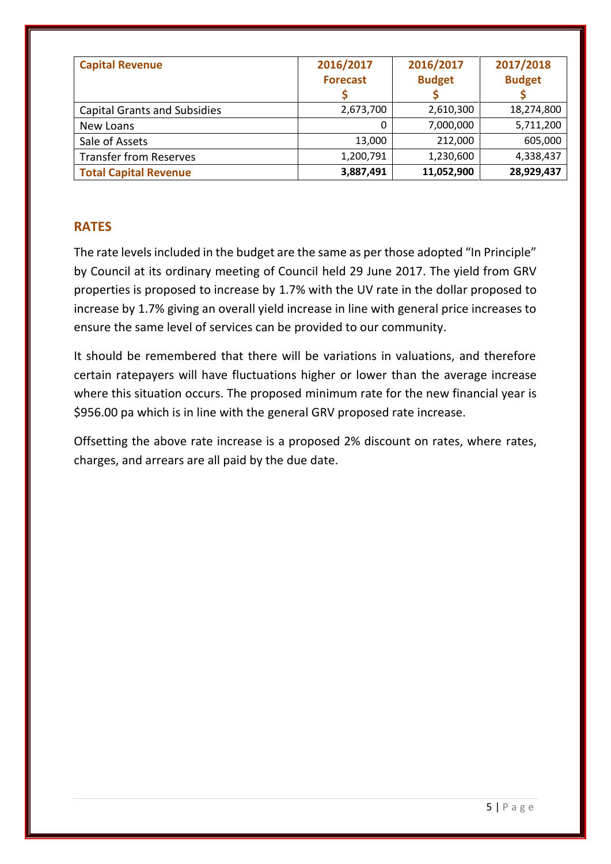| <b>Capital Revenue</b>              | 2016/2017<br><b>Forecast</b> | 2016/2017<br><b>Budget</b> | 2017/2018<br><b>Budget</b> |
|-------------------------------------|------------------------------|----------------------------|----------------------------|
| <b>Capital Grants and Subsidies</b> | 2,673,700                    | 2,610,300                  | 18,274,800                 |
| New Loans                           | 0                            | 7,000,000                  | 5,711,200                  |
| Sale of Assets                      | 13,000                       | 212,000                    | 605,000                    |
| <b>Transfer from Reserves</b>       | 1,200,791                    | 1,230,600                  | 4,338,437                  |
| <b>Total Capital Revenue</b>        | 3,887,491                    | 11,052,900                 | 28,929,437                 |

# **RATES**

The rate levels included in the budget are the same as per those adopted "In Principle" by Council at its ordinary meeting of Council held 29 June 2017. The yield from GRV properties is proposed to increase by 1.7% with the UV rate in the dollar proposed to increase by 1.7% giving an overall yield increase in line with general price increases to ensure the same level of services can be provided to our community.

It should be remembered that there will be variations in valuations, and therefore certain ratepayers will have fluctuations higher or lower than the average increase where this situation occurs. The proposed minimum rate for the new financial year is \$956.00 pa which is in line with the general GRV proposed rate increase.

Offsetting the above rate increase is a proposed 2% discount on rates, where rates, charges, and arrears are all paid by the due date.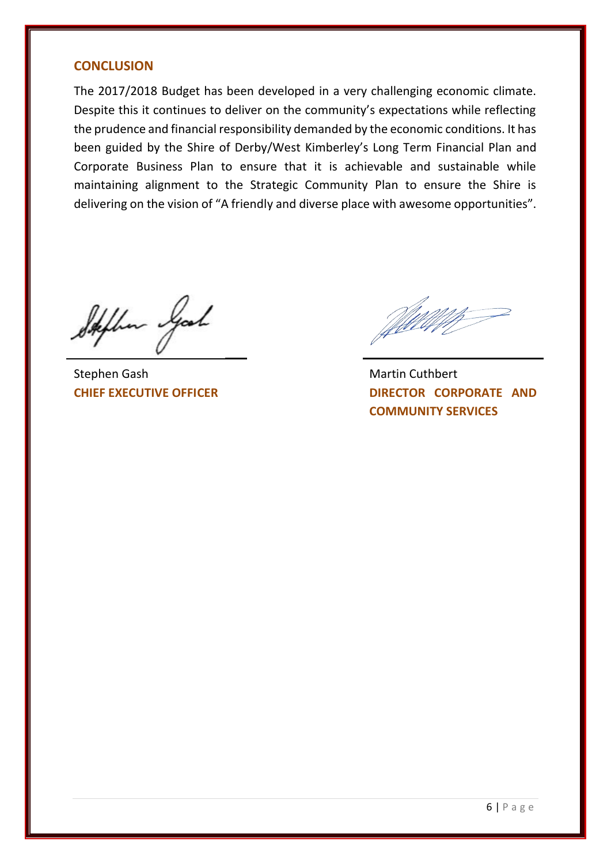# **CONCLUSION**

The 2017/2018 Budget has been developed in a very challenging economic climate. Despite this it continues to deliver on the community's expectations while reflecting the prudence and financial responsibility demanded by the economic conditions. It has been guided by the Shire of Derby/West Kimberley's Long Term Financial Plan and Corporate Business Plan to ensure that it is achievable and sustainable while maintaining alignment to the Strategic Community Plan to ensure the Shire is delivering on the vision of "A friendly and diverse place with awesome opportunities".

Stephen Good

Stephen Gash Martin Cuthbert

**CHIEF EXECUTIVE OFFICER DIRECTOR CORPORATE** AND **COMMUNITY SERVICES**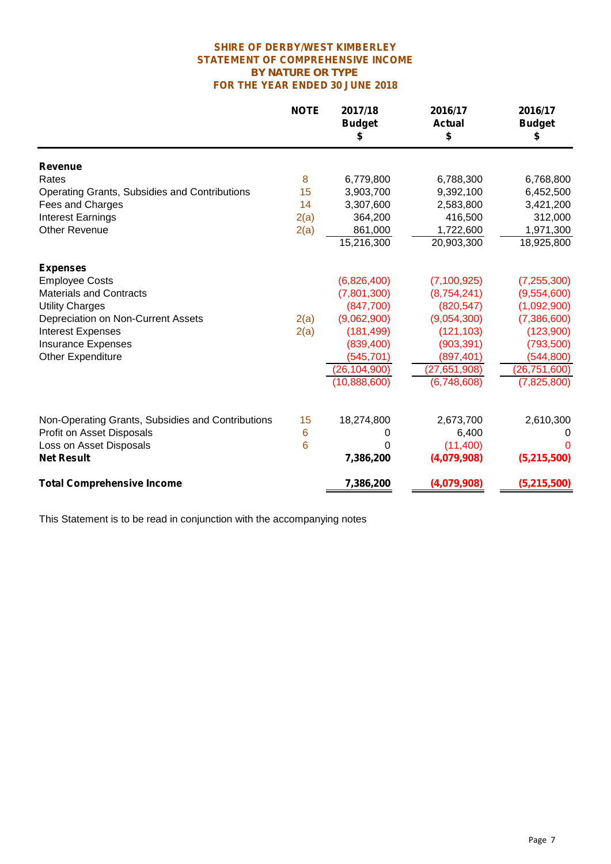#### **SHIRE OF DERBY/WEST KIMBERLEY STATEMENT OF COMPREHENSIVE INCOME** *BY NATURE OR TYPE* **FOR THE YEAR ENDED 30 JUNE 2018**

|                                                   | <b>NOTE</b> | 2017/18<br><b>Budget</b><br>\$ | 2016/17<br><b>Actual</b><br>\$ | 2016/17<br><b>Budget</b><br>\$ |
|---------------------------------------------------|-------------|--------------------------------|--------------------------------|--------------------------------|
| <b>Revenue</b>                                    |             |                                |                                |                                |
| Rates                                             | 8           | 6,779,800                      | 6,788,300                      | 6,768,800                      |
| Operating Grants, Subsidies and Contributions     | 15          | 3,903,700                      | 9,392,100                      | 6,452,500                      |
| Fees and Charges                                  | 14          | 3,307,600                      | 2,583,800                      | 3,421,200                      |
| <b>Interest Earnings</b>                          | 2(a)        | 364,200                        | 416,500                        | 312,000                        |
| <b>Other Revenue</b>                              | 2(a)        | 861,000                        | 1,722,600                      | 1,971,300                      |
|                                                   |             | 15,216,300                     | 20,903,300                     | 18,925,800                     |
| <b>Expenses</b>                                   |             |                                |                                |                                |
| <b>Employee Costs</b>                             |             | (6,826,400)                    | (7, 100, 925)                  | (7, 255, 300)                  |
| <b>Materials and Contracts</b>                    |             | (7,801,300)                    | (8,754,241)                    | (9,554,600)                    |
| <b>Utility Charges</b>                            |             | (847,700)                      | (820, 547)                     | (1,092,900)                    |
| Depreciation on Non-Current Assets                | 2(a)        | (9,062,900)                    | (9,054,300)                    | (7,386,600)                    |
| <b>Interest Expenses</b>                          | 2(a)        | (181, 499)                     | (121, 103)                     | (123,900)                      |
| <b>Insurance Expenses</b>                         |             | (839, 400)                     | (903, 391)                     | (793, 500)                     |
| <b>Other Expenditure</b>                          |             | (545, 701)                     | (897, 401)                     | (544, 800)                     |
|                                                   |             | (26, 104, 900)                 | (27, 651, 908)                 | (26, 751, 600)                 |
|                                                   |             | (10,888,600)                   | (6,748,608)                    | (7,825,800)                    |
| Non-Operating Grants, Subsidies and Contributions | 15          | 18,274,800                     | 2,673,700                      |                                |
|                                                   |             |                                |                                | 2,610,300                      |
| Profit on Asset Disposals                         | 6           | 0                              | 6,400<br>(11,400)              | 0<br>O                         |
| Loss on Asset Disposals                           | 6           | 0                              |                                |                                |
| <b>Net Result</b>                                 |             | 7,386,200                      | (4,079,908)                    | (5,215,500)                    |
| <b>Total Comprehensive Income</b>                 |             | 7,386,200                      | (4,079,908)                    | (5,215,500)                    |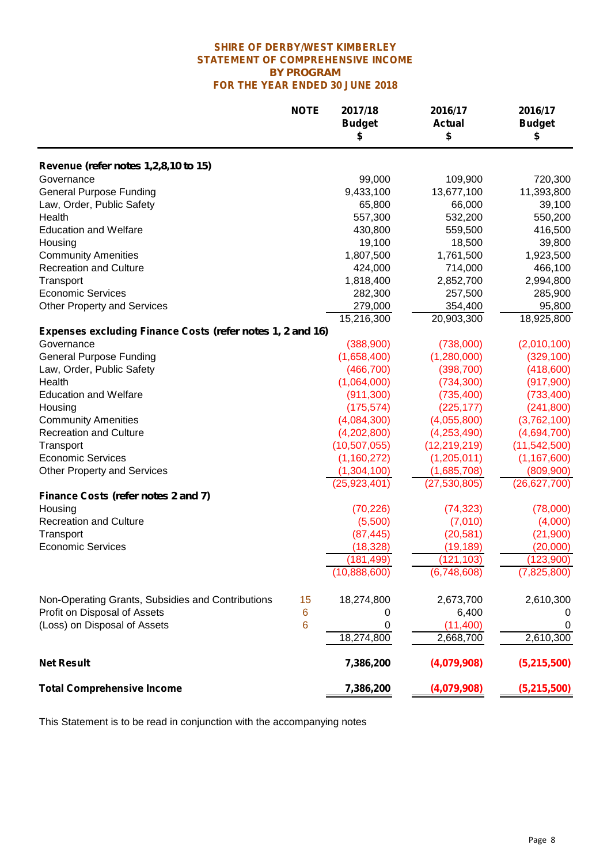#### *BY PROGRAM* **FOR THE YEAR ENDED 30 JUNE 2018 SHIRE OF DERBY/WEST KIMBERLEY STATEMENT OF COMPREHENSIVE INCOME**

|                                                            | <b>NOTE</b> | 2017/18<br><b>Budget</b><br>\$ | 2016/17<br><b>Actual</b><br>\$ | 2016/17<br><b>Budget</b><br>\$ |
|------------------------------------------------------------|-------------|--------------------------------|--------------------------------|--------------------------------|
| Revenue (refer notes 1,2,8,10 to 15)                       |             |                                |                                |                                |
| Governance                                                 |             | 99,000                         | 109,900                        | 720,300                        |
| <b>General Purpose Funding</b>                             |             | 9,433,100                      | 13,677,100                     | 11,393,800                     |
| Law, Order, Public Safety                                  |             | 65,800                         | 66,000                         | 39,100                         |
| Health                                                     |             | 557,300                        | 532,200                        | 550,200                        |
| <b>Education and Welfare</b>                               |             | 430,800                        | 559,500                        | 416,500                        |
| Housing                                                    |             | 19,100                         | 18,500                         | 39,800                         |
| <b>Community Amenities</b>                                 |             | 1,807,500                      | 1,761,500                      | 1,923,500                      |
| <b>Recreation and Culture</b>                              |             | 424,000                        | 714,000                        | 466,100                        |
| Transport                                                  |             | 1,818,400                      | 2,852,700                      | 2,994,800                      |
| <b>Economic Services</b>                                   |             | 282,300                        | 257,500                        | 285,900                        |
|                                                            |             |                                |                                | 95,800                         |
| <b>Other Property and Services</b>                         |             | 279,000<br>15,216,300          | 354,400                        | 18,925,800                     |
|                                                            |             |                                | 20,903,300                     |                                |
| Expenses excluding Finance Costs (refer notes 1, 2 and 16) |             |                                |                                |                                |
| Governance                                                 |             | (388,900)                      | (738,000)                      | (2,010,100)                    |
| <b>General Purpose Funding</b>                             |             | (1,658,400)                    | (1,280,000)                    | (329, 100)                     |
| Law, Order, Public Safety                                  |             | (466, 700)                     | (398, 700)                     | (418,600)                      |
| Health                                                     |             | (1,064,000)                    | (734, 300)                     | (917,900)                      |
| <b>Education and Welfare</b>                               |             | (911, 300)                     | (735, 400)                     | (733, 400)                     |
| Housing                                                    |             | (175, 574)                     | (225, 177)                     | (241, 800)                     |
| <b>Community Amenities</b>                                 |             | (4,084,300)                    | (4,055,800)                    | (3,762,100)                    |
| <b>Recreation and Culture</b>                              |             | (4,202,800)                    | (4,253,490)                    | (4,694,700)                    |
| Transport                                                  |             | (10, 507, 055)                 | (12, 219, 219)                 | (11, 542, 500)                 |
| <b>Economic Services</b>                                   |             | (1, 160, 272)                  | (1,205,011)                    | (1, 167, 600)                  |
| <b>Other Property and Services</b>                         |             | (1,304,100)                    | (1,685,708)                    | (809,900)                      |
|                                                            |             | (25, 923, 401)                 | (27, 530, 805)                 | (26, 627, 700)                 |
| Finance Costs (refer notes 2 and 7)                        |             |                                |                                |                                |
| Housing                                                    |             | (70, 226)                      | (74, 323)                      | (78,000)                       |
| <b>Recreation and Culture</b>                              |             | (5,500)                        | (7,010)                        | (4,000)                        |
| Transport                                                  |             | (87, 445)                      | (20, 581)                      | (21,900)                       |
| <b>Economic Services</b>                                   |             | (18, 328)                      | (19, 189)                      | (20,000)                       |
|                                                            |             | (181, 499)                     | (121, 103)                     | (123,900)                      |
|                                                            |             | (10,888,600)                   | (6,748,608)                    | (7,825,800)                    |
| Non-Operating Grants, Subsidies and Contributions          | 15          | 18,274,800                     | 2,673,700                      | 2,610,300                      |
| Profit on Disposal of Assets                               | 6           | 0                              | 6,400                          | 0                              |
| (Loss) on Disposal of Assets                               | 6           | 0                              | (11, 400)                      | 0                              |
|                                                            |             | 18,274,800                     | 2,668,700                      | 2,610,300                      |
| <b>Net Result</b>                                          |             | 7,386,200                      | (4,079,908)                    | (5,215,500)                    |
| <b>Total Comprehensive Income</b>                          |             | 7,386,200                      | (4,079,908)                    | (5,215,500)                    |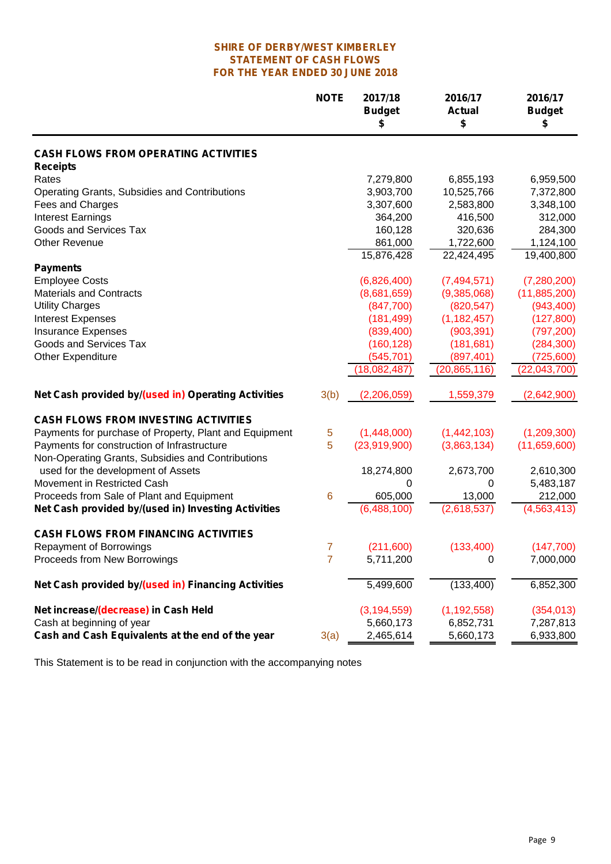#### **SHIRE OF DERBY/WEST KIMBERLEY STATEMENT OF CASH FLOWS FOR THE YEAR ENDED 30 JUNE 2018**

|                                                        | <b>NOTE</b> | 2017/18<br><b>Budget</b><br>\$ | 2016/17<br><b>Actual</b><br>\$ | 2016/17<br><b>Budget</b><br>\$ |
|--------------------------------------------------------|-------------|--------------------------------|--------------------------------|--------------------------------|
| <b>CASH FLOWS FROM OPERATING ACTIVITIES</b>            |             |                                |                                |                                |
| <b>Receipts</b>                                        |             |                                |                                |                                |
| Rates                                                  |             | 7,279,800                      | 6,855,193                      | 6,959,500                      |
| Operating Grants, Subsidies and Contributions          |             | 3,903,700                      | 10,525,766                     | 7,372,800                      |
| Fees and Charges                                       |             | 3,307,600                      | 2,583,800                      | 3,348,100                      |
| <b>Interest Earnings</b>                               |             | 364,200                        | 416,500                        | 312,000                        |
| Goods and Services Tax                                 |             | 160,128                        | 320,636                        | 284,300                        |
| <b>Other Revenue</b>                                   |             | 861,000                        | 1,722,600                      | 1,124,100                      |
|                                                        |             | 15,876,428                     | 22,424,495                     | 19,400,800                     |
| <b>Payments</b>                                        |             |                                |                                |                                |
| <b>Employee Costs</b>                                  |             | (6,826,400)                    | (7,494,571)                    | (7, 280, 200)                  |
| <b>Materials and Contracts</b>                         |             | (8,681,659)                    | (9,385,068)                    | (11,885,200)                   |
| <b>Utility Charges</b>                                 |             | (847,700)                      | (820, 547)                     | (943, 400)                     |
| <b>Interest Expenses</b>                               |             | (181, 499)                     | (1, 182, 457)                  | (127, 800)                     |
| <b>Insurance Expenses</b>                              |             | (839, 400)                     | (903, 391)                     | (797, 200)                     |
| Goods and Services Tax                                 |             | (160, 128)                     | (181, 681)                     | (284, 300)                     |
| Other Expenditure                                      |             | (545, 701)                     | (897, 401)                     | (725,600)                      |
|                                                        |             | (18,082,487)                   | (20,865,116)                   | (22,043,700)                   |
| Net Cash provided by/(used in) Operating Activities    | 3(b)        | (2,206,059)                    | 1,559,379                      | (2,642,900)                    |
| <b>CASH FLOWS FROM INVESTING ACTIVITIES</b>            |             |                                |                                |                                |
| Payments for purchase of Property, Plant and Equipment | 5           | (1,448,000)                    | (1,442,103)                    | (1,209,300)                    |
| Payments for construction of Infrastructure            | 5           | (23,919,900)                   | (3,863,134)                    | (11,659,600)                   |
| Non-Operating Grants, Subsidies and Contributions      |             |                                |                                |                                |
| used for the development of Assets                     |             | 18,274,800                     | 2,673,700                      | 2,610,300                      |
| Movement in Restricted Cash                            |             | 0                              | $\mathbf 0$                    | 5,483,187                      |
| Proceeds from Sale of Plant and Equipment              | 6           | 605,000                        | 13,000                         | 212,000                        |
| Net Cash provided by/(used in) Investing Activities    |             | (6,488,100)                    | (2,618,537)                    | (4, 563, 413)                  |
| <b>CASH FLOWS FROM FINANCING ACTIVITIES</b>            |             |                                |                                |                                |
|                                                        |             |                                |                                |                                |
| <b>Repayment of Borrowings</b>                         | 7           | (211,600)                      | (133, 400)                     | (147,700)                      |
| Proceeds from New Borrowings                           | 7           | 5,711,200                      | 0                              | 7,000,000                      |
| Net Cash provided by/(used in) Financing Activities    |             | 5,499,600                      | (133,400)                      | 6,852,300                      |
| Net increase/(decrease) in Cash Held                   |             | (3, 194, 559)                  | (1, 192, 558)                  | (354, 013)                     |
| Cash at beginning of year                              |             | 5,660,173                      | 6,852,731                      | 7,287,813                      |
| Cash and Cash Equivalents at the end of the year       | 3(a)        | 2,465,614                      | 5,660,173                      | 6,933,800                      |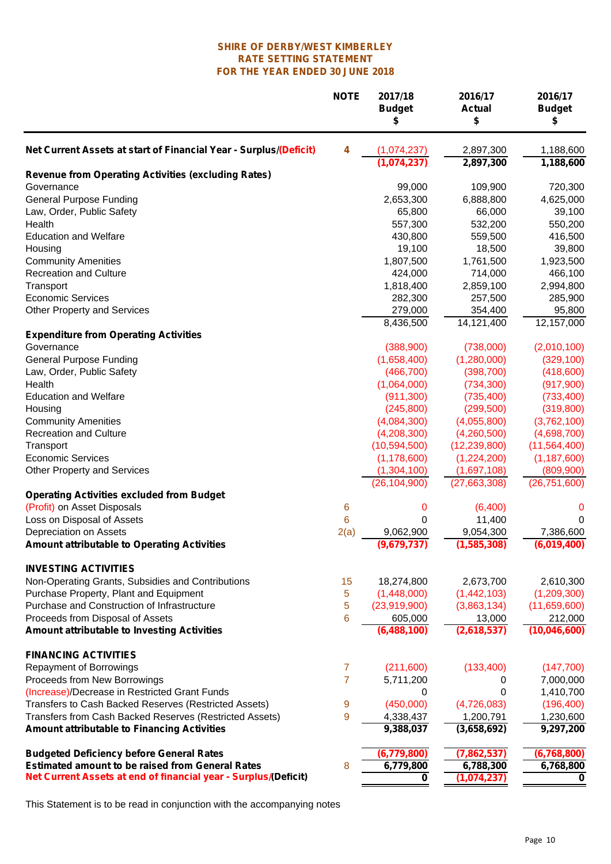#### **FOR THE YEAR ENDED 30 JUNE 2018 RATE SETTING STATEMENT SHIRE OF DERBY/WEST KIMBERLEY**

|                                                                          | <b>NOTE</b>    | 2017/18<br><b>Budget</b><br>\$ | 2016/17<br><b>Actual</b><br>\$ | 2016/17<br><b>Budget</b><br>\$ |
|--------------------------------------------------------------------------|----------------|--------------------------------|--------------------------------|--------------------------------|
| Net Current Assets at start of Financial Year - Surplus/(Deficit)        | 4              | (1,074,237)                    | 2,897,300                      | 1,188,600                      |
|                                                                          |                | (1,074,237)                    | 2,897,300                      | 1,188,600                      |
| <b>Revenue from Operating Activities (excluding Rates)</b><br>Governance |                | 99,000                         | 109,900                        | 720,300                        |
| <b>General Purpose Funding</b>                                           |                | 2,653,300                      | 6,888,800                      | 4,625,000                      |
| Law, Order, Public Safety                                                |                | 65,800                         | 66,000                         | 39,100                         |
| Health                                                                   |                | 557,300                        | 532,200                        | 550,200                        |
| <b>Education and Welfare</b>                                             |                | 430,800                        | 559,500                        | 416,500                        |
| Housing                                                                  |                | 19,100                         | 18,500                         | 39,800                         |
| <b>Community Amenities</b>                                               |                | 1,807,500                      | 1,761,500                      | 1,923,500                      |
| <b>Recreation and Culture</b>                                            |                | 424,000                        | 714,000                        | 466,100                        |
| Transport                                                                |                | 1,818,400                      | 2,859,100                      | 2,994,800                      |
| <b>Economic Services</b>                                                 |                | 282,300                        | 257,500                        | 285,900                        |
| <b>Other Property and Services</b>                                       |                | 279,000                        | 354,400                        | 95,800                         |
|                                                                          |                | 8,436,500                      | 14,121,400                     | 12,157,000                     |
| <b>Expenditure from Operating Activities</b>                             |                |                                |                                |                                |
| Governance                                                               |                | (388,900)                      | (738,000)                      | (2,010,100)                    |
| <b>General Purpose Funding</b>                                           |                | (1,658,400)                    | (1,280,000)                    | (329, 100)                     |
| Law, Order, Public Safety                                                |                | (466, 700)                     | (398, 700)                     | (418,600)                      |
| Health                                                                   |                | (1,064,000)                    | (734, 300)                     | (917,900)                      |
| <b>Education and Welfare</b>                                             |                | (911, 300)                     | (735, 400)                     | (733, 400)                     |
| Housing                                                                  |                | (245, 800)                     | (299, 500)                     | (319, 800)                     |
| <b>Community Amenities</b>                                               |                | (4,084,300)                    | (4,055,800)                    | (3,762,100)                    |
| <b>Recreation and Culture</b>                                            |                | (4,208,300)                    | (4,260,500)                    | (4,698,700)                    |
| Transport                                                                |                | (10, 594, 500)                 | (12, 239, 800)                 | (11,564,400)                   |
| <b>Economic Services</b>                                                 |                | (1, 178, 600)                  | (1,224,200)                    | (1, 187, 600)                  |
| <b>Other Property and Services</b>                                       |                | (1,304,100)                    | (1,697,108)                    | (809,900)                      |
|                                                                          |                | (26, 104, 900)                 | (27,663,308)                   | (26, 751, 600)                 |
| <b>Operating Activities excluded from Budget</b>                         |                |                                |                                |                                |
| (Profit) on Asset Disposals                                              | 6              | 0                              | (6,400)                        | 0                              |
| Loss on Disposal of Assets                                               | 6              | 0                              | 11,400                         | 0                              |
| Depreciation on Assets                                                   | 2(a)           | 9,062,900                      | 9,054,300                      | 7,386,600                      |
| <b>Amount attributable to Operating Activities</b>                       |                | (9,679,737)                    | (1,585,308)                    | (6,019,400)                    |
| <b>INVESTING ACTIVITIES</b>                                              |                |                                |                                |                                |
| Non-Operating Grants, Subsidies and Contributions                        | 15             | 18,274,800                     | 2,673,700                      | 2,610,300                      |
| Purchase Property, Plant and Equipment                                   | 5              | (1,448,000)                    | (1,442,103)                    | (1,209,300)                    |
| Purchase and Construction of Infrastructure                              | 5              | (23,919,900)                   | (3,863,134)                    | (11,659,600)                   |
| Proceeds from Disposal of Assets                                         | 6              | 605,000                        | 13,000                         | 212,000                        |
| Amount attributable to Investing Activities                              |                | (6,488,100)                    | (2,618,537)                    | (10,046,600)                   |
| <b>FINANCING ACTIVITIES</b>                                              |                |                                |                                |                                |
| <b>Repayment of Borrowings</b>                                           | $\overline{7}$ | (211,600)                      | (133, 400)                     | (147, 700)                     |
| Proceeds from New Borrowings                                             | $\overline{7}$ | 5,711,200                      | 0                              | 7,000,000                      |
| (Increase)/Decrease in Restricted Grant Funds                            |                | 0                              | 0                              | 1,410,700                      |
| Transfers to Cash Backed Reserves (Restricted Assets)                    | 9              | (450,000)                      | (4,726,083)                    | (196, 400)                     |
| Transfers from Cash Backed Reserves (Restricted Assets)                  | 9              | 4,338,437                      | 1,200,791                      | 1,230,600                      |
| <b>Amount attributable to Financing Activities</b>                       |                | 9,388,037                      | (3,658,692)                    | $\overline{9,}297,200$         |
| <b>Budgeted Deficiency before General Rates</b>                          |                | (6,779,800)                    | (7,862,537)                    | (6,768,800)                    |
| <b>Estimated amount to be raised from General Rates</b>                  | 8              | 6,779,800                      | 6,788,300                      | 6,768,800                      |
| Net Current Assets at end of financial year - Surplus/(Deficit)          |                | 0                              | (1,074,237)                    | 0                              |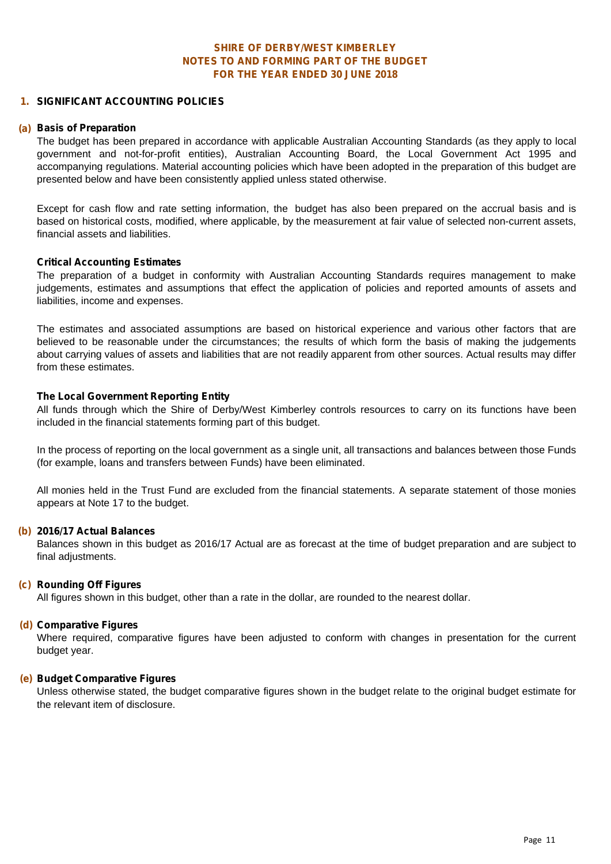#### **1. SIGNIFICANT ACCOUNTING POLICIES**

#### **(a) Basis of Preparation**

The budget has been prepared in accordance with applicable Australian Accounting Standards (as they apply to local government and not-for-profit entities), Australian Accounting Board, the Local Government Act 1995 and accompanying regulations. Material accounting policies which have been adopted in the preparation of this budget are presented below and have been consistently applied unless stated otherwise.

Except for cash flow and rate setting information, the budget has also been prepared on the accrual basis and is based on historical costs, modified, where applicable, by the measurement at fair value of selected non-current assets, financial assets and liabilities.

#### **Critical Accounting Estimates**

The preparation of a budget in conformity with Australian Accounting Standards requires management to make judgements, estimates and assumptions that effect the application of policies and reported amounts of assets and liabilities, income and expenses.

The estimates and associated assumptions are based on historical experience and various other factors that are believed to be reasonable under the circumstances; the results of which form the basis of making the judgements about carrying values of assets and liabilities that are not readily apparent from other sources. Actual results may differ from these estimates.

#### **The Local Government Reporting Entity**

All funds through which the Shire of Derby/West Kimberley controls resources to carry on its functions have been included in the financial statements forming part of this budget.

In the process of reporting on the local government as a single unit, all transactions and balances between those Funds (for example, loans and transfers between Funds) have been eliminated.

All monies held in the Trust Fund are excluded from the financial statements. A separate statement of those monies appears at Note 17 to the budget.

#### **(b) 2016/17 Actual Balances**

Balances shown in this budget as 2016/17 Actual are as forecast at the time of budget preparation and are subject to final adjustments.

#### **(c) Rounding Off Figures**

All figures shown in this budget, other than a rate in the dollar, are rounded to the nearest dollar.

#### **(d) Comparative Figures**

Where required, comparative figures have been adjusted to conform with changes in presentation for the current budget year.

#### **(e) Budget Comparative Figures**

Unless otherwise stated, the budget comparative figures shown in the budget relate to the original budget estimate for the relevant item of disclosure.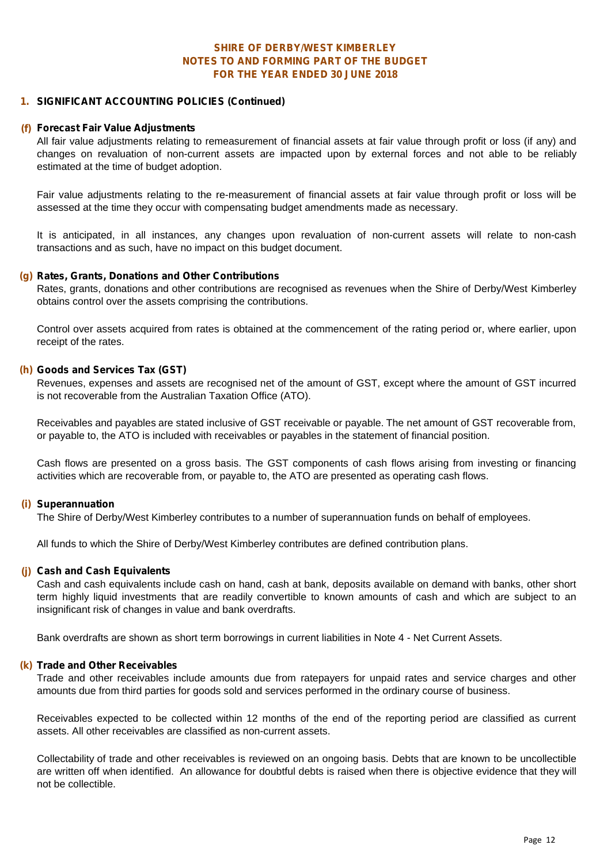#### **FOR THE YEAR ENDED 30 JUNE 2018 SHIRE OF DERBY/WEST KIMBERLEY NOTES TO AND FORMING PART OF THE BUDGET**

#### **1. SIGNIFICANT ACCOUNTING POLICIES (Continued)**

#### **(f) Forecast Fair Value Adjustments**

All fair value adjustments relating to remeasurement of financial assets at fair value through profit or loss (if any) and changes on revaluation of non-current assets are impacted upon by external forces and not able to be reliably estimated at the time of budget adoption.

Fair value adjustments relating to the re-measurement of financial assets at fair value through profit or loss will be assessed at the time they occur with compensating budget amendments made as necessary.

It is anticipated, in all instances, any changes upon revaluation of non-current assets will relate to non-cash transactions and as such, have no impact on this budget document.

#### **(g) Rates, Grants, Donations and Other Contributions**

Rates, grants, donations and other contributions are recognised as revenues when the Shire of Derby/West Kimberley obtains control over the assets comprising the contributions.

Control over assets acquired from rates is obtained at the commencement of the rating period or, where earlier, upon receipt of the rates.

#### **(h) Goods and Services Tax (GST)**

Revenues, expenses and assets are recognised net of the amount of GST, except where the amount of GST incurred is not recoverable from the Australian Taxation Office (ATO).

Receivables and payables are stated inclusive of GST receivable or payable. The net amount of GST recoverable from, or payable to, the ATO is included with receivables or payables in the statement of financial position.

Cash flows are presented on a gross basis. The GST components of cash flows arising from investing or financing activities which are recoverable from, or payable to, the ATO are presented as operating cash flows.

#### **(i) Superannuation**

The Shire of Derby/West Kimberley contributes to a number of superannuation funds on behalf of employees.

All funds to which the Shire of Derby/West Kimberley contributes are defined contribution plans.

#### **(j) Cash and Cash Equivalents**

Cash and cash equivalents include cash on hand, cash at bank, deposits available on demand with banks, other short term highly liquid investments that are readily convertible to known amounts of cash and which are subject to an insignificant risk of changes in value and bank overdrafts.

Bank overdrafts are shown as short term borrowings in current liabilities in Note 4 - Net Current Assets.

#### **(k) Trade and Other Receivables**

Trade and other receivables include amounts due from ratepayers for unpaid rates and service charges and other amounts due from third parties for goods sold and services performed in the ordinary course of business.

Receivables expected to be collected within 12 months of the end of the reporting period are classified as current assets. All other receivables are classified as non-current assets.

Collectability of trade and other receivables is reviewed on an ongoing basis. Debts that are known to be uncollectible are written off when identified. An allowance for doubtful debts is raised when there is objective evidence that they will not be collectible.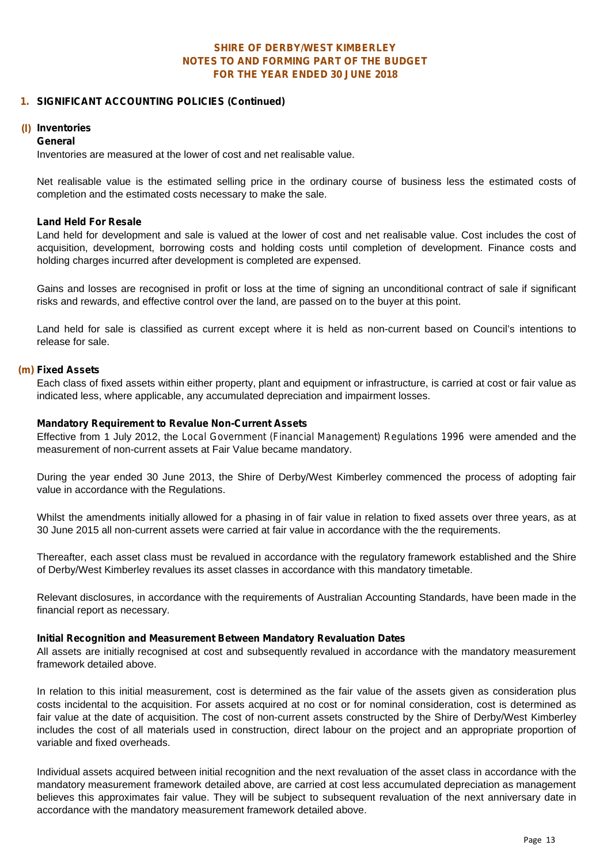#### **1. SIGNIFICANT ACCOUNTING POLICIES (Continued)**

#### **(l) Inventories**

#### *General*

Inventories are measured at the lower of cost and net realisable value.

Net realisable value is the estimated selling price in the ordinary course of business less the estimated costs of completion and the estimated costs necessary to make the sale.

#### *Land Held For Resale*

Land held for development and sale is valued at the lower of cost and net realisable value. Cost includes the cost of acquisition, development, borrowing costs and holding costs until completion of development. Finance costs and holding charges incurred after development is completed are expensed.

Gains and losses are recognised in profit or loss at the time of signing an unconditional contract of sale if significant risks and rewards, and effective control over the land, are passed on to the buyer at this point.

Land held for sale is classified as current except where it is held as non-current based on Council's intentions to release for sale.

#### **(m) Fixed Assets**

Each class of fixed assets within either property, plant and equipment or infrastructure, is carried at cost or fair value as indicated less, where applicable, any accumulated depreciation and impairment losses.

#### *Mandatory Requirement to Revalue Non-Current Assets*

Effective from 1 July 2012, the *Local Government (Financial Management) Regulations 1996* were amended and the measurement of non-current assets at Fair Value became mandatory.

During the year ended 30 June 2013, the Shire of Derby/West Kimberley commenced the process of adopting fair value in accordance with the Regulations.

Whilst the amendments initially allowed for a phasing in of fair value in relation to fixed assets over three years, as at 30 June 2015 all non-current assets were carried at fair value in accordance with the the requirements.

Thereafter, each asset class must be revalued in accordance with the regulatory framework established and the Shire of Derby/West Kimberley revalues its asset classes in accordance with this mandatory timetable.

Relevant disclosures, in accordance with the requirements of Australian Accounting Standards, have been made in the financial report as necessary.

#### *Initial Recognition and Measurement Between Mandatory Revaluation Dates*

All assets are initially recognised at cost and subsequently revalued in accordance with the mandatory measurement framework detailed above.

In relation to this initial measurement, cost is determined as the fair value of the assets given as consideration plus costs incidental to the acquisition. For assets acquired at no cost or for nominal consideration, cost is determined as fair value at the date of acquisition. The cost of non-current assets constructed by the Shire of Derby/West Kimberley includes the cost of all materials used in construction, direct labour on the project and an appropriate proportion of variable and fixed overheads.

Individual assets acquired between initial recognition and the next revaluation of the asset class in accordance with the mandatory measurement framework detailed above, are carried at cost less accumulated depreciation as management believes this approximates fair value. They will be subject to subsequent revaluation of the next anniversary date in accordance with the mandatory measurement framework detailed above.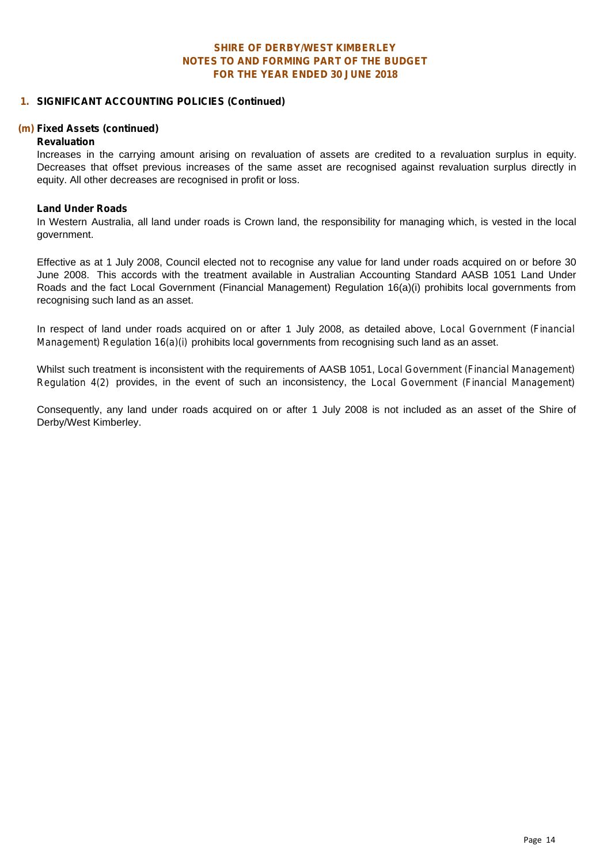#### **1. SIGNIFICANT ACCOUNTING POLICIES (Continued)**

#### **(m) Fixed Assets (continued)**

#### *Revaluation*

Increases in the carrying amount arising on revaluation of assets are credited to a revaluation surplus in equity. Decreases that offset previous increases of the same asset are recognised against revaluation surplus directly in equity. All other decreases are recognised in profit or loss.

#### *Land Under Roads*

In Western Australia, all land under roads is Crown land, the responsibility for managing which, is vested in the local government.

Effective as at 1 July 2008, Council elected not to recognise any value for land under roads acquired on or before 30 June 2008. This accords with the treatment available in Australian Accounting Standard AASB 1051 Land Under Roads and the fact Local Government (Financial Management) Regulation 16(a)(i) prohibits local governments from recognising such land as an asset.

In respect of land under roads acquired on or after 1 July 2008, as detailed above, *Local Government (Financial Management) Regulation 16(a)(i)* prohibits local governments from recognising such land as an asset.

Whilst such treatment is inconsistent with the requirements of AASB 1051,*Local Government (Financial Management) Regulation 4(2)* provides, in the event of such an inconsistency, the *Local Government (Financial Management)*

Consequently, any land under roads acquired on or after 1 July 2008 is not included as an asset of the Shire of Derby/West Kimberley.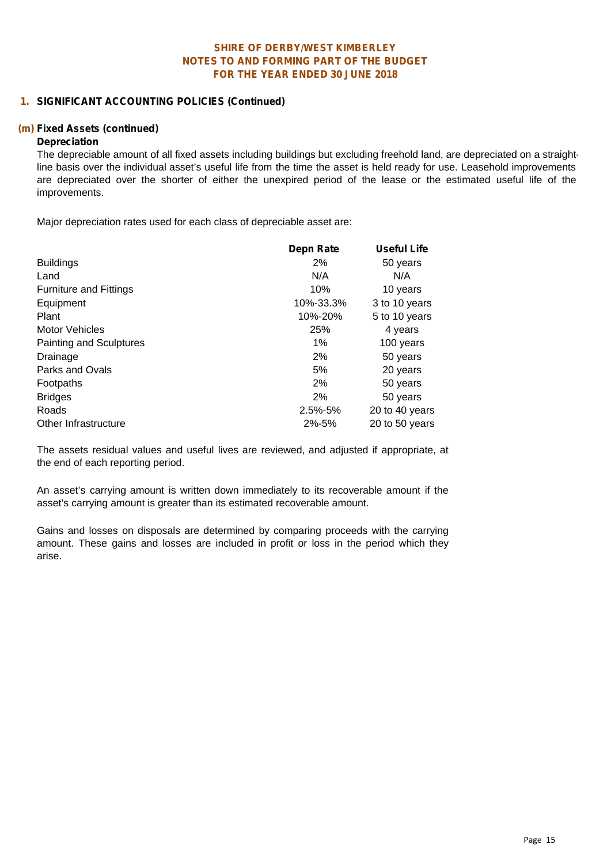#### **1. SIGNIFICANT ACCOUNTING POLICIES (Continued)**

#### **(m) Fixed Assets (continued)**

#### **Depreciation**

The depreciable amount of all fixed assets including buildings but excluding freehold land, are depreciated on a straightline basis over the individual asset's useful life from the time the asset is held ready for use. Leasehold improvements are depreciated over the shorter of either the unexpired period of the lease or the estimated useful life of the improvements.

Major depreciation rates used for each class of depreciable asset are:

|                               | <b>Depn Rate</b> | <b>Useful Life</b> |  |
|-------------------------------|------------------|--------------------|--|
| <b>Buildings</b>              | 2%               | 50 years           |  |
| Land                          | N/A              | N/A                |  |
| <b>Furniture and Fittings</b> | 10%              | 10 years           |  |
| Equipment                     | 10%-33.3%        | 3 to 10 years      |  |
| Plant                         | 10%-20%          | 5 to 10 years      |  |
| Motor Vehicles                | 25%              | 4 years            |  |
| Painting and Sculptures       | $1\%$            | 100 years          |  |
| Drainage                      | 2%               | 50 years           |  |
| <b>Parks and Ovals</b>        | 5%               | 20 years           |  |
| Footpaths                     | 2%               | 50 years           |  |
| <b>Bridges</b>                | 2%               | 50 years           |  |
| Roads                         | 2.5%-5%          | 20 to 40 years     |  |
| Other Infrastructure          | 2%-5%            | 20 to 50 years     |  |

The assets residual values and useful lives are reviewed, and adjusted if appropriate, at the end of each reporting period.

An asset's carrying amount is written down immediately to its recoverable amount if the asset's carrying amount is greater than its estimated recoverable amount.

Gains and losses on disposals are determined by comparing proceeds with the carrying amount. These gains and losses are included in profit or loss in the period which they arise.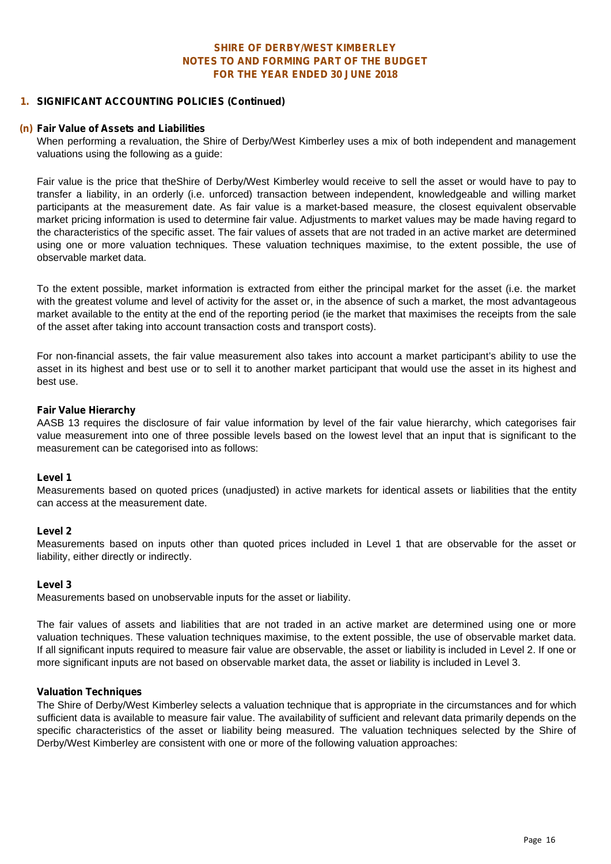#### **1. SIGNIFICANT ACCOUNTING POLICIES (Continued)**

#### **(n) Fair Value of Assets and Liabilities**

When performing a revaluation, the Shire of Derby/West Kimberley uses a mix of both independent and management valuations using the following as a guide:

Fair value is the price that theShire of Derby/West Kimberley would receive to sell the asset or would have to pay to transfer a liability, in an orderly (i.e. unforced) transaction between independent, knowledgeable and willing market participants at the measurement date. As fair value is a market-based measure, the closest equivalent observable market pricing information is used to determine fair value. Adjustments to market values may be made having regard to the characteristics of the specific asset. The fair values of assets that are not traded in an active market are determined using one or more valuation techniques. These valuation techniques maximise, to the extent possible, the use of observable market data.

To the extent possible, market information is extracted from either the principal market for the asset (i.e. the market with the greatest volume and level of activity for the asset or, in the absence of such a market, the most advantageous market available to the entity at the end of the reporting period (ie the market that maximises the receipts from the sale of the asset after taking into account transaction costs and transport costs).

For non-financial assets, the fair value measurement also takes into account a market participant's ability to use the asset in its highest and best use or to sell it to another market participant that would use the asset in its highest and best use.

#### *Fair Value Hierarchy*

AASB 13 requires the disclosure of fair value information by level of the fair value hierarchy, which categorises fair value measurement into one of three possible levels based on the lowest level that an input that is significant to the measurement can be categorised into as follows:

#### **Level 1**

Measurements based on quoted prices (unadjusted) in active markets for identical assets orliabilities that the entity can access at the measurement date.

#### **Level 2**

Measurements based on inputs other than quoted prices included in Level 1 that are observable for the asset or liability, either directly or indirectly.

#### **Level 3**

Measurements based on unobservable inputs for the asset or liability.

The fair values of assets and liabilities that are not traded in an active market are determined using one or more valuation techniques. These valuation techniques maximise, to the extent possible, the use of observable market data. If all significant inputs required to measure fair value are observable, the asset or liability is included in Level 2. If one or more significant inputs are not based on observable market data, the asset or liability is included in Level 3.

#### *Valuation Techniques*

The Shire of Derby/West Kimberley selects a valuation technique that is appropriate in the circumstances and for which sufficient data is available to measure fair value. The availability of sufficient and relevant data primarily depends on the specific characteristics of the asset or liability being measured. The valuation techniques selected by the Shire of Derby/West Kimberley are consistent with one or more of the following valuation approaches: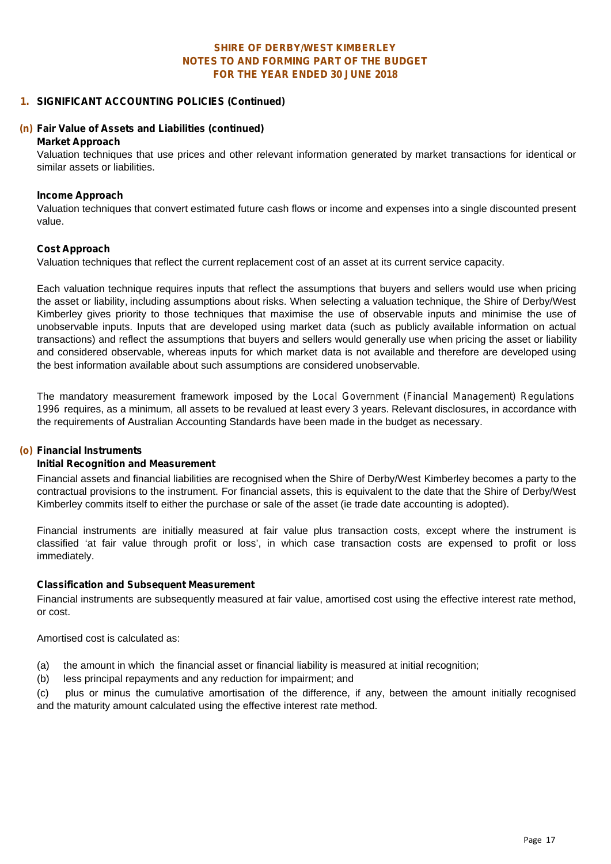#### **1. SIGNIFICANT ACCOUNTING POLICIES (Continued)**

#### **(n) Fair Value of Assets and Liabilities (continued)**

#### **Market Approach**

Valuation techniques that use prices and other relevant information generated by market transactions for identical or similar assets or liabilities.

#### **Income Approach**

Valuation techniques that convert estimated future cash flows or income and expenses into a single discounted present value.

#### **Cost Approach**

Valuation techniques that reflect the current replacement cost of an asset at its current service capacity.

Each valuation technique requires inputs that reflect the assumptions that buyers and sellers would use when pricing the asset or liability, including assumptions about risks. When selecting a valuation technique, the Shire of Derby/West Kimberley gives priority to those techniques that maximise the use of observable inputs and minimise the use of unobservable inputs. Inputs that are developed using market data (such as publicly available information on actual transactions) and reflect the assumptions that buyers and sellers would generally use when pricing the asset or liability and considered observable, whereas inputs for which market data is not available and therefore are developed using the best information available about such assumptions are considered unobservable.

The mandatory measurement framework imposed by the *Local Government (Financial Management) Regulations 1996* requires, as a minimum, all assets to be revalued at least every 3 years. Relevant disclosures, in accordance with the requirements of Australian Accounting Standards have been made in the budget as necessary.

#### **(o) Financial Instruments**

#### **Initial Recognition and Measurement**

Financial assets and financial liabilities are recognised when the Shire of Derby/West Kimberley becomes a party to the contractual provisions to the instrument. For financial assets, this is equivalent to the date that the Shire of Derby/West Kimberley commits itself to either the purchase or sale of the asset (ie trade date accounting is adopted).

Financial instruments are initially measured at fair value plus transaction costs, except where the instrument is classified 'at fair value through profit or loss', in which case transaction costs are expensed to profit or loss immediately.

#### **Classification and Subsequent Measurement**

Financial instruments are subsequently measured at fair value, amortised cost using the effective interest rate method, or cost.

Amortised cost is calculated as:

- (a) the amount in which the financial asset or financial liability is measured at initial recognition;
- (b) less principal repayments and any reduction for impairment; and

(c) plus or minus the cumulative amortisation of the difference, if any, between the amount initially recognised and the maturity amount calculated using the effective interest rate method.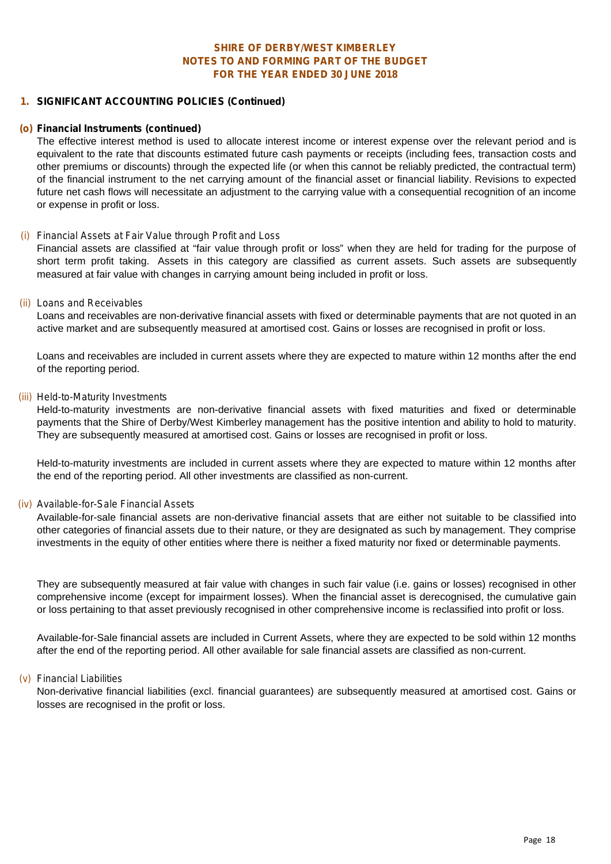#### **1. SIGNIFICANT ACCOUNTING POLICIES (Continued)**

#### **(o) Financial Instruments (continued)**

The effective interest method is used to allocate interest income or interest expense over the relevant period and is equivalent to the rate that discounts estimated future cash payments or receipts (including fees, transaction costs and other premiums ordiscounts) through the expected life (or when this cannot be reliably predicted, the contractual term) of the financial instrument to the net carrying amount of the financial asset or financial liability. Revisions to expected future net cash flows will necessitate an adjustment to the carrying value with a consequential recognition of an income or expense in profit or loss.

#### *(i) Financial Assets at Fair Value through Profit and Loss*

Financial assets are classified at "fair value through profit or loss" when they are held for trading for the purpose of short term profit taking. Assets in this category are classified as current assets. Such assets are subsequently measured at fair value with changes in carrying amount being included in profit or loss.

#### *(ii) Loans and Receivables*

Loans and receivables are non-derivative financial assets with fixed or determinable payments that are not quoted in an active market and are subsequently measured at amortised cost. Gains or losses are recognised in profit or loss.

Loans and receivables are included in current assets where they are expected to mature within 12 months after the end of the reporting period.

#### *(iii) Held-to-Maturity Investments*

Held-to-maturity investments are non-derivative financial assets with fixed maturities and fixed or determinable payments that the Shire of Derby/West Kimberley management has the positive intention and ability to hold to maturity. They are subsequently measured at amortised cost. Gains or losses are recognised in profit or loss.

Held-to-maturity investments are included in current assets where they are expected to mature within 12 months after the end of the reporting period. All other investments are classified as non-current.

#### *(iv) Available-for-Sale Financial Assets*

Available-for-sale financial assets are non-derivative financial assets that are either not suitable to be classified into other categories of financial assets due to their nature, or they are designated as such by management. They comprise investments in the equity of other entities where there is neither a fixed maturity nor fixed or determinable payments.

They are subsequently measured at fair value with changes in such fair value (i.e. gains orlosses) recognised in other comprehensive income (except for impairment losses). When the financial asset is derecognised, the cumulative gain or loss pertaining to that asset previously recognised in other comprehensive income is reclassified into profit or loss.

Available-for-Sale financial assets are included in Current Assets, where they are expected to be sold within 12 months after the end of the reporting period. All other available for sale financial assets are classified as non-current.

#### *(v) Financial Liabilities*

Non-derivative financial liabilities (excl. financial guarantees) are subsequently measured at amortised cost. Gains or losses are recognised in the profit or loss.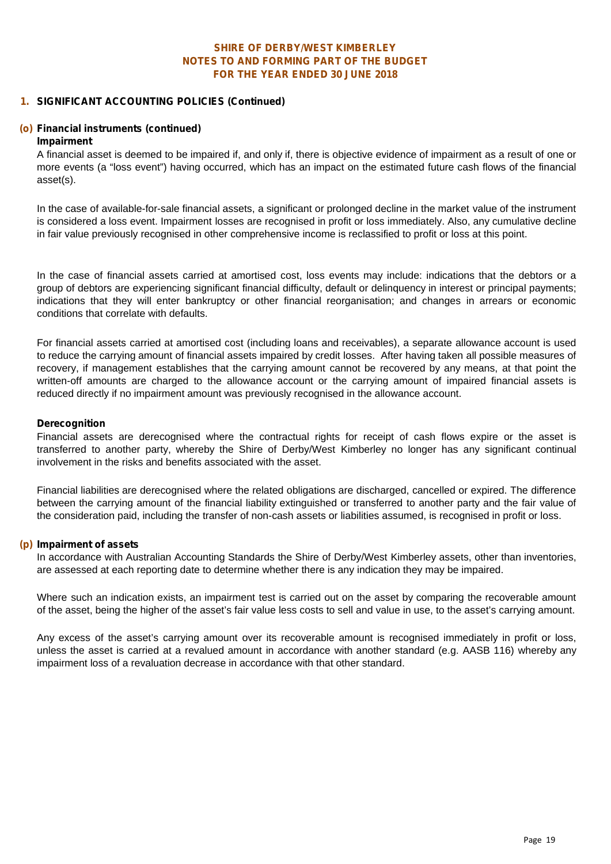#### **1. SIGNIFICANT ACCOUNTING POLICIES (Continued)**

#### **(o) Financial instruments (continued)**

#### *Impairment*

A financial asset is deemed to be impaired if, and only if, there is objective evidence of impairment as a result of one or more events (a "loss event") having occurred, which has an impact on the estimated future cash flows of the financial asset(s).

In the case of available-for-sale financial assets, a significant or prolonged decline in the market value of the instrument is considered a loss event. Impairment losses are recognised in profit or loss immediately. Also, any cumulative decline in fair value previously recognised in other comprehensive income is reclassified to profit or loss at this point.

In the case of financial assets carried at amortised cost, loss events may include: indications that the debtors or a group of debtors are experiencing significant financial difficulty, default or delinquency in interest or principal payments; indications that they will enter bankruptcy or other financial reorganisation; and changes in arrears or economic conditions that correlate with defaults.

For financial assets carried at amortised cost (including loans and receivables), a separate allowance account is used to reduce the carrying amount of financial assets impaired by credit losses. After having taken all possible measures of recovery, if management establishes that the carrying amount cannot be recovered by any means, at that point the written-off amounts are charged to the allowance account or the carrying amount of impaired financial assets is reduced directly if no impairment amount was previously recognised in the allowance account.

#### *Derecognition*

Financial assets are derecognised where the contractual rights for receipt of cash flows expire or the asset is transferred to another party, whereby the Shire of Derby/West Kimberley no longer has any significant continual involvement in the risks and benefits associated with the asset.

Financial liabilities are derecognised where the related obligations are discharged, cancelled or expired. The difference between the carrying amount of the financial liability extinguished or transferred to another party and the fair value of the consideration paid, including the transfer of non-cash assets or liabilities assumed, is recognised in profit or loss.

#### **(p) Impairment of assets**

In accordance with Australian Accounting Standards the Shire of Derby/West Kimberley assets, other than inventories, are assessed at each reporting date to determine whether there is any indication they may be impaired.

Where such an indication exists, an impairment test is carried out on the asset by comparing the recoverable amount of the asset, being the higher of the asset's fair value less costs to sell and value in use, to the asset's carrying amount.

Any excess of the asset's carrying amount over its recoverable amount is recognised immediately in profit or loss, unless the asset is carried at a revalued amount in accordance with another standard (e.g. AASB 116) whereby any impairment loss of a revaluation decrease in accordance with that other standard.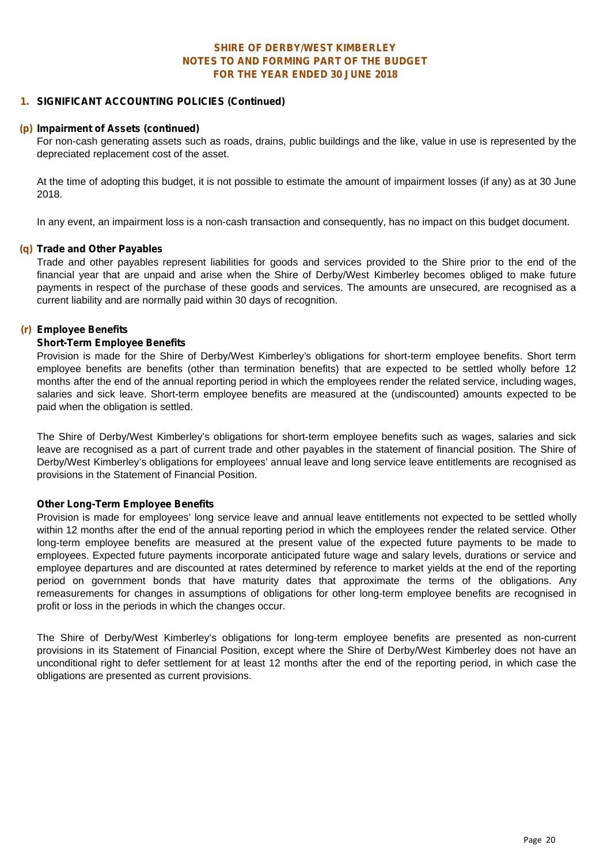#### **1. SIGNIFICANT ACCOUNTING POLICIES (Continued)**

#### **(p) Impairment of Assets (continued)**

For non-cash generating assets such as roads, drains, public buildings and the like,value in use is represented by the depreciated replacement cost of the asset.

At the time of adopting this budget, it is not possible to estimate the amount of impairment losses (if any) as at 30 June 2018.

In any event, an impairment loss is a non-cash transaction and consequently, has no impact on this budget document.

#### **(q) Trade and Other Payables**

Trade and other payables represent liabilities for goods and services provided to the Shire prior to the end of the financial year that are unpaid and arise when the Shire of Derby/West Kimberley becomes obliged to make future payments in respect of the purchase of these goods and services. The amounts are unsecured, are recognised as a current liability and are normally paid within 30 days of recognition.

#### **(r) Employee Benefits**

#### **Short-Term Employee Benefits**

Provision is made for the Shire of Derby/West Kimberley's obligations for short-term employee benefits. Short term employee benefits are benefits (other than termination benefits) that are expected to be settled wholly before 12 months after the end of the annual reporting period in which the employees render the related service, including wages, salaries and sick leave. Short-term employee benefits are measured at the (undiscounted) amounts expected to be paid when the obligation is settled.

The Shire of Derby/West Kimberley's obligations for short-term employee benefits such as wages, salaries and sick leave are recognised as a part of current trade and other payables in the statement of financial position. The Shire of Derby/West Kimberley's obligations for employees' annual leave and long service leave entitlements are recognised as provisions in the Statement of Financial Position.

#### **Other Long-Term Employee Benefits**

Provision is made for employees' long service leave and annual leave entitlements not expected to be settled wholly within 12 months after the end of the annual reporting period in which the employees render the related service. Other long-term employee benefits are measured at the present value of the expected future payments to be made to employees. Expected future payments incorporate anticipated future wage and salary levels, durations or service and employee departures and are discounted at rates determined by reference to market yields at the end of the reporting period on government bonds that have maturity dates that approximate the terms of the obligations. Any remeasurements for changes in assumptions of obligations for other long-term employee benefits are recognised in profit or loss in the periods in which the changes occur.

The Shire of Derby/West Kimberley's obligations for long-term employee benefits are presented as non-current provisions in its Statement of Financial Position, except where the Shire of Derby/West Kimberley does not have an unconditional right to defer settlement for at least 12 months after the end of the reporting period, in which case the obligations are presented as current provisions.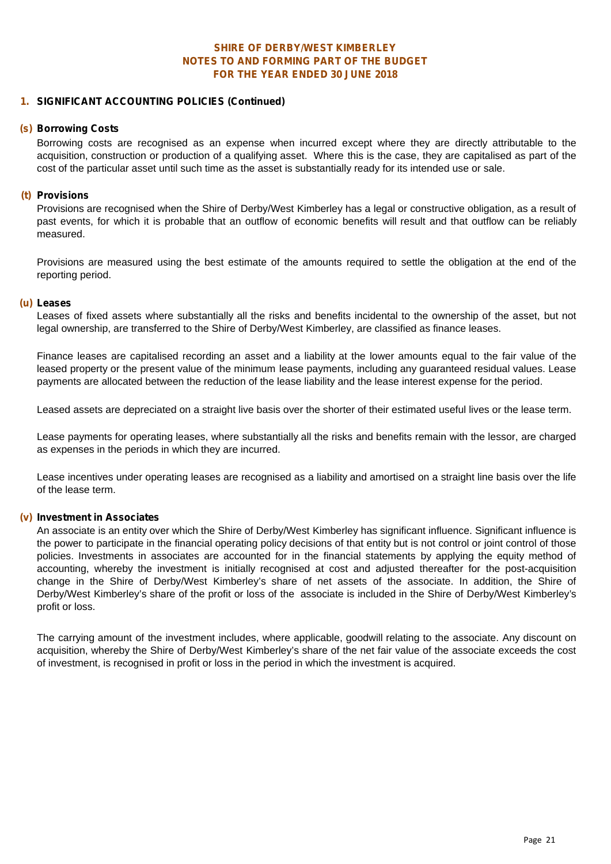#### **FOR THE YEAR ENDED 30 JUNE 2018 SHIRE OF DERBY/WEST KIMBERLEY NOTES TO AND FORMING PART OF THE BUDGET**

#### **1. SIGNIFICANT ACCOUNTING POLICIES (Continued)**

#### **(s) Borrowing Costs**

Borrowing costs are recognised as an expense when incurred except where they are directly attributable to the acquisition, construction or production of a qualifying asset. Where this is the case, they are capitalised as part of the cost of the particular asset until such time as the asset is substantially ready for its intended use or sale.

#### **(t) Provisions**

Provisions are recognised when the Shire of Derby/West Kimberley has a legal or constructive obligation, as a result of past events, for which it is probable that an outflow of economic benefits will result and that outflow can be reliably measured.

Provisions are measured using the best estimate of the amounts required to settle the obligation at the end of the reporting period.

#### **(u) Leases**

Leases of fixed assets where substantially all the risks and benefits incidental to the ownership of the asset, but not legal ownership, are transferred to the Shire of Derby/West Kimberley, are classified as finance leases.

Finance leases are capitalised recording an asset and a liability at the lower amounts equal to the fair value of the leased property or the present value of the minimum lease payments, including any quaranteed residual values. Lease payments are allocated between the reduction of the lease liability and the lease interest expense for the period.

Leased assets are depreciated on a straight live basis over the shorter of their estimated useful lives or the lease term.

Lease payments for operating leases, where substantially all the risks and benefits remain with the lessor, are charged as expenses in the periods in which they are incurred.

Lease incentives under operating leases are recognised as a liability and amortised on a straight line basis over the life of the lease term.

#### **(v) Investment in Associates**

An associate is an entity over which the Shire of Derby/West Kimberley has significant influence. Significant influence is the power to participate in the financial operating policy decisions of that entity but is not control or joint control of those policies. Investments in associates are accounted forin the financial statements by applying the equity method of accounting, whereby the investment is initially recognised at cost and adjusted thereafter for the post-acquisition change in the Shire of Derby/West Kimberley's share of net assets of the associate. In addition, the Shire of Derby/West Kimberley's share of the profit or loss of the associate is included in the Shire of Derby/West Kimberley's profit or loss.

The carrying amount of the investment includes, where applicable, goodwill relating to the associate. Any discount on acquisition, whereby the Shire of Derby/West Kimberley's share of the net fair value of the associate exceeds the cost of investment, is recognised in profit or loss in the period in which the investment is acquired.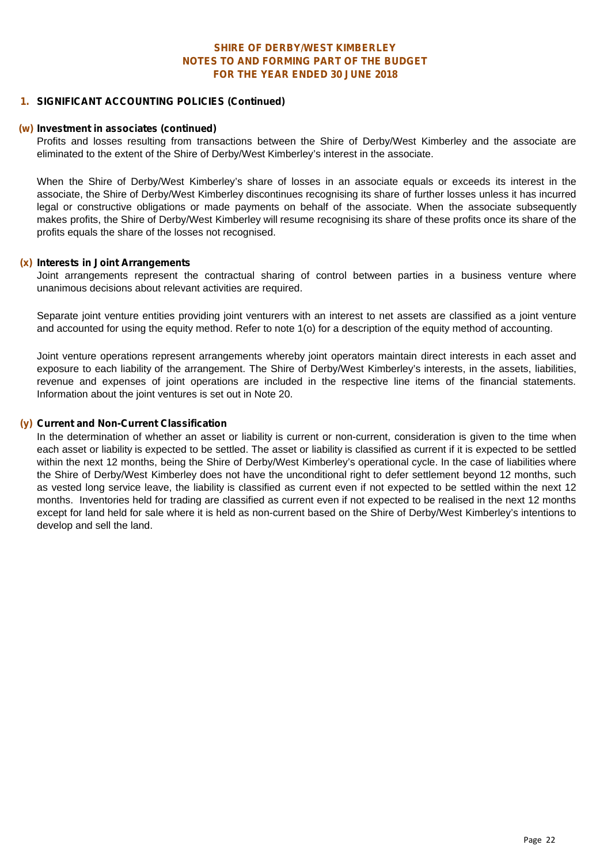#### **1. SIGNIFICANT ACCOUNTING POLICIES (Continued)**

#### **(w) Investment in associates (continued)**

Profits and losses resulting from transactions between the Shire of Derby/West Kimberley and the associate are eliminated to the extent of the Shire of Derby/West Kimberley's interest in the associate.

When the Shire of Derby/West Kimberley's share of losses in an associate equals or exceeds its interest in the associate, the Shire of Derby/West Kimberley discontinues recognising its share of further losses unless it has incurred legal or constructive obligations or made payments on behalf of the associate. When the associate subsequently makes profits, the Shire of Derby/West Kimberley will resume recognising its share of these profits once its share of the profits equals the share of the losses not recognised.

#### **(x) Interests in Joint Arrangements**

Joint arrangements represent the contractual sharing of control between parties in a business venture where unanimous decisions about relevant activities are required.

Separate joint venture entities providing joint venturers with an interest to net assets are classified as a joint venture and accounted for using the equity method. Refer to note 1(o) for a description of the equity method of accounting.

Joint venture operations represent arrangements whereby joint operators maintain direct interests in each asset and exposure to each liability of the arrangement. The Shire of Derby/West Kimberley's interests, in the assets, liabilities, revenue and expenses of joint operations are included in the respective line items of the financial statements. Information about the joint ventures is set out in Note 20.

#### **(y) Current and Non-Current Classification**

In the determination of whether an asset or liability is current or non-current, consideration is given to the time when each asset or liability is expected to be settled. The asset or liability is classified as current if it is expected to be settled within the next 12 months, being the Shire of Derby/West Kimberley's operational cycle. In the case of liabilities where the Shire of Derby/West Kimberley does not have the unconditional right to defer settlement beyond 12 months, such as vested long service leave, the liability is classified as current even if not expected to be settled within the next 12 months. Inventories held for trading are classified as current even if not expected to be realised in the next 12 months except for land held for sale where it is held as non-current based on the Shire of Derby/West Kimberley's intentions to develop and sell the land.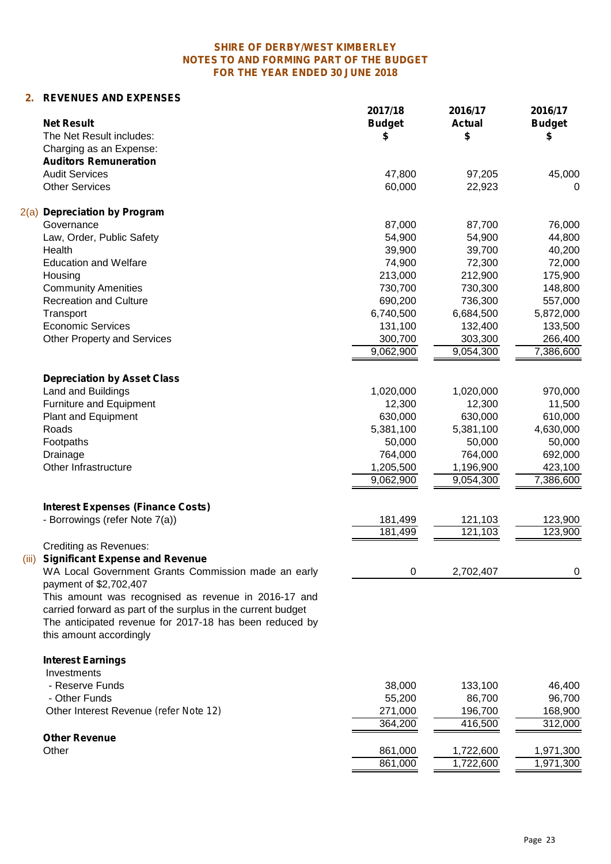# **2. REVENUES AND EXPENSES**

| <b>Net Result</b>                                                             | 2017/18<br><b>Budget</b> | 2016/17<br><b>Actual</b> | 2016/17<br><b>Budget</b> |
|-------------------------------------------------------------------------------|--------------------------|--------------------------|--------------------------|
| The Net Result includes:                                                      | \$                       | \$                       | S                        |
| Charging as an Expense:                                                       |                          |                          |                          |
| <b>Auditors Remuneration</b><br><b>Audit Services</b>                         |                          |                          |                          |
| <b>Other Services</b>                                                         | 47,800<br>60,000         | 97,205                   | 45,000                   |
|                                                                               |                          | 22,923                   | 0                        |
| 2(a)<br><b>Depreciation by Program</b>                                        |                          |                          |                          |
| Governance                                                                    | 87,000                   | 87,700                   | 76,000                   |
| Law, Order, Public Safety                                                     | 54,900                   | 54,900                   | 44,800                   |
| Health                                                                        | 39,900                   | 39,700                   | 40,200                   |
| <b>Education and Welfare</b>                                                  | 74,900                   | 72,300                   | 72,000                   |
| Housing                                                                       | 213,000                  | 212,900                  | 175,900                  |
| <b>Community Amenities</b>                                                    | 730,700                  | 730,300                  | 148,800                  |
| <b>Recreation and Culture</b>                                                 | 690,200                  | 736,300                  | 557,000                  |
| Transport                                                                     | 6,740,500                | 6,684,500                | 5,872,000                |
| <b>Economic Services</b>                                                      | 131,100                  | 132,400                  | 133,500                  |
| <b>Other Property and Services</b>                                            | 300,700                  | 303,300                  | 266,400                  |
|                                                                               | 9,062,900                | $\overline{9,054,300}$   | 7,386,600                |
| <b>Depreciation by Asset Class</b>                                            |                          |                          |                          |
| Land and Buildings                                                            | 1,020,000                | 1,020,000                | 970,000                  |
| Furniture and Equipment                                                       | 12,300                   | 12,300                   | 11,500                   |
| Plant and Equipment                                                           | 630,000                  | 630,000                  | 610,000                  |
| Roads                                                                         | 5,381,100                | 5,381,100                | 4,630,000                |
| Footpaths                                                                     | 50,000                   | 50,000                   | 50,000                   |
| Drainage                                                                      | 764,000                  | 764,000                  | 692,000                  |
| Other Infrastructure                                                          | 1,205,500                | 1,196,900                | 423,100                  |
|                                                                               | 9,062,900                | 9,054,300                | 7,386,600                |
| <b>Interest Expenses (Finance Costs)</b>                                      |                          |                          |                          |
| - Borrowings (refer Note 7(a))                                                | 181,499                  | 121,103                  | 123,900                  |
|                                                                               | 181,499                  | 121,103                  | 123,900                  |
| <b>Crediting as Revenues:</b>                                                 |                          |                          |                          |
| <b>Significant Expense and Revenue</b><br>(iii)                               |                          |                          |                          |
| WA Local Government Grants Commission made an early<br>payment of \$2,702,407 | 0                        | 2,702,407                | $\mathbf 0$              |
| This amount was recognised as revenue in 2016-17 and                          |                          |                          |                          |
| carried forward as part of the surplus in the current budget                  |                          |                          |                          |
| The anticipated revenue for 2017-18 has been reduced by                       |                          |                          |                          |
| this amount accordingly                                                       |                          |                          |                          |
|                                                                               |                          |                          |                          |
| <b>Interest Earnings</b><br>Investments                                       |                          |                          |                          |
| - Reserve Funds                                                               | 38,000                   | 133,100                  | 46,400                   |
| - Other Funds                                                                 | 55,200                   | 86,700                   | 96,700                   |
| Other Interest Revenue (refer Note 12)                                        | 271,000                  | 196,700                  | 168,900                  |
|                                                                               | 364,200                  | 416,500                  | 312,000                  |
|                                                                               |                          |                          |                          |
| <b>Other Revenue</b>                                                          |                          |                          |                          |
| Other                                                                         | 861,000                  | 1,722,600                | 1,971,300                |
|                                                                               | 861,000                  | 1,722,600                | 1,971,300                |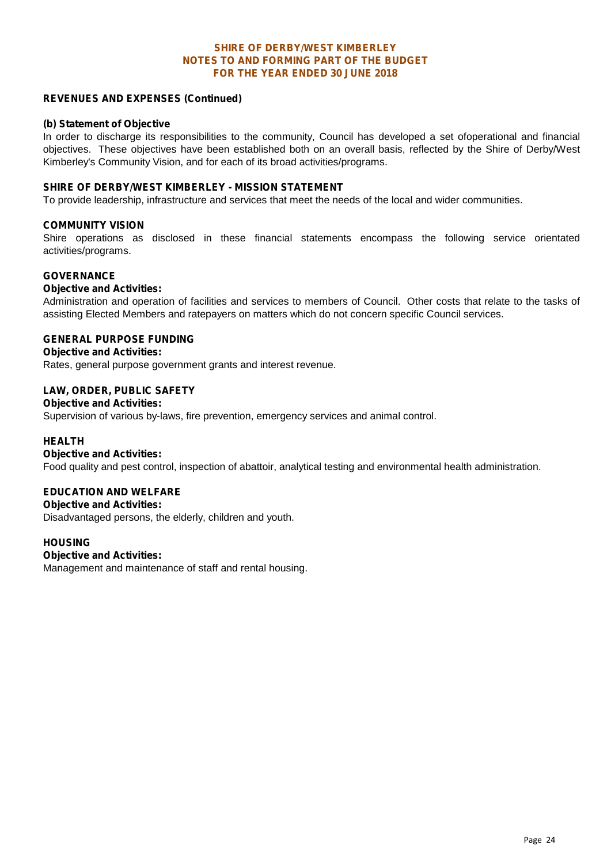#### **FOR THE YEAR ENDED 30 JUNE 2018 SHIRE OF DERBY/WEST KIMBERLEY NOTES TO AND FORMING PART OF THE BUDGET**

#### **REVENUES AND EXPENSES (Continued)**

#### **(b) Statement of Objective**

In order to discharge its responsibilities to the community, Council has developed a set ofoperational and financial objectives. These objectives have been established both on an overall basis, reflected by the Shire of Derby/West Kimberley's Community Vision, and for each of its broad activities/programs.

#### **SHIRE OF DERBY/WEST KIMBERLEY - MISSION STATEMENT**

To provide leadership, infrastructure and services that meet the needs of the local and wider communities.

#### **COMMUNITY VISION**

Shire operations as disclosed in these financial statements encompass the following service orientated activities/programs.

#### **GOVERNANCE**

#### **Objective and Activities:**

Administration and operation of facilities and services to members of Council. Other costs that relate to the tasks of assisting Elected Members and ratepayers on matters which do not concern specific Council services.

#### **GENERAL PURPOSE FUNDING**

**Objective and Activities:**

Rates, general purpose government grants and interest revenue.

#### **LAW, ORDER, PUBLIC SAFETY**

#### **Objective and Activities:**

Supervision of various by-laws, fire prevention, emergency services and animal control.

#### **HEALTH**

#### **Objective and Activities:**

Food quality and pest control, inspection of abattoir, analytical testing and environmental health administration.

#### **EDUCATION AND WELFARE**

#### **Objective and Activities:**

Disadvantaged persons, the elderly, children and youth.

#### **HOUSING**

#### **Objective and Activities:**

Management and maintenance of staff and rental housing.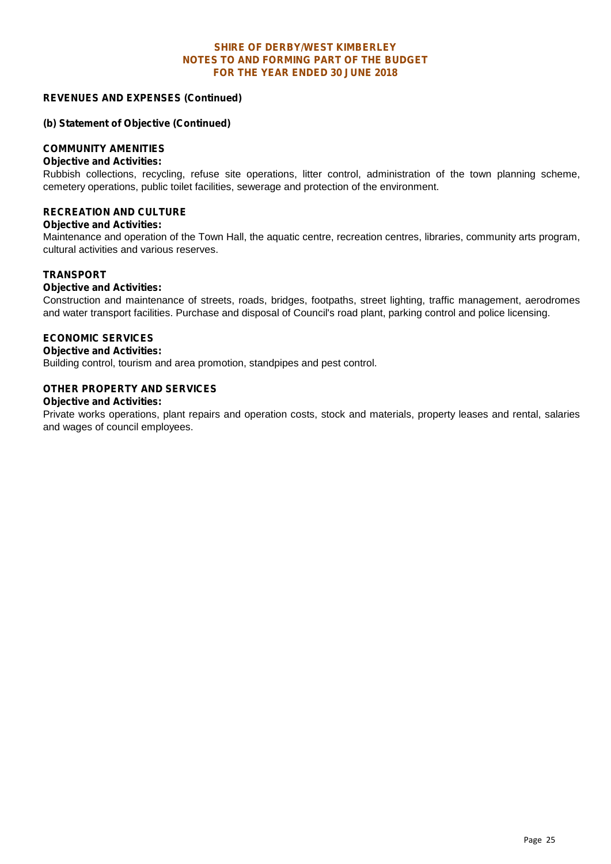#### **REVENUES AND EXPENSES (Continued)**

#### **(b) Statement of Objective (Continued)**

#### **COMMUNITY AMENITIES**

#### **Objective and Activities:**

Rubbish collections, recycling, refuse site operations, litter control, administration of the town planning scheme, cemetery operations, public toilet facilities, sewerage and protection of the environment.

#### **RECREATION AND CULTURE**

#### **Objective and Activities:**

Maintenance and operation of the Town Hall, the aquatic centre, recreation centres, libraries, community arts program, cultural activities and various reserves.

#### **TRANSPORT**

#### **Objective and Activities:**

Construction and maintenance of streets, roads, bridges, footpaths, street lighting, traffic management, aerodromes and water transport facilities. Purchase and disposal of Council's road plant, parking control and police licensing.

#### **ECONOMIC SERVICES**

#### **Objective and Activities:**

Building control, tourism and area promotion, standpipes and pest control.

#### **OTHER PROPERTY AND SERVICES**

#### **Objective and Activities:**

Private works operations, plant repairs and operation costs, stock and materials, property leases and rental, salaries and wages of council employees.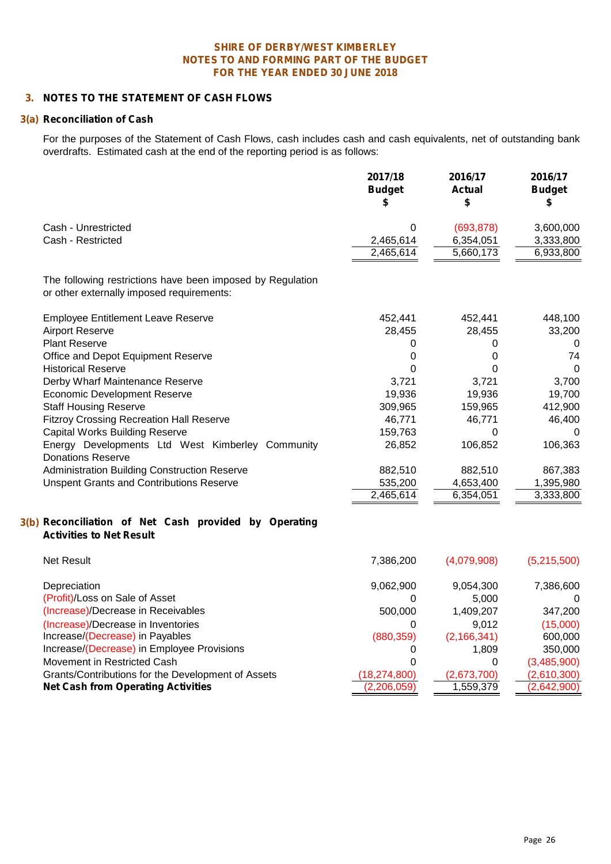#### **3. NOTES TO THE STATEMENT OF CASH FLOWS**

#### **3(a) Reconciliation of Cash**

For the purposes of the Statement of Cash Flows, cash includes cash and cash equivalents, net of outstanding bank overdrafts. Estimated cash at the end of the reporting period is as follows:

|                                                                                          | 2017/18<br><b>Budget</b><br>\$ | 2016/17<br><b>Actual</b><br>\$ | 2016/17<br><b>Budget</b><br>S |
|------------------------------------------------------------------------------------------|--------------------------------|--------------------------------|-------------------------------|
| Cash - Unrestricted                                                                      | 0                              | (693, 878)                     | 3,600,000                     |
| Cash - Restricted                                                                        | 2,465,614                      | 6,354,051                      | 3,333,800                     |
|                                                                                          | 2,465,614                      | 5,660,173                      | 6,933,800                     |
| The following restrictions have been imposed by Regulation                               |                                |                                |                               |
| or other externally imposed requirements:                                                |                                |                                |                               |
| <b>Employee Entitlement Leave Reserve</b>                                                | 452,441                        | 452,441                        | 448,100                       |
| <b>Airport Reserve</b>                                                                   | 28,455                         | 28,455                         | 33,200                        |
| <b>Plant Reserve</b>                                                                     | 0                              | 0                              | 0                             |
| Office and Depot Equipment Reserve                                                       | $\mathbf 0$                    | 0                              | 74                            |
| <b>Historical Reserve</b>                                                                | $\mathbf 0$                    | 0                              | $\mathbf 0$                   |
| Derby Wharf Maintenance Reserve                                                          | 3,721                          | 3,721                          | 3,700                         |
| <b>Economic Development Reserve</b>                                                      | 19,936                         | 19,936                         | 19,700                        |
| <b>Staff Housing Reserve</b>                                                             | 309,965                        | 159,965                        | 412,900                       |
| <b>Fitzroy Crossing Recreation Hall Reserve</b>                                          | 46,771                         | 46,771                         | 46,400                        |
| <b>Capital Works Building Reserve</b>                                                    | 159,763                        | $\Omega$                       | 0                             |
| Energy Developments Ltd West Kimberley Community<br><b>Donations Reserve</b>             | 26,852                         | 106,852                        | 106,363                       |
| Administration Building Construction Reserve                                             | 882,510                        | 882,510                        | 867,383                       |
| <b>Unspent Grants and Contributions Reserve</b>                                          | 535,200                        | 4,653,400                      | 1,395,980                     |
|                                                                                          | 2,465,614                      | 6,354,051                      | 3,333,800                     |
| 3(b) Reconciliation of Net Cash provided by Operating<br><b>Activities to Net Result</b> |                                |                                |                               |
| <b>Net Result</b>                                                                        | 7,386,200                      | (4,079,908)                    | (5,215,500)                   |
| Depreciation                                                                             | 9,062,900                      | 9,054,300                      | 7,386,600                     |
| (Profit)/Loss on Sale of Asset                                                           | 0                              | 5,000                          | 0                             |
| (Increase)/Decrease in Receivables                                                       | 500,000                        | 1,409,207                      | 347,200                       |
| (Increase)/Decrease in Inventories                                                       | 0                              | 9,012                          | (15,000)                      |
| Increase/(Decrease) in Payables                                                          | (880, 359)                     | (2, 166, 341)                  | 600,000                       |
| Increase/(Decrease) in Employee Provisions                                               | 0                              | 1,809                          | 350,000                       |
| Movement in Restricted Cash                                                              | $\mathbf 0$                    | 0                              | (3,485,900)                   |
| Grants/Contributions for the Development of Assets                                       | (18, 274, 800)                 | (2,673,700)                    | (2,610,300)                   |
| <b>Net Cash from Operating Activities</b>                                                | (2,206,059)                    | 1,559,379                      | (2,642,900)                   |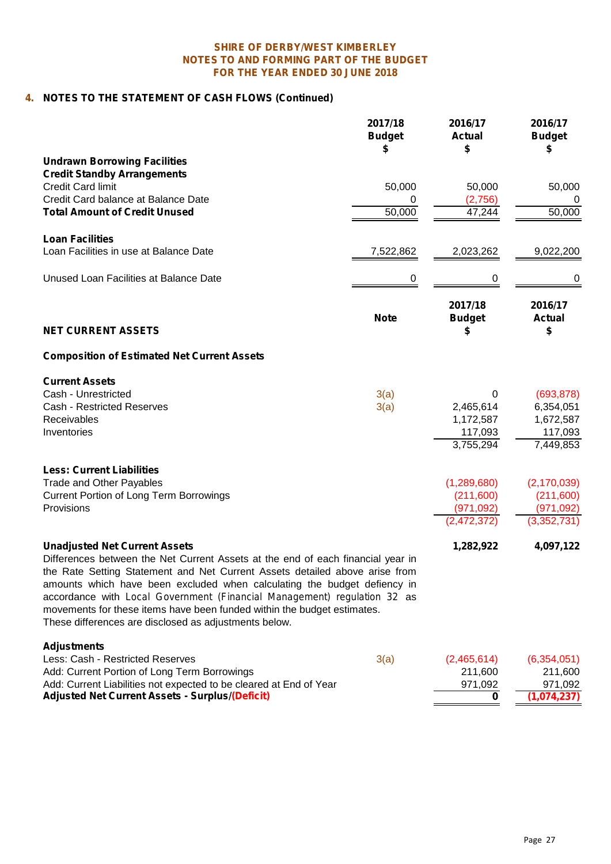# **4. NOTES TO THE STATEMENT OF CASH FLOWS (Continued)**

|                                                                                                                                                                                                                                                                                                                                                                                                                                                                                                    | 2017/18<br><b>Budget</b><br>S | 2016/17<br><b>Actual</b><br>\$ | 2016/17<br><b>Budget</b> |
|----------------------------------------------------------------------------------------------------------------------------------------------------------------------------------------------------------------------------------------------------------------------------------------------------------------------------------------------------------------------------------------------------------------------------------------------------------------------------------------------------|-------------------------------|--------------------------------|--------------------------|
| <b>Undrawn Borrowing Facilities</b>                                                                                                                                                                                                                                                                                                                                                                                                                                                                |                               |                                |                          |
| <b>Credit Standby Arrangements</b>                                                                                                                                                                                                                                                                                                                                                                                                                                                                 |                               |                                |                          |
| <b>Credit Card limit</b>                                                                                                                                                                                                                                                                                                                                                                                                                                                                           | 50,000                        | 50,000                         | 50,000                   |
| Credit Card balance at Balance Date                                                                                                                                                                                                                                                                                                                                                                                                                                                                | 0                             | (2,756)                        |                          |
| <b>Total Amount of Credit Unused</b>                                                                                                                                                                                                                                                                                                                                                                                                                                                               | 50,000                        | 47,244                         | 50,000                   |
| <b>Loan Facilities</b>                                                                                                                                                                                                                                                                                                                                                                                                                                                                             |                               |                                |                          |
| Loan Facilities in use at Balance Date                                                                                                                                                                                                                                                                                                                                                                                                                                                             | 7,522,862                     | 2,023,262                      | 9,022,200                |
| Unused Loan Facilities at Balance Date                                                                                                                                                                                                                                                                                                                                                                                                                                                             | 0                             | 0                              | 0                        |
|                                                                                                                                                                                                                                                                                                                                                                                                                                                                                                    |                               | 2017/18                        | 2016/17                  |
| <b>NET CURRENT ASSETS</b>                                                                                                                                                                                                                                                                                                                                                                                                                                                                          | <b>Note</b>                   | <b>Budget</b><br>S             | <b>Actual</b><br>\$      |
| <b>Composition of Estimated Net Current Assets</b>                                                                                                                                                                                                                                                                                                                                                                                                                                                 |                               |                                |                          |
| <b>Current Assets</b>                                                                                                                                                                                                                                                                                                                                                                                                                                                                              |                               |                                |                          |
| Cash - Unrestricted                                                                                                                                                                                                                                                                                                                                                                                                                                                                                | 3(a)                          | 0                              | (693, 878)               |
| Cash - Restricted Reserves                                                                                                                                                                                                                                                                                                                                                                                                                                                                         | 3(a)                          | 2,465,614                      | 6,354,051                |
| Receivables                                                                                                                                                                                                                                                                                                                                                                                                                                                                                        |                               | 1,172,587                      | 1,672,587                |
| Inventories                                                                                                                                                                                                                                                                                                                                                                                                                                                                                        |                               | 117,093                        | 117,093                  |
|                                                                                                                                                                                                                                                                                                                                                                                                                                                                                                    |                               | 3,755,294                      | 7,449,853                |
| <b>Less: Current Liabilities</b>                                                                                                                                                                                                                                                                                                                                                                                                                                                                   |                               |                                |                          |
| <b>Trade and Other Payables</b>                                                                                                                                                                                                                                                                                                                                                                                                                                                                    |                               | (1, 289, 680)                  | (2, 170, 039)            |
| <b>Current Portion of Long Term Borrowings</b>                                                                                                                                                                                                                                                                                                                                                                                                                                                     |                               | (211,600)                      | (211,600)                |
| Provisions                                                                                                                                                                                                                                                                                                                                                                                                                                                                                         |                               | (971, 092)                     | (971, 092)               |
|                                                                                                                                                                                                                                                                                                                                                                                                                                                                                                    |                               | (2, 472, 372)                  | (3,352,731)              |
| <b>Unadjusted Net Current Assets</b><br>Differences between the Net Current Assets at the end of each financial year in<br>the Rate Setting Statement and Net Current Assets detailed above arise from<br>amounts which have been excluded when calculating the budget defiency in<br>accordance with Local Government (Financial Management) regulation 32 as<br>movements for these items have been funded within the budget estimates.<br>These differences are disclosed as adjustments below. |                               | 1,282,922                      | 4,097,122                |
| <b>Adjustments</b>                                                                                                                                                                                                                                                                                                                                                                                                                                                                                 |                               |                                |                          |
| Less: Cash - Restricted Reserves                                                                                                                                                                                                                                                                                                                                                                                                                                                                   | 3(a)                          | (2,465,614)                    | (6,354,051)              |
| Add: Current Portion of Long Term Borrowings                                                                                                                                                                                                                                                                                                                                                                                                                                                       |                               | 211,600                        | 211,600                  |
| Add: Current Liabilities not expected to be cleared at End of Year                                                                                                                                                                                                                                                                                                                                                                                                                                 |                               | 971,092                        | 971,092                  |
| <b>Adjusted Net Current Assets - Surplus/(Deficit)</b>                                                                                                                                                                                                                                                                                                                                                                                                                                             |                               | 0                              | (1,074,237)              |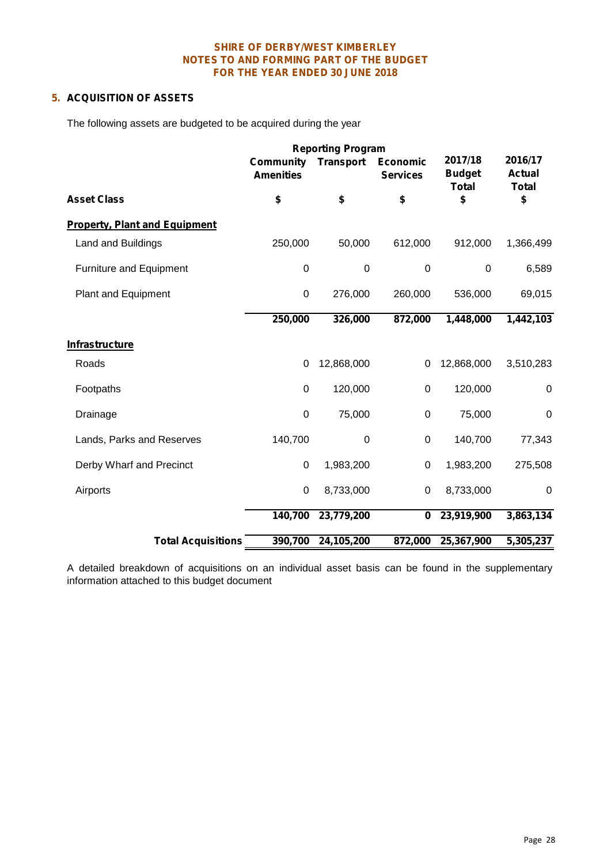# **5. ACQUISITION OF ASSETS**

The following assets are budgeted to be acquired during the year

|                                      | <b>Community</b><br><b>Amenities</b> | <b>Transport</b> | <b>Economic</b><br><b>Services</b> | 2017/18<br><b>Budget</b><br><b>Total</b> | 2016/17<br><b>Actual</b><br><b>Total</b> |  |
|--------------------------------------|--------------------------------------|------------------|------------------------------------|------------------------------------------|------------------------------------------|--|
| <b>Asset Class</b>                   | \$                                   | \$               | \$                                 | \$                                       | \$                                       |  |
| <b>Property, Plant and Equipment</b> |                                      |                  |                                    |                                          |                                          |  |
| Land and Buildings                   | 250,000                              | 50,000           | 612,000                            | 912,000                                  | 1,366,499                                |  |
| Furniture and Equipment              | $\mathbf 0$                          | $\boldsymbol{0}$ | $\mathbf 0$                        | 0                                        | 6,589                                    |  |
| <b>Plant and Equipment</b>           | $\mathsf 0$                          | 276,000          | 260,000                            | 536,000                                  | 69,015                                   |  |
|                                      | 250,000                              | 326,000          | 872,000                            | 1,448,000                                | 1,442,103                                |  |
| <b>Infrastructure</b>                |                                      |                  |                                    |                                          |                                          |  |
| Roads                                | 0                                    | 12,868,000       | 0                                  | 12,868,000                               | 3,510,283                                |  |
| Footpaths                            | 0                                    | 120,000          | 0                                  | 120,000                                  | 0                                        |  |
| Drainage                             | $\pmb{0}$                            | 75,000           | $\pmb{0}$                          | 75,000                                   | 0                                        |  |
| Lands, Parks and Reserves            | 140,700                              | $\boldsymbol{0}$ | $\pmb{0}$                          | 140,700                                  | 77,343                                   |  |
| Derby Wharf and Precinct             | 0                                    | 1,983,200        | 0                                  | 1,983,200                                | 275,508                                  |  |
| Airports                             | $\mathsf 0$                          | 8,733,000        | $\pmb{0}$                          | 8,733,000                                | $\pmb{0}$                                |  |
|                                      | 140,700                              | 23,779,200       | 0                                  | 23,919,900                               | 3,863,134                                |  |
| <b>Total Acquisitions</b>            | 390,700                              | 24,105,200       | 872,000                            | 25,367,900                               | 5,305,237                                |  |

A detailed breakdown of acquisitions on an individual asset basis can be found in the supplementary information attached to this budget document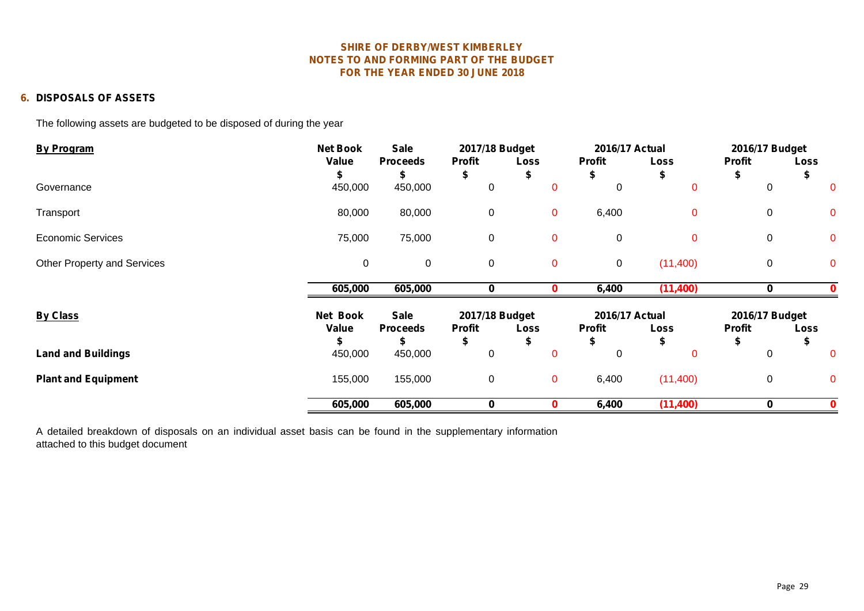#### **6. DISPOSALS OF ASSETS**

The following assets are budgeted to be disposed of during the year

| <b>By Program</b>           | <b>Net Book</b> | <b>Sale</b>     | 2017/18 Budget |             | 2016/17 Actual |             | 2016/17 Budget |              |
|-----------------------------|-----------------|-----------------|----------------|-------------|----------------|-------------|----------------|--------------|
|                             | Value           | <b>Proceeds</b> | <b>Profit</b>  | Loss        | <b>Profit</b>  | <b>Loss</b> | <b>Profit</b>  | <b>Loss</b>  |
|                             |                 |                 | Ъ              |             |                |             |                |              |
| Governance                  | 450,000         | 450,000         | 0              | $\mathbf 0$ | 0              | $\mathbf 0$ | 0              |              |
| Transport                   | 80,000          | 80,000          | $\mathbf 0$    | $\mathbf 0$ | 6,400          | $\mathbf 0$ | $\mathbf 0$    | $\mathbf 0$  |
| <b>Economic Services</b>    | 75,000          | 75,000          | 0              | $\mathbf 0$ | $\mathbf 0$    | $\mathbf 0$ | $\mathbf 0$    | $\mathbf{0}$ |
| Other Property and Services | $\pmb{0}$       | $\mathbf 0$     | $\mathbf 0$    | $\mathbf 0$ | $\mathbf 0$    | (11,400)    | $\mathbf 0$    | $\mathbf 0$  |
|                             | 605,000         | 605,000         | 0              |             | 6,400          | (11, 400)   | 0              |              |
| <b>By Class</b>             | Net Book        | <b>Sale</b>     | 2017/18 Budget |             | 2016/17 Actual |             | 2016/17 Budget |              |
|                             | Value           | <b>Proceeds</b> | <b>Profit</b>  | Loss        | <b>Profit</b>  | <b>Loss</b> | <b>Profit</b>  | <b>Loss</b>  |
|                             |                 |                 | \$             |             | S              |             |                | ъ            |
| <b>Land and Buildings</b>   | 450,000         | 450,000         | 0              | 0           | 0              | $\Omega$    | 0              | $\Omega$     |
| <b>Plant and Equipment</b>  | 155,000         | 155,000         | 0              | $\mathbf 0$ | 6,400          | (11,400)    | $\mathbf 0$    | $\Omega$     |
|                             | 605,000         | 605,000         | 0              | 0           | 6,400          | (11, 400)   | 0              |              |

A detailed breakdown of disposals on an individual asset basis can be found in the supplementary information attached to this budget document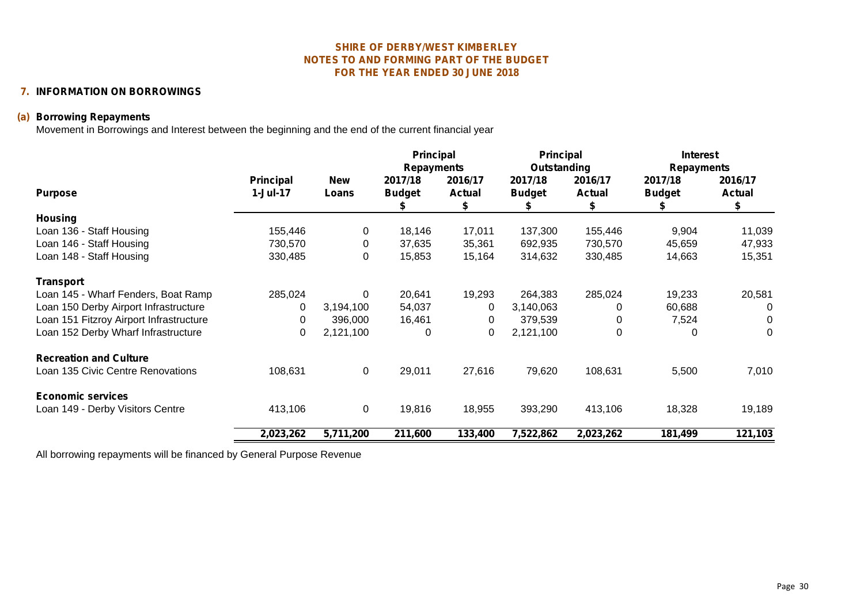# **7. INFORMATION ON BORROWINGS**

# **(a) Borrowing Repayments**

Movement in Borrowings and Interest between the beginning and the end of the current financial year

|                                         |                                 |                     | <b>Principal</b><br><b>Repayments</b> |                          | <b>Principal</b><br>Outstanding |                               | <b>Interest</b><br><b>Repayments</b> |                               |
|-----------------------------------------|---------------------------------|---------------------|---------------------------------------|--------------------------|---------------------------------|-------------------------------|--------------------------------------|-------------------------------|
| <b>Purpose</b>                          | <b>Principal</b><br>$1$ -Jul-17 | <b>New</b><br>Loans | 2017/18<br><b>Budget</b>              | 2016/17<br><b>Actual</b> | 2017/18<br><b>Budget</b>        | 2016/17<br><b>Actual</b><br>S | 2017/18<br><b>Budget</b>             | 2016/17<br><b>Actual</b><br>S |
| <b>Housing</b>                          |                                 |                     |                                       |                          |                                 |                               |                                      |                               |
| Loan 136 - Staff Housing                | 155,446                         | 0                   | 18,146                                | 17,011                   | 137,300                         | 155,446                       | 9,904                                | 11,039                        |
| Loan 146 - Staff Housing                | 730,570                         | 0                   | 37,635                                | 35,361                   | 692,935                         | 730,570                       | 45,659                               | 47,933                        |
| Loan 148 - Staff Housing                | 330,485                         | 0                   | 15,853                                | 15,164                   | 314,632                         | 330,485                       | 14,663                               | 15,351                        |
| <b>Transport</b>                        |                                 |                     |                                       |                          |                                 |                               |                                      |                               |
| Loan 145 - Wharf Fenders, Boat Ramp     | 285,024                         | $\Omega$            | 20,641                                | 19,293                   | 264,383                         | 285,024                       | 19,233                               | 20,581                        |
| Loan 150 Derby Airport Infrastructure   | 0                               | 3,194,100           | 54,037                                | 0                        | 3,140,063                       | 0                             | 60,688                               | 0                             |
| Loan 151 Fitzroy Airport Infrastructure | 0                               | 396,000             | 16,461                                | 0                        | 379,539                         | 0                             | 7,524                                | 0                             |
| Loan 152 Derby Wharf Infrastructure     | 0                               | 2,121,100           | 0                                     | 0                        | 2,121,100                       | 0                             | $\Omega$                             | 0                             |
| <b>Recreation and Culture</b>           |                                 |                     |                                       |                          |                                 |                               |                                      |                               |
| Loan 135 Civic Centre Renovations       | 108,631                         | 0                   | 29,011                                | 27,616                   | 79,620                          | 108,631                       | 5,500                                | 7,010                         |
| <b>Economic services</b>                |                                 |                     |                                       |                          |                                 |                               |                                      |                               |
| Loan 149 - Derby Visitors Centre        | 413,106                         | $\mathbf 0$         | 19,816                                | 18,955                   | 393,290                         | 413,106                       | 18,328                               | 19,189                        |
|                                         | 2,023,262                       | 5,711,200           | 211,600                               | 133,400                  | 7,522,862                       | 2,023,262                     | 181,499                              | 121,103                       |

All borrowing repayments will be financed by General Purpose Revenue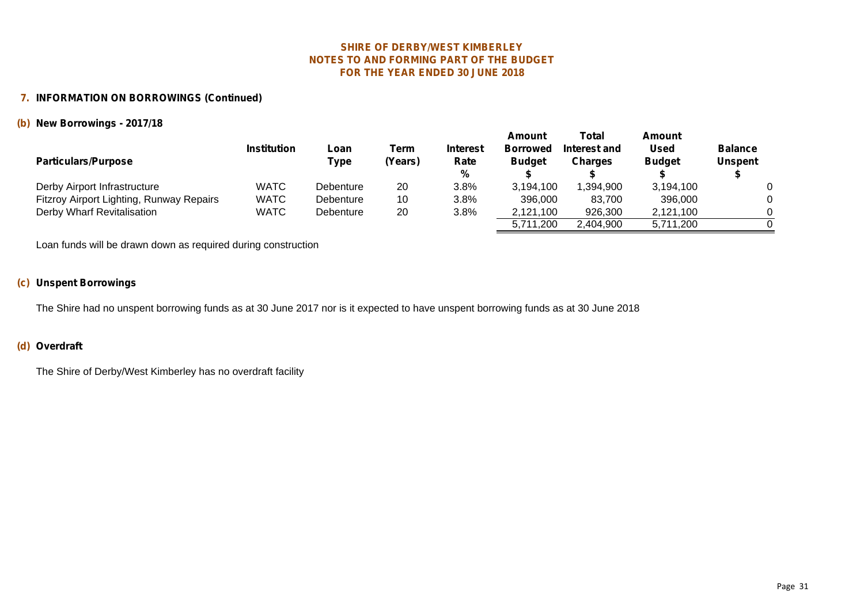#### **7. INFORMATION ON BORROWINGS (Continued)**

#### **(b) New Borrowings - 2017/18**

| <b>Particulars/Purpose</b>               | <b>Institution</b> | Loan<br>Type | Term<br>(Years) | <b>Interest</b><br>Rate<br>% | Amount<br><b>Borrowed</b><br><b>Budget</b> | Total<br>Interest and<br><b>Charges</b> | Amount<br><b>Used</b><br><b>Budget</b> | <b>Balance</b><br><b>Unspent</b> |
|------------------------------------------|--------------------|--------------|-----------------|------------------------------|--------------------------------------------|-----------------------------------------|----------------------------------------|----------------------------------|
| Derby Airport Infrastructure             | <b>WATC</b>        | Debenture    | 20              | 3.8%                         | 3,194,100                                  | .394.900                                | 3.194.100                              |                                  |
| Fitzroy Airport Lighting, Runway Repairs | <b>WATC</b>        | Debenture    | 10              | 3.8%                         | 396,000                                    | 83,700                                  | 396,000                                |                                  |
| Derby Wharf Revitalisation               | WATC               | Debenture    | 20              | 3.8%                         | 2,121,100                                  | 926,300                                 | 2,121,100                              |                                  |
|                                          |                    |              |                 |                              | 5,711,200                                  | 2.404.900                               | 5,711,200                              |                                  |

Loan funds will be drawn down as required during construction

# **(c) Unspent Borrowings**

The Shire had no unspent borrowing funds as at 30 June 2017 nor is it expected to have unspent borrowing funds as at 30 June 2018

#### **(d) Overdraft**

The Shire of Derby/West Kimberley has no overdraft facility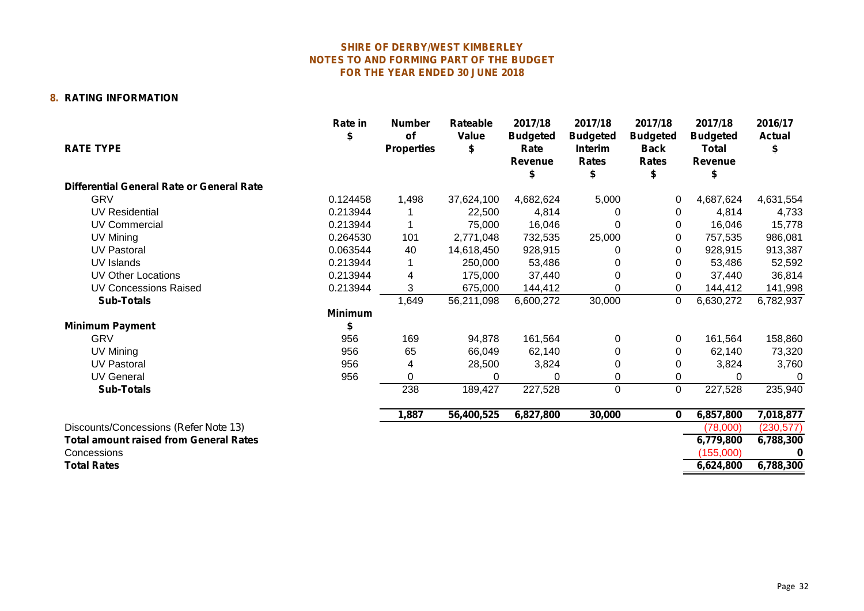### **8. RATING INFORMATION**

|                                               | Rate in<br>S   | <b>Number</b><br>of | Rateable<br>Value | 2017/18                            | 2017/18                                           | 2017/18                                        | 2017/18                                    | 2016/17<br><b>Actual</b> |
|-----------------------------------------------|----------------|---------------------|-------------------|------------------------------------|---------------------------------------------------|------------------------------------------------|--------------------------------------------|--------------------------|
| <b>RATE TYPE</b>                              |                | <b>Properties</b>   | \$                | <b>Budgeted</b><br>Rate<br>Revenue | <b>Budgeted</b><br><b>Interim</b><br><b>Rates</b> | <b>Budgeted</b><br><b>Back</b><br><b>Rates</b> | <b>Budgeted</b><br><b>Total</b><br>Revenue | \$                       |
| Differential General Rate or General Rate     |                |                     |                   |                                    |                                                   |                                                |                                            |                          |
| <b>GRV</b>                                    | 0.124458       | 1,498               | 37,624,100        | 4,682,624                          | 5,000                                             | 0                                              | 4,687,624                                  | 4,631,554                |
| <b>UV Residential</b>                         | 0.213944       |                     | 22,500            | 4,814                              | 0                                                 | 0                                              | 4,814                                      | 4,733                    |
| UV Commercial                                 | 0.213944       |                     | 75,000            | 16,046                             |                                                   | 0                                              | 16,046                                     | 15,778                   |
| UV Mining                                     | 0.264530       | 101                 | 2,771,048         | 732,535                            | 25,000                                            | 0                                              | 757,535                                    | 986,081                  |
| <b>UV Pastoral</b>                            | 0.063544       | 40                  | 14,618,450        | 928,915                            |                                                   | 0                                              | 928,915                                    | 913,387                  |
| UV Islands                                    | 0.213944       |                     | 250,000           | 53,486                             |                                                   | 0                                              | 53,486                                     | 52,592                   |
| <b>UV Other Locations</b>                     | 0.213944       |                     | 175.000           | 37,440                             | 0                                                 | 0                                              | 37,440                                     | 36,814                   |
| <b>UV Concessions Raised</b>                  | 0.213944       |                     | 675,000           | 144,412                            | 0                                                 | 0                                              | 144,412                                    | 141,998                  |
| <b>Sub-Totals</b>                             |                | 1,649               | 56,211,098        | 6,600,272                          | 30,000                                            | 0                                              | 6,630,272                                  | 6,782,937                |
|                                               | <b>Minimum</b> |                     |                   |                                    |                                                   |                                                |                                            |                          |
| <b>Minimum Payment</b>                        | \$             |                     |                   |                                    |                                                   |                                                |                                            |                          |
| <b>GRV</b>                                    | 956            | 169                 | 94,878            | 161,564                            | 0                                                 | 0                                              | 161,564                                    | 158,860                  |
| UV Mining                                     | 956            | 65                  | 66,049            | 62,140                             | 0                                                 | 0                                              | 62,140                                     | 73,320                   |
| <b>UV Pastoral</b>                            | 956            |                     | 28,500            | 3,824                              | 0                                                 | 0                                              | 3,824                                      | 3,760                    |
| <b>UV General</b>                             | 956            | $\Omega$            | $\Omega$          | $\Omega$                           | 0                                                 | $\Omega$                                       | $\Omega$                                   |                          |
| <b>Sub-Totals</b>                             |                | 238                 | 189,427           | 227,528                            | $\pmb{0}$                                         | $\Omega$                                       | 227,528                                    | 235,940                  |
|                                               |                | 1,887               | 56,400,525        | 6,827,800                          | 30,000                                            | $\mathbf{0}$                                   | 6,857,800                                  | 7,018,877                |
| Discounts/Concessions (Refer Note 13)         |                |                     |                   |                                    |                                                   |                                                | (78.000)                                   | (230, 577)               |
| <b>Total amount raised from General Rates</b> |                |                     |                   |                                    |                                                   |                                                | 6,779,800                                  | 6,788,300                |
| Concessions                                   |                |                     |                   |                                    |                                                   |                                                | (155,000)                                  |                          |
| <b>Total Rates</b>                            |                |                     |                   |                                    |                                                   |                                                | 6,624,800                                  | 6,788,300                |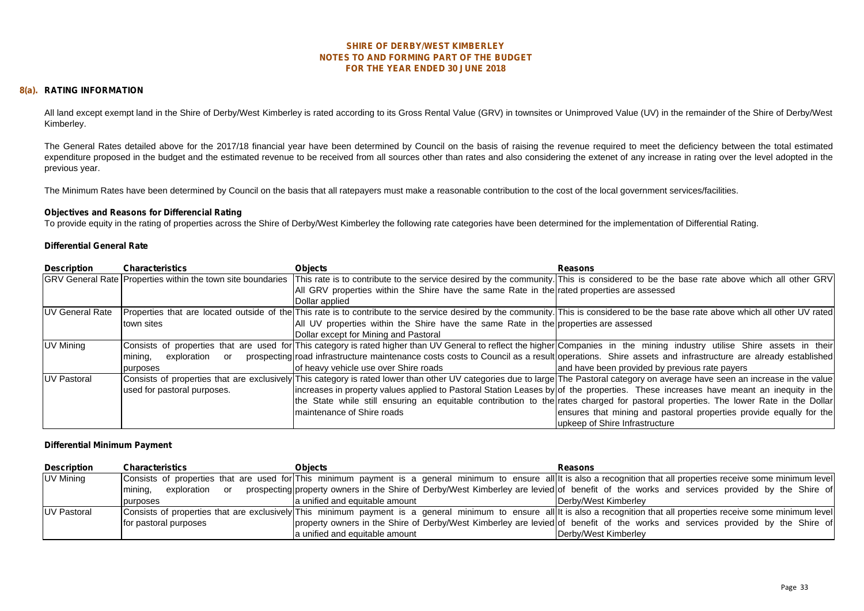#### **8(a). RATING INFORMATION**

All land except exempt land in the Shire of Derby/West Kimberley is rated according to its Gross Rental Value (GRV) in townsites or Unimproved Value (UV) in the remainder of the Shire of Derby/West Kimberley.

The General Rates detailed above for the 2017/18 financial year have been determined by Council on the basis of raising the revenue required to meet the deficiency between the total estimated expenditure proposed in the budget and the estimated revenue to be received from all sources other than rates and also considering the extenet of any increase in rating over the level adopted in the previous year.

The Minimum Rates have been determined by Council on the basis that all ratepayers must make a reasonable contribution to the cost of the local government services/facilities.

#### **Objectives and Reasons for Differencial Rating**

To provide equity in the rating of properties across the Shire of Derby/West Kimberley the following rate categories have been determined for the implementation of Differential Rating.

#### **Differential General Rate**

| <b>Description</b>      | <b>Characteristics</b>                                      | <b>Objects</b>                                                                              | <b>Reasons</b>                                                                                                                                                                       |
|-------------------------|-------------------------------------------------------------|---------------------------------------------------------------------------------------------|--------------------------------------------------------------------------------------------------------------------------------------------------------------------------------------|
|                         | GRV General Rate Properties within the town site boundaries |                                                                                             | This rate is to contribute to the service desired by the community. This is considered to be the base rate above which all other GRV                                                 |
|                         |                                                             | All GRV properties within the Shire have the same Rate in the rated properties are assessed |                                                                                                                                                                                      |
|                         |                                                             | Dollar applied                                                                              |                                                                                                                                                                                      |
| <b>IUV General Rate</b> |                                                             |                                                                                             | Properties that are located outside of the This rate is to contribute to the service desired by the community. This is considered to be the base rate above which all other UV rated |
|                         | town sites                                                  | All UV properties within the Shire have the same Rate in the properties are assessed        |                                                                                                                                                                                      |
|                         |                                                             | Dollar except for Mining and Pastoral                                                       |                                                                                                                                                                                      |
| UV Mining               |                                                             |                                                                                             | Consists of properties that are used for This category is rated higher than UV General to reflect the higher Companies in the mining industry utilise Shire assets in their          |
|                         | exploration<br>mining,<br>or                                |                                                                                             | prospecting road infrastructure maintenance costs costs to Council as a result operations. Shire assets and infrastructure are already established                                   |
|                         | purposes                                                    | of heavy vehicle use over Shire roads                                                       | and have been provided by previous rate payers                                                                                                                                       |
| <b>UV Pastoral</b>      |                                                             |                                                                                             | Consists of properties that are exclusively This category is rated lower than other UV categories due to large The Pastoral category on average have seen an increase in the value   |
|                         | used for pastoral purposes.                                 |                                                                                             | increases in property values applied to Pastoral Station Leases by of the properties. These increases have meant an inequity in the                                                  |
|                         |                                                             |                                                                                             | the State while still ensuring an equitable contribution to the rates charged for pastoral properties. The lower Rate in the Dollar                                                  |
|                         |                                                             | maintenance of Shire roads                                                                  | ensures that mining and pastoral properties provide equally for the                                                                                                                  |
|                         |                                                             |                                                                                             | upkeep of Shire Infrastructure                                                                                                                                                       |

#### **Differential Minimum Payment**

| <b>Description</b> | Characteristics           | <b>Objects</b>                 | <b>Reasons</b>                                                                                                                                                             |
|--------------------|---------------------------|--------------------------------|----------------------------------------------------------------------------------------------------------------------------------------------------------------------------|
| UV Mining          |                           |                                | Consists of properties that are used for This minimum payment is a general minimum to ensure all it is also a recognition that all properties receive some minimum level   |
|                    | exploration or<br>mining, |                                | prospecting property owners in the Shire of Derby/West Kimberley are levied of benefit of the works and services provided by the Shire of                                  |
|                    | purposes                  | a unified and equitable amount | Derbv/West Kimberlev                                                                                                                                                       |
| <b>UV Pastoral</b> |                           |                                | Consists of properties that are exclusively This minimum payment is a general minimum to ensure all t is also a recognition that all properties receive some minimum level |
|                    | for pastoral purposes     |                                | property owners in the Shire of Derby/West Kimberley are levied of benefit of the works and services provided by the Shire of                                              |
|                    |                           | a unified and equitable amount | Derby/West Kimberley                                                                                                                                                       |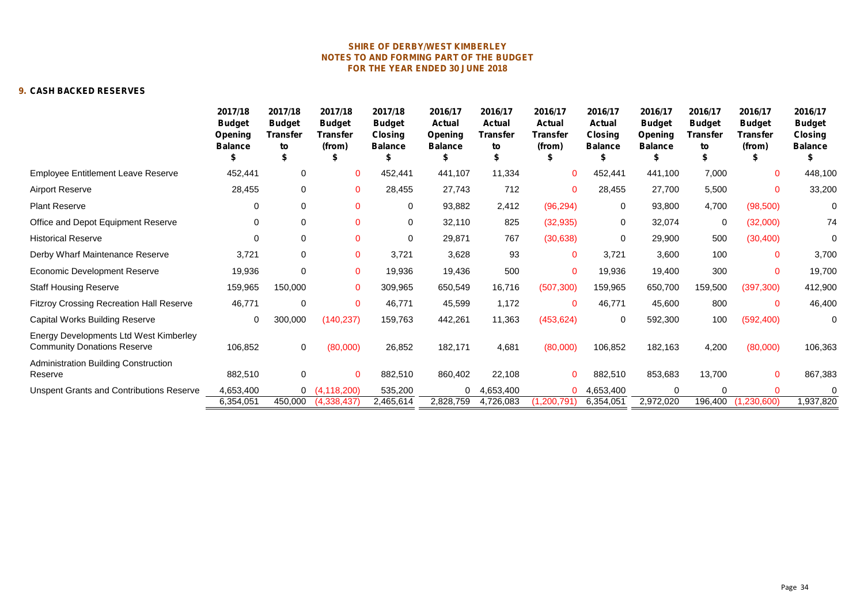#### **9. CASH BACKED RESERVES**

|                                                                              | 2017/18<br><b>Budget</b><br>Opening<br><b>Balance</b> | 2017/18<br><b>Budget</b><br>Transfer<br>to | 2017/18<br><b>Budget</b><br>Transfer<br>(from) | 2017/18<br><b>Budget</b><br><b>Closing</b><br><b>Balance</b> | 2016/17<br><b>Actual</b><br>Opening<br><b>Balance</b> | 2016/17<br><b>Actual</b><br>Transfer<br>to | 2016/17<br><b>Actual</b><br>Transfer<br>(from) | 2016/17<br>Actual<br>Closing<br><b>Balance</b> | 2016/17<br><b>Budget</b><br>Opening<br><b>Balance</b> | 2016/17<br><b>Budget</b><br><b>Transfer</b><br>to | 2016/17<br><b>Budget</b><br><b>Transfer</b><br>(from) | 2016/17<br><b>Budget</b><br><b>Closing</b><br><b>Balance</b> |
|------------------------------------------------------------------------------|-------------------------------------------------------|--------------------------------------------|------------------------------------------------|--------------------------------------------------------------|-------------------------------------------------------|--------------------------------------------|------------------------------------------------|------------------------------------------------|-------------------------------------------------------|---------------------------------------------------|-------------------------------------------------------|--------------------------------------------------------------|
| <b>Employee Entitlement Leave Reserve</b>                                    | 452,441                                               | 0                                          | 0                                              | 452,441                                                      | 441,107                                               | 11,334                                     | 0                                              | 452,441                                        | 441,100                                               | 7,000                                             | $\mathbf 0$                                           | 448,100                                                      |
| <b>Airport Reserve</b>                                                       | 28,455                                                | 0                                          | $\mathbf{0}$                                   | 28,455                                                       | 27.743                                                | 712                                        | $\mathbf{0}$                                   | 28,455                                         | 27.700                                                | 5,500                                             | $\mathbf 0$                                           | 33,200                                                       |
| <b>Plant Reserve</b>                                                         | 0                                                     | 0                                          | $\mathbf{0}$                                   | 0                                                            | 93,882                                                | 2,412                                      | (96, 294)                                      | 0                                              | 93,800                                                | 4,700                                             | (98, 500)                                             | $\mathbf 0$                                                  |
| Office and Depot Equipment Reserve                                           | 0                                                     | 0                                          | 0                                              | 0                                                            | 32,110                                                | 825                                        | (32, 935)                                      | 0                                              | 32,074                                                | 0                                                 | (32,000)                                              | 74                                                           |
| <b>Historical Reserve</b>                                                    | $\Omega$                                              | 0                                          | $\Omega$                                       | 0                                                            | 29,871                                                | 767                                        | (30, 638)                                      | 0                                              | 29,900                                                | 500                                               | (30, 400)                                             | $\mathbf 0$                                                  |
| Derby Wharf Maintenance Reserve                                              | 3,721                                                 | 0                                          | 0                                              | 3,721                                                        | 3,628                                                 | 93                                         | $\mathbf{0}$                                   | 3,721                                          | 3,600                                                 | 100                                               | $\mathbf 0$                                           | 3,700                                                        |
| Economic Development Reserve                                                 | 19,936                                                | 0                                          | $\Omega$                                       | 19,936                                                       | 19,436                                                | 500                                        | $\mathbf{0}$                                   | 19,936                                         | 19,400                                                | 300                                               | $\Omega$                                              | 19,700                                                       |
| <b>Staff Housing Reserve</b>                                                 | 159,965                                               | 150,000                                    | $\mathbf{0}$                                   | 309,965                                                      | 650,549                                               | 16,716                                     | (507, 300)                                     | 159,965                                        | 650,700                                               | 159,500                                           | (397, 300)                                            | 412,900                                                      |
| <b>Fitzroy Crossing Recreation Hall Reserve</b>                              | 46,771                                                | 0                                          | $\Omega$                                       | 46,771                                                       | 45,599                                                | 1,172                                      | $\mathbf{0}$                                   | 46,771                                         | 45,600                                                | 800                                               | $\mathbf 0$                                           | 46,400                                                       |
| Capital Works Building Reserve                                               | 0                                                     | 300,000                                    | (140, 237)                                     | 159,763                                                      | 442,261                                               | 11,363                                     | (453, 624)                                     | 0                                              | 592,300                                               | 100                                               | (592, 400)                                            | $\mathbf 0$                                                  |
| Energy Developments Ltd West Kimberley<br><b>Community Donations Reserve</b> | 106,852                                               | 0                                          | (80,000)                                       | 26,852                                                       | 182,171                                               | 4,681                                      | (80,000)                                       | 106,852                                        | 182,163                                               | 4,200                                             | (80,000)                                              | 106,363                                                      |
| Administration Building Construction<br>Reserve                              | 882,510                                               | 0                                          | $\mathbf{0}$                                   | 882,510                                                      | 860,402                                               | 22,108                                     | $\Omega$                                       | 882,510                                        | 853,683                                               | 13,700                                            | $\mathbf{0}$                                          | 867,383                                                      |
| <b>Unspent Grants and Contributions Reserve</b>                              | 4,653,400                                             |                                            | 0(4,118,200)                                   | 535,200                                                      | 0                                                     | 1,653,400                                  | 0                                              | 4,653,400                                      | 0                                                     | $\Omega$                                          |                                                       | $\Omega$                                                     |
|                                                                              | 6,354,051                                             | 450,000                                    | (4,338,437)                                    | 2,465,614                                                    | 2,828,759                                             | 4,726,083                                  | 1,200,791                                      | 6,354,051                                      | 2,972,020                                             | 196,400                                           | (1, 230, 600)                                         | 1,937,820                                                    |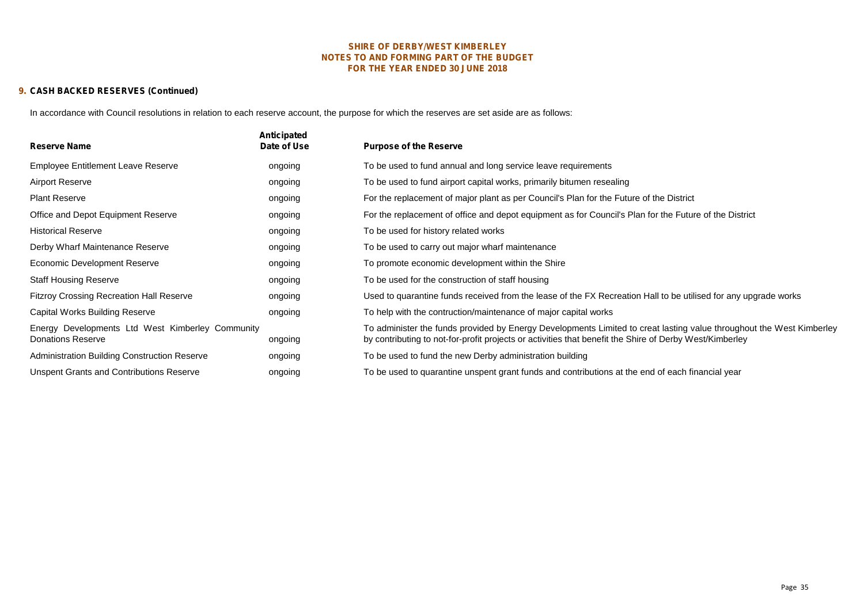#### **FOR THE YEAR ENDED 30 JUNE 2018 SHIRE OF DERBY/WEST KIMBERLEY NOTES TO AND FORMING PART OF THE BUDGET**

#### **9. CASH BACKED RESERVES (Continued)**

In accordance with Council resolutions in relation to each reserve account, the purpose for which the reserves are set aside are as follows:

| <b>Reserve Name</b>                                                          | Anticipated<br>Date of Use | <b>Purpose of the Reserve</b>                                                                                                                                                                                                   |
|------------------------------------------------------------------------------|----------------------------|---------------------------------------------------------------------------------------------------------------------------------------------------------------------------------------------------------------------------------|
| <b>Employee Entitlement Leave Reserve</b>                                    | ongoing                    | To be used to fund annual and long service leave requirements                                                                                                                                                                   |
| Airport Reserve                                                              | ongoing                    | To be used to fund airport capital works, primarily bitumen resealing                                                                                                                                                           |
| <b>Plant Reserve</b>                                                         | ongoing                    | For the replacement of major plant as per Council's Plan for the Future of the District                                                                                                                                         |
| Office and Depot Equipment Reserve                                           | ongoing                    | For the replacement of office and depot equipment as for Council's Plan for the Future of the District                                                                                                                          |
| <b>Historical Reserve</b>                                                    | ongoing                    | To be used for history related works                                                                                                                                                                                            |
| Derby Wharf Maintenance Reserve                                              | ongoing                    | To be used to carry out major wharf maintenance                                                                                                                                                                                 |
| Economic Development Reserve                                                 | ongoing                    | To promote economic development within the Shire                                                                                                                                                                                |
| <b>Staff Housing Reserve</b>                                                 | ongoing                    | To be used for the construction of staff housing                                                                                                                                                                                |
| <b>Fitzroy Crossing Recreation Hall Reserve</b>                              | ongoing                    | Used to quarantine funds received from the lease of the FX Recreation Hall to be utilised for any upgrade works                                                                                                                 |
| Capital Works Building Reserve                                               | ongoing                    | To help with the contruction/maintenance of major capital works                                                                                                                                                                 |
| Energy Developments Ltd West Kimberley Community<br><b>Donations Reserve</b> | ongoing                    | To administer the funds provided by Energy Developments Limited to creat lasting value throughout the West Kimberley<br>by contributing to not-for-profit projects or activities that benefit the Shire of Derby West/Kimberley |
| <b>Administration Building Construction Reserve</b>                          | ongoing                    | To be used to fund the new Derby administration building                                                                                                                                                                        |
| <b>Unspent Grants and Contributions Reserve</b>                              | ongoing                    | To be used to quarantine unspent grant funds and contributions at the end of each financial year                                                                                                                                |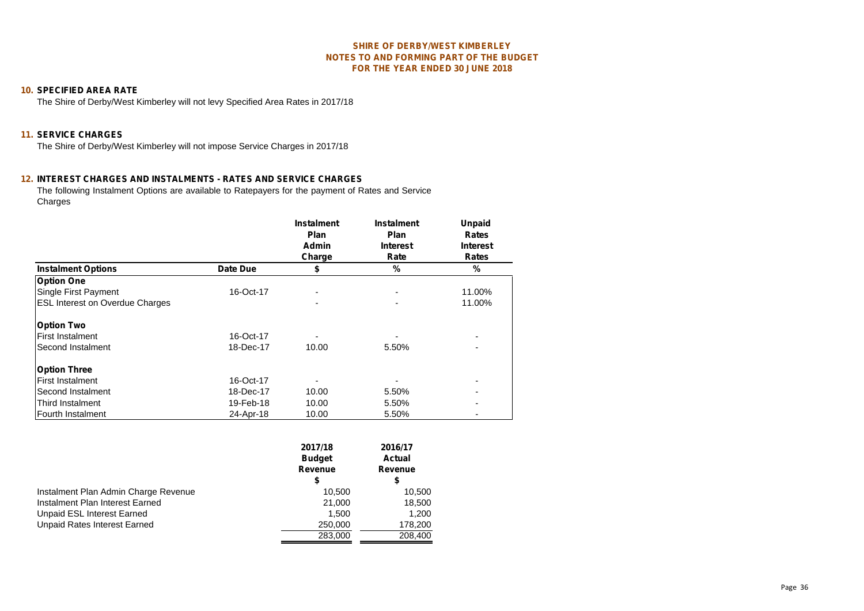#### **10. SPECIFIED AREA RATE**

The Shire of Derby/West Kimberley will not levy Specified Area Rates in 2017/18

#### **11. SERVICE CHARGES**

The Shire of Derby/West Kimberley will not impose Service Charges in 2017/18

#### **12. INTEREST CHARGES AND INSTALMENTS - RATES AND SERVICE CHARGES**

The following Instalment Options are available to Ratepayers for the payment of Rates and Service Charges

|                                        |           | <b>Instalment</b><br><b>Plan</b> | <b>Instalment</b><br><b>Plan</b> | <b>Unpaid</b><br><b>Rates</b> |
|----------------------------------------|-----------|----------------------------------|----------------------------------|-------------------------------|
|                                        |           | <b>Admin</b>                     | <b>Interest</b>                  | <b>Interest</b>               |
|                                        |           | Charge                           | Rate                             | <b>Rates</b>                  |
| <b>Instalment Options</b>              | Date Due  | \$                               | %                                | $\frac{0}{0}$                 |
| <b>Option One</b>                      |           |                                  |                                  |                               |
| Single First Payment                   | 16-Oct-17 |                                  |                                  | 11.00%                        |
| <b>ESL Interest on Overdue Charges</b> |           |                                  |                                  | 11.00%                        |
| <b>Option Two</b>                      |           |                                  |                                  |                               |
| <b>First Instalment</b>                | 16-Oct-17 |                                  |                                  | ۰                             |
| Second Instalment                      | 18-Dec-17 | 10.00                            | 5.50%                            | ۰                             |
| <b>Option Three</b>                    |           |                                  |                                  |                               |
| <b>First Instalment</b>                | 16-Oct-17 |                                  |                                  | ۰                             |
| Second Instalment                      | 18-Dec-17 | 10.00                            | 5.50%                            | ٠                             |
| Third Instalment                       | 19-Feb-18 | 10.00                            | 5.50%                            | ۰                             |
| Fourth Instalment                      | 24-Apr-18 | 10.00                            | 5.50%                            | ۰                             |

|                                      | 2017/18<br><b>Budget</b><br>Revenue<br>\$ | 2016/17<br><b>Actual</b><br>Revenue<br>\$ |  |
|--------------------------------------|-------------------------------------------|-------------------------------------------|--|
| Instalment Plan Admin Charge Revenue | 10.500                                    | 10,500                                    |  |
| Instalment Plan Interest Earned      | 21,000                                    | 18,500                                    |  |
| Unpaid ESL Interest Earned           | 1.500                                     | 1,200                                     |  |
| Unpaid Rates Interest Earned         | 250,000                                   | 178,200                                   |  |
|                                      | 283,000                                   | 208,400                                   |  |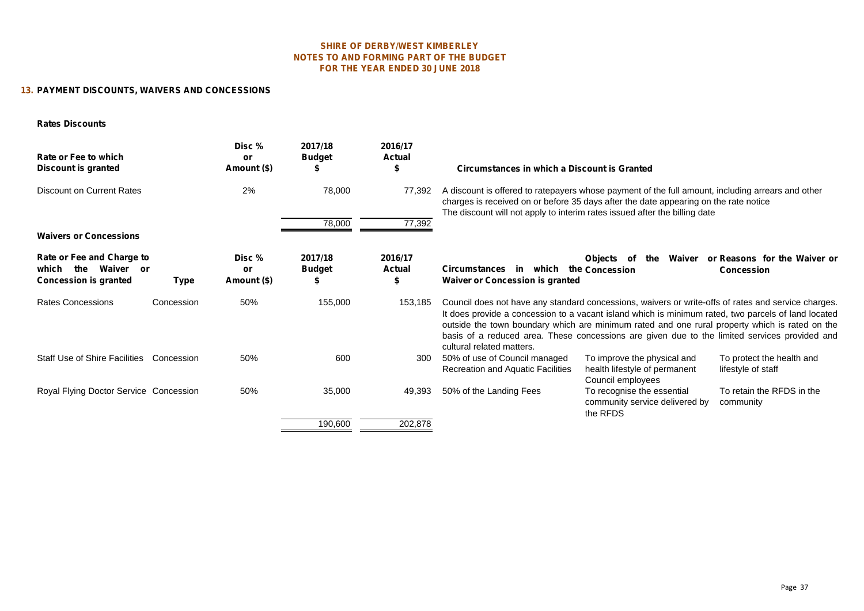#### **NOTES TO AND FORMING PART OF THE BUDGET FOR THE YEAR ENDED 30 JUNE 2018 SHIRE OF DERBY/WEST KIMBERLEY**

#### **13. PAYMENT DISCOUNTS, WAIVERS AND CONCESSIONS**

#### **Rates Discounts**

| Rate or Fee to which<br>Discount is granted                                                    | Disc %<br>or<br>Amount (\$) | 2017/18<br><b>Budget</b>       | 2016/17<br><b>Actual</b><br>э | Circumstances in which a Discount is Granted                                                                                                                                                                                                                                                                                                                                                                                               |
|------------------------------------------------------------------------------------------------|-----------------------------|--------------------------------|-------------------------------|--------------------------------------------------------------------------------------------------------------------------------------------------------------------------------------------------------------------------------------------------------------------------------------------------------------------------------------------------------------------------------------------------------------------------------------------|
| <b>Discount on Current Rates</b>                                                               | 2%                          | 78,000                         | 77,392                        | A discount is offered to ratepayers whose payment of the full amount, including arrears and other<br>charges is received on or before 35 days after the date appearing on the rate notice<br>The discount will not apply to interim rates issued after the billing date                                                                                                                                                                    |
|                                                                                                |                             | 78,000                         | 77,392                        |                                                                                                                                                                                                                                                                                                                                                                                                                                            |
| <b>Waivers or Concessions</b>                                                                  |                             |                                |                               |                                                                                                                                                                                                                                                                                                                                                                                                                                            |
| Rate or Fee and Charge to<br>Waiver or<br>the<br>which<br><b>Concession is granted</b><br>Type | Disc %<br>or<br>Amount (\$) | 2017/18<br><b>Budget</b><br>S. | 2016/17<br><b>Actual</b><br>P | Waiver<br>or Reasons for the Waiver or<br><b>Objects</b><br>the<br>of<br>which<br><b>Circumstances</b><br>the Concession<br>in<br><b>Concession</b><br><b>Waiver or Concession is granted</b>                                                                                                                                                                                                                                              |
| <b>Rates Concessions</b><br>Concession                                                         | 50%                         | 155,000                        | 153,185                       | Council does not have any standard concessions, waivers or write-offs of rates and service charges.<br>It does provide a concession to a vacant island which is minimum rated, two parcels of land located<br>outside the town boundary which are minimum rated and one rural property which is rated on the<br>basis of a reduced area. These concessions are given due to the limited services provided and<br>cultural related matters. |
| <b>Staff Use of Shire Facilities</b><br>Concession                                             | 50%                         | 600                            | 300                           | 50% of use of Council managed<br>To improve the physical and<br>To protect the health and<br><b>Recreation and Aquatic Facilities</b><br>health lifestyle of permanent<br>lifestyle of staff<br>Council employees                                                                                                                                                                                                                          |
| Royal Flying Doctor Service Concession                                                         | 50%                         | 35,000                         | 49,393                        | To retain the RFDS in the<br>50% of the Landing Fees<br>To recognise the essential<br>community service delivered by<br>community<br>the RFDS                                                                                                                                                                                                                                                                                              |
|                                                                                                |                             | 190,600                        | 202,878                       |                                                                                                                                                                                                                                                                                                                                                                                                                                            |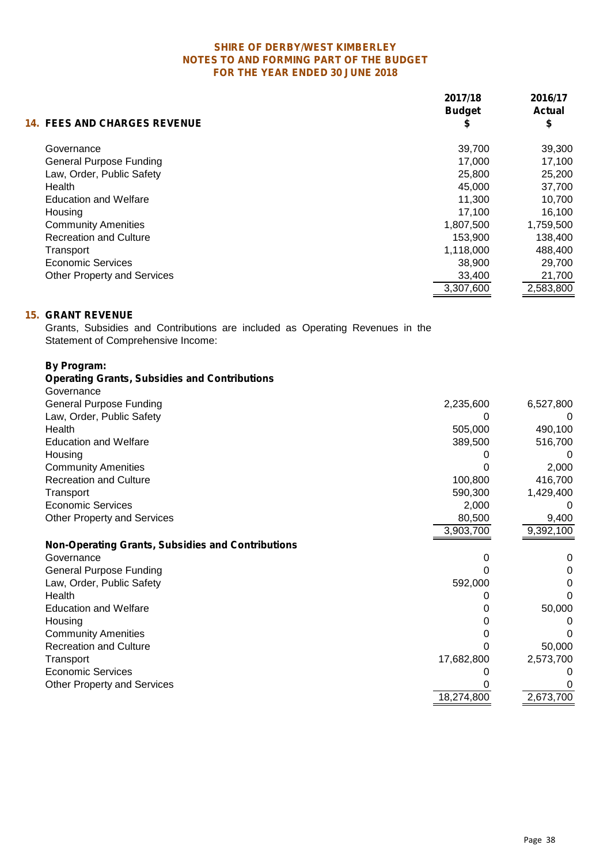|                                     | 2017/18<br><b>Budget</b> | 2016/17<br><b>Actual</b> |  |
|-------------------------------------|--------------------------|--------------------------|--|
| <b>14. FEES AND CHARGES REVENUE</b> | Φ                        | \$                       |  |
| Governance                          | 39,700                   | 39,300                   |  |
| <b>General Purpose Funding</b>      | 17,000                   | 17,100                   |  |
| Law, Order, Public Safety           | 25,800                   | 25,200                   |  |
| Health                              | 45.000                   | 37,700                   |  |
| <b>Education and Welfare</b>        | 11,300                   | 10,700                   |  |
| Housing                             | 17.100                   | 16,100                   |  |
| <b>Community Amenities</b>          | 1,807,500                | 1,759,500                |  |
| <b>Recreation and Culture</b>       | 153,900                  | 138,400                  |  |
| Transport                           | 1,118,000                | 488,400                  |  |
| Economic Services                   | 38.900                   | 29,700                   |  |
| <b>Other Property and Services</b>  | 33,400                   | 21,700                   |  |
|                                     | 3,307,600                | 2,583,800                |  |

### **15. GRANT REVENUE**

Grants, Subsidies and Contributions are included as Operating Revenues in the Statement of Comprehensive Income:

# **By Program:**

| <b>Operating Grants, Subsidies and Contributions</b>     |            |           |
|----------------------------------------------------------|------------|-----------|
| Governance                                               |            |           |
| <b>General Purpose Funding</b>                           | 2,235,600  | 6,527,800 |
| Law, Order, Public Safety                                |            |           |
| Health                                                   | 505,000    | 490,100   |
| <b>Education and Welfare</b>                             | 389,500    | 516,700   |
| Housing                                                  |            |           |
| <b>Community Amenities</b>                               |            | 2,000     |
| <b>Recreation and Culture</b>                            | 100,800    | 416,700   |
| Transport                                                | 590,300    | 1,429,400 |
| <b>Economic Services</b>                                 | 2,000      |           |
| <b>Other Property and Services</b>                       | 80,500     | 9,400     |
|                                                          | 3,903,700  | 9,392,100 |
|                                                          |            |           |
| <b>Non-Operating Grants, Subsidies and Contributions</b> |            |           |
| Governance                                               |            | O         |
| <b>General Purpose Funding</b>                           |            |           |
| Law, Order, Public Safety                                | 592,000    |           |
| Health                                                   |            |           |
| <b>Education and Welfare</b>                             |            | 50,000    |
| Housing                                                  |            |           |
| <b>Community Amenities</b>                               |            |           |
| <b>Recreation and Culture</b>                            |            | 50,000    |
| Transport                                                | 17,682,800 | 2,573,700 |
| <b>Economic Services</b>                                 |            |           |
| <b>Other Property and Services</b>                       |            | 2,673,700 |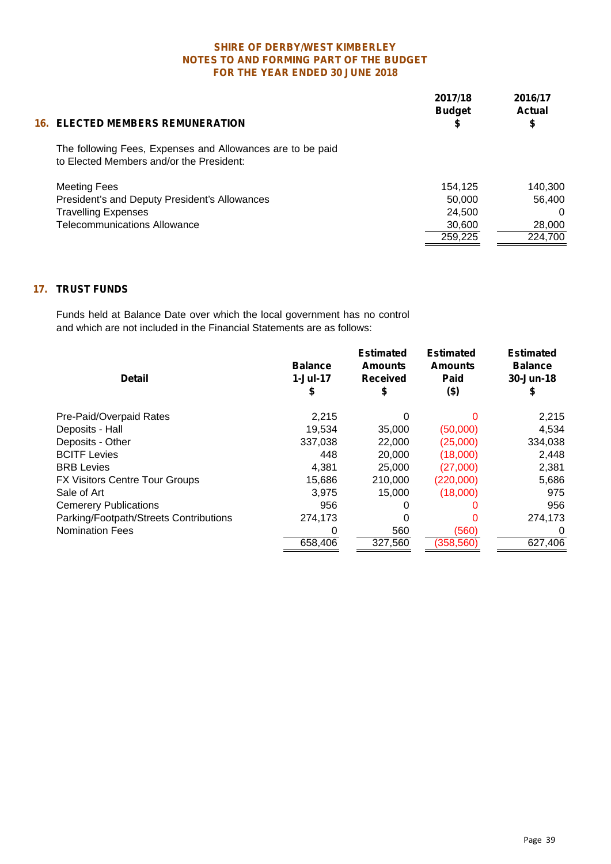|                                                                                                        | 2017/18<br><b>Budget</b> | 2016/17<br>Actual |  |
|--------------------------------------------------------------------------------------------------------|--------------------------|-------------------|--|
| <b>16. ELECTED MEMBERS REMUNERATION</b>                                                                |                          |                   |  |
| The following Fees, Expenses and Allowances are to be paid<br>to Elected Members and/or the President: |                          |                   |  |
| <b>Meeting Fees</b>                                                                                    | 154.125                  | 140,300           |  |
| President's and Deputy President's Allowances                                                          | 50,000                   | 56.400            |  |
| <b>Travelling Expenses</b>                                                                             | 24,500                   | 0                 |  |
| <b>Telecommunications Allowance</b>                                                                    | 30,600                   | 28,000            |  |
|                                                                                                        | 259,225                  | 224,700           |  |

# **17. TRUST FUNDS**

Funds held at Balance Date over which the local government has no control and which are not included in the Financial Statements are as follows:

| <b>Detail</b>                          | <b>Balance</b><br>$1-Jul-17$<br>2 | <b>Estimated</b><br><b>Amounts</b><br><b>Received</b> | <b>Estimated</b><br><b>Amounts</b><br>Paid<br>$($ \$) | <b>Estimated</b><br><b>Balance</b><br>30-Jun-18 |  |
|----------------------------------------|-----------------------------------|-------------------------------------------------------|-------------------------------------------------------|-------------------------------------------------|--|
| Pre-Paid/Overpaid Rates                | 2,215                             | 0                                                     | 0                                                     | 2,215                                           |  |
| Deposits - Hall                        | 19,534                            | 35,000                                                | (50,000)                                              | 4,534                                           |  |
| Deposits - Other                       | 337,038                           | 22,000                                                | (25,000)                                              | 334,038                                         |  |
| <b>BCITF Levies</b>                    | 448                               | 20,000                                                | (18,000)                                              | 2,448                                           |  |
| <b>BRB</b> Levies                      | 4,381                             | 25,000                                                | (27,000)                                              | 2,381                                           |  |
| FX Visitors Centre Tour Groups         | 15,686                            | 210,000                                               | (220,000)                                             | 5,686                                           |  |
| Sale of Art                            | 3,975                             | 15,000                                                | (18,000)                                              | 975                                             |  |
| <b>Cemerery Publications</b>           | 956                               | 0                                                     | O                                                     | 956                                             |  |
| Parking/Footpath/Streets Contributions | 274,173                           | 0                                                     | 0                                                     | 274,173                                         |  |
| <b>Nomination Fees</b>                 |                                   | 560                                                   | (560)                                                 |                                                 |  |
|                                        | 658,406                           | 327,560                                               | (358, 560)                                            | 627,406                                         |  |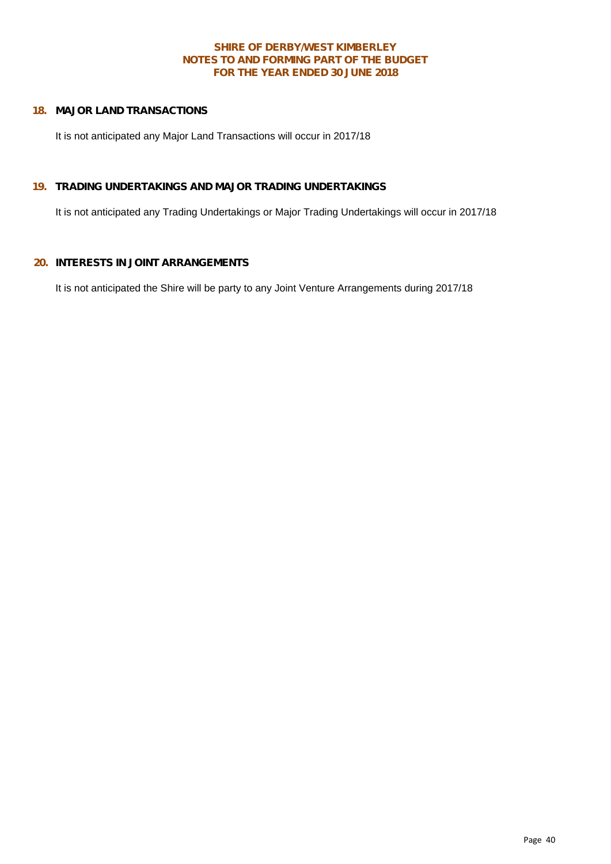### **18. MAJOR LAND TRANSACTIONS**

It is not anticipated any Major Land Transactions will occur in 2017/18

#### **19. TRADING UNDERTAKINGS AND MAJOR TRADING UNDERTAKINGS**

It is not anticipated any Trading Undertakings or Major Trading Undertakings will occur in 2017/18

#### **20. INTERESTS IN JOINT ARRANGEMENTS**

It is not anticipated the Shire will be party to any Joint Venture Arrangements during 2017/18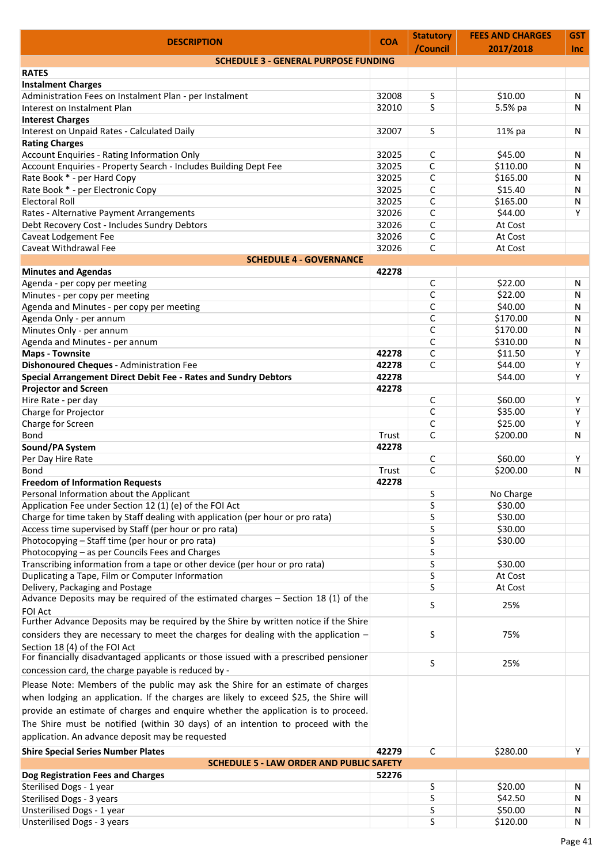| <b>DESCRIPTION</b>                                                                                                                          | <b>COA</b> | <b>Statutory</b><br>/Council | <b>FEES AND CHARGES</b><br>2017/2018 | <b>GST</b><br><b>Inc</b> |
|---------------------------------------------------------------------------------------------------------------------------------------------|------------|------------------------------|--------------------------------------|--------------------------|
| <b>SCHEDULE 3 - GENERAL PURPOSE FUNDING</b>                                                                                                 |            |                              |                                      |                          |
| <b>RATES</b>                                                                                                                                |            |                              |                                      |                          |
| <b>Instalment Charges</b>                                                                                                                   |            |                              |                                      |                          |
| Administration Fees on Instalment Plan - per Instalment                                                                                     | 32008      | S                            | \$10.00                              | N                        |
| Interest on Instalment Plan                                                                                                                 | 32010      | S                            | 5.5% pa                              | N                        |
| <b>Interest Charges</b>                                                                                                                     |            |                              |                                      |                          |
| Interest on Unpaid Rates - Calculated Daily                                                                                                 | 32007      | S.                           | 11% pa                               | N                        |
| <b>Rating Charges</b>                                                                                                                       |            |                              |                                      |                          |
| <b>Account Enquiries - Rating Information Only</b>                                                                                          | 32025      | $\mathsf{C}$                 | \$45.00                              | N                        |
| Account Enquiries - Property Search - Includes Building Dept Fee                                                                            | 32025      | C                            | \$110.00                             | N                        |
| Rate Book * - per Hard Copy                                                                                                                 | 32025      | $\mathsf{C}$                 | \$165.00                             | N                        |
| Rate Book * - per Electronic Copy                                                                                                           | 32025      | $\mathsf{C}$                 | \$15.40                              | N                        |
| <b>Electoral Roll</b>                                                                                                                       | 32025      | C                            | \$165.00                             | Ν                        |
| Rates - Alternative Payment Arrangements                                                                                                    | 32026      | $\mathsf{C}$                 | \$44.00                              | Y                        |
| Debt Recovery Cost - Includes Sundry Debtors                                                                                                | 32026      | C                            | At Cost                              |                          |
| Caveat Lodgement Fee                                                                                                                        | 32026      | C                            | At Cost                              |                          |
| Caveat Withdrawal Fee                                                                                                                       | 32026      | C                            | At Cost                              |                          |
| <b>SCHEDULE 4 - GOVERNANCE</b>                                                                                                              |            |                              |                                      |                          |
| <b>Minutes and Agendas</b>                                                                                                                  | 42278      |                              |                                      |                          |
| Agenda - per copy per meeting                                                                                                               |            | C                            | \$22.00                              | N                        |
| Minutes - per copy per meeting                                                                                                              |            | $\mathsf{C}$                 | \$22.00                              | N                        |
| Agenda and Minutes - per copy per meeting                                                                                                   |            | C                            | \$40.00                              | N                        |
| Agenda Only - per annum                                                                                                                     |            | C                            | \$170.00                             | N                        |
| Minutes Only - per annum                                                                                                                    |            | $\mathsf{C}$                 | \$170.00                             | N                        |
| Agenda and Minutes - per annum                                                                                                              |            | $\mathsf{C}$                 | \$310.00                             | N                        |
| <b>Maps - Townsite</b>                                                                                                                      | 42278      | C                            | \$11.50                              | Υ                        |
| <b>Dishonoured Cheques - Administration Fee</b>                                                                                             | 42278      | $\mathsf{C}$                 | \$44.00                              | Y                        |
| Special Arrangement Direct Debit Fee - Rates and Sundry Debtors                                                                             | 42278      |                              | \$44.00                              | Y                        |
| <b>Projector and Screen</b>                                                                                                                 | 42278      |                              |                                      |                          |
| Hire Rate - per day                                                                                                                         |            | $\mathsf{C}$                 | \$60.00                              | Υ                        |
| Charge for Projector                                                                                                                        |            | C                            | \$35.00                              | Y                        |
| Charge for Screen                                                                                                                           |            | $\mathsf{C}$                 | \$25.00                              | Y                        |
| <b>Bond</b>                                                                                                                                 | Trust      | C                            | \$200.00                             | N                        |
|                                                                                                                                             | 42278      |                              |                                      |                          |
| Sound/PA System                                                                                                                             |            | C                            |                                      |                          |
| Per Day Hire Rate                                                                                                                           |            |                              | \$60.00                              | Υ                        |
| Bond                                                                                                                                        | Trust      | C                            | \$200.00                             | N                        |
| <b>Freedom of Information Requests</b>                                                                                                      | 42278      |                              |                                      |                          |
| Personal Information about the Applicant                                                                                                    |            | S                            | No Charge                            |                          |
| Application Fee under Section 12 (1) (e) of the FOI Act                                                                                     |            | S                            | \$30.00                              |                          |
| Charge for time taken by Staff dealing with application (per hour or pro rata)                                                              |            | S                            | \$30.00                              |                          |
| Access time supervised by Staff (per hour or pro rata)                                                                                      |            | S                            | \$30.00                              |                          |
| Photocopying - Staff time (per hour or pro rata)                                                                                            |            | S                            | \$30.00                              |                          |
| Photocopying - as per Councils Fees and Charges                                                                                             |            | S                            |                                      |                          |
| Transcribing information from a tape or other device (per hour or pro rata)                                                                 |            | S                            | \$30.00                              |                          |
| Duplicating a Tape, Film or Computer Information                                                                                            |            | S                            | At Cost                              |                          |
| Delivery, Packaging and Postage                                                                                                             |            | S                            | At Cost                              |                          |
| Advance Deposits may be required of the estimated charges - Section 18 (1) of the                                                           |            | S                            | 25%                                  |                          |
| <b>FOI Act</b>                                                                                                                              |            |                              |                                      |                          |
| Further Advance Deposits may be required by the Shire by written notice if the Shire                                                        |            |                              |                                      |                          |
| considers they are necessary to meet the charges for dealing with the application -                                                         |            | S                            | 75%                                  |                          |
| Section 18 (4) of the FOI Act                                                                                                               |            |                              |                                      |                          |
| For financially disadvantaged applicants or those issued with a prescribed pensioner<br>concession card, the charge payable is reduced by - |            | S                            | 25%                                  |                          |
| Please Note: Members of the public may ask the Shire for an estimate of charges                                                             |            |                              |                                      |                          |
| when lodging an application. If the charges are likely to exceed \$25, the Shire will                                                       |            |                              |                                      |                          |
| provide an estimate of charges and enquire whether the application is to proceed.                                                           |            |                              |                                      |                          |
|                                                                                                                                             |            |                              |                                      |                          |
| The Shire must be notified (within 30 days) of an intention to proceed with the                                                             |            |                              |                                      |                          |
| application. An advance deposit may be requested                                                                                            |            |                              |                                      |                          |
| <b>Shire Special Series Number Plates</b>                                                                                                   | 42279      | $\mathsf{C}$                 | \$280.00                             | Υ                        |
| <b>SCHEDULE 5 - LAW ORDER AND PUBLIC SAFETY</b>                                                                                             |            |                              |                                      |                          |
| Dog Registration Fees and Charges                                                                                                           | 52276      |                              |                                      |                          |
| Sterilised Dogs - 1 year                                                                                                                    |            | S                            | \$20.00                              | N                        |
| Sterilised Dogs - 3 years                                                                                                                   |            | S                            | \$42.50                              | N                        |
| Unsterilised Dogs - 1 year                                                                                                                  |            | S                            | \$50.00                              | N                        |
| <b>Unsterilised Dogs - 3 years</b>                                                                                                          |            | S                            | \$120.00                             | N                        |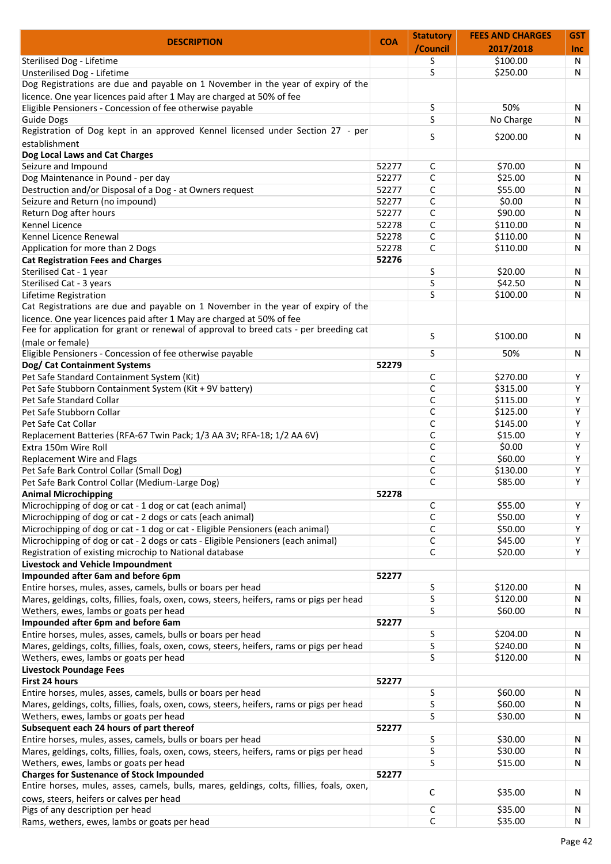| <b>DESCRIPTION</b>                                                                         | <b>COA</b> | <b>Statutory</b> | <b>FEES AND CHARGES</b> | GST        |
|--------------------------------------------------------------------------------------------|------------|------------------|-------------------------|------------|
|                                                                                            |            | /Council         | 2017/2018               | <b>Inc</b> |
| Sterilised Dog - Lifetime                                                                  |            | S                | \$100.00                | N          |
| Unsterilised Dog - Lifetime                                                                |            | S                | \$250.00                | N          |
| Dog Registrations are due and payable on 1 November in the year of expiry of the           |            |                  |                         |            |
| licence. One year licences paid after 1 May are charged at 50% of fee                      |            |                  |                         |            |
| Eligible Pensioners - Concession of fee otherwise payable                                  |            | S                | 50%                     | N          |
| <b>Guide Dogs</b>                                                                          |            | S                | No Charge               | N          |
| Registration of Dog kept in an approved Kennel licensed under Section 27 - per             |            | S                | \$200.00                | N          |
| establishment                                                                              |            |                  |                         |            |
| Dog Local Laws and Cat Charges                                                             |            |                  |                         |            |
| Seizure and Impound                                                                        | 52277      | C                | \$70.00                 | N          |
| Dog Maintenance in Pound - per day                                                         | 52277      | С                | \$25.00                 | N          |
| Destruction and/or Disposal of a Dog - at Owners request                                   | 52277      | C                | \$55.00                 | N          |
| Seizure and Return (no impound)                                                            | 52277      | C                | \$0.00                  | N          |
| Return Dog after hours                                                                     | 52277      | C                | \$90.00                 | N          |
| Kennel Licence                                                                             | 52278      | C                | \$110.00                | N          |
| Kennel Licence Renewal                                                                     | 52278      | C                | \$110.00                | N          |
| Application for more than 2 Dogs                                                           | 52278      | C                | \$110.00                | N          |
| <b>Cat Registration Fees and Charges</b>                                                   | 52276      |                  |                         |            |
| Sterilised Cat - 1 year                                                                    |            | S                | \$20.00                 | N          |
| Sterilised Cat - 3 years                                                                   |            | S                | \$42.50                 | N          |
| Lifetime Registration                                                                      |            | S                | \$100.00                | N          |
| Cat Registrations are due and payable on 1 November in the year of expiry of the           |            |                  |                         |            |
| licence. One year licences paid after 1 May are charged at 50% of fee                      |            |                  |                         |            |
| Fee for application for grant or renewal of approval to breed cats - per breeding cat      |            |                  |                         |            |
| (male or female)                                                                           |            | S                | \$100.00                | N          |
|                                                                                            |            |                  |                         |            |
| Eligible Pensioners - Concession of fee otherwise payable                                  |            | S                | 50%                     | N          |
| Dog/ Cat Containment Systems                                                               | 52279      |                  |                         |            |
| Pet Safe Standard Containment System (Kit)                                                 |            | C                | \$270.00                | Υ          |
| Pet Safe Stubborn Containment System (Kit + 9V battery)                                    |            | C                | \$315.00                | Y          |
| Pet Safe Standard Collar                                                                   |            | C                | \$115.00                | Y          |
| Pet Safe Stubborn Collar                                                                   |            | $\mathsf{C}$     | \$125.00                | Y          |
| Pet Safe Cat Collar                                                                        |            | C                | \$145.00                | Y          |
| Replacement Batteries (RFA-67 Twin Pack; 1/3 AA 3V; RFA-18; 1/2 AA 6V)                     |            | C                | \$15.00                 | Y          |
| Extra 150m Wire Roll                                                                       |            | C                | \$0.00                  | Y          |
| Replacement Wire and Flags                                                                 |            | C                | \$60.00                 | Y          |
| Pet Safe Bark Control Collar (Small Dog)                                                   |            | С                | \$130.00                | Υ          |
| Pet Safe Bark Control Collar (Medium-Large Dog)                                            |            | C                | \$85.00                 | Y          |
| <b>Animal Microchipping</b>                                                                | 52278      |                  |                         |            |
| Microchipping of dog or cat - 1 dog or cat (each animal)                                   |            | $\mathsf{C}$     | \$55.00                 | Υ          |
| Microchipping of dog or cat - 2 dogs or cats (each animal)                                 |            | C                | \$50.00                 | Y          |
| Microchipping of dog or cat - 1 dog or cat - Eligible Pensioners (each animal)             |            | $\mathsf{C}$     | \$50.00                 | Y          |
| Microchipping of dog or cat - 2 dogs or cats - Eligible Pensioners (each animal)           |            | $\mathsf{C}$     | \$45.00                 | Υ          |
| Registration of existing microchip to National database                                    |            | C                | \$20.00                 | Υ          |
| Livestock and Vehicle Impoundment                                                          |            |                  |                         |            |
| Impounded after 6am and before 6pm                                                         | 52277      |                  |                         |            |
| Entire horses, mules, asses, camels, bulls or boars per head                               |            | S                | \$120.00                | N          |
| Mares, geldings, colts, fillies, foals, oxen, cows, steers, heifers, rams or pigs per head |            | S                | \$120.00                | Ν          |
| Wethers, ewes, lambs or goats per head                                                     |            | S                | \$60.00                 | N          |
| Impounded after 6pm and before 6am                                                         | 52277      |                  |                         |            |
| Entire horses, mules, asses, camels, bulls or boars per head                               |            | S                | \$204.00                | N          |
|                                                                                            |            | S                | \$240.00                | N          |
| Mares, geldings, colts, fillies, foals, oxen, cows, steers, heifers, rams or pigs per head |            |                  |                         |            |
| Wethers, ewes, lambs or goats per head                                                     |            | S                | \$120.00                | Ν          |
| <b>Livestock Poundage Fees</b>                                                             |            |                  |                         |            |
| First 24 hours                                                                             | 52277      |                  |                         |            |
| Entire horses, mules, asses, camels, bulls or boars per head                               |            | S                | \$60.00                 | N          |
| Mares, geldings, colts, fillies, foals, oxen, cows, steers, heifers, rams or pigs per head |            | S                | \$60.00                 | N          |
| Wethers, ewes, lambs or goats per head                                                     |            | S                | \$30.00                 | Ν          |
| Subsequent each 24 hours of part thereof                                                   | 52277      |                  |                         |            |
| Entire horses, mules, asses, camels, bulls or boars per head                               |            | S                | \$30.00                 | N          |
| Mares, geldings, colts, fillies, foals, oxen, cows, steers, heifers, rams or pigs per head |            | S                | \$30.00                 | N          |
| Wethers, ewes, lambs or goats per head                                                     |            | S                | \$15.00                 | N          |
| <b>Charges for Sustenance of Stock Impounded</b>                                           | 52277      |                  |                         |            |
| Entire horses, mules, asses, camels, bulls, mares, geldings, colts, fillies, foals, oxen,  |            | C                | \$35.00                 |            |
| cows, steers, heifers or calves per head                                                   |            |                  |                         | N          |
| Pigs of any description per head                                                           |            | C                | \$35.00                 | N          |
| Rams, wethers, ewes, lambs or goats per head                                               |            | С                | \$35.00                 | N          |
|                                                                                            |            |                  |                         |            |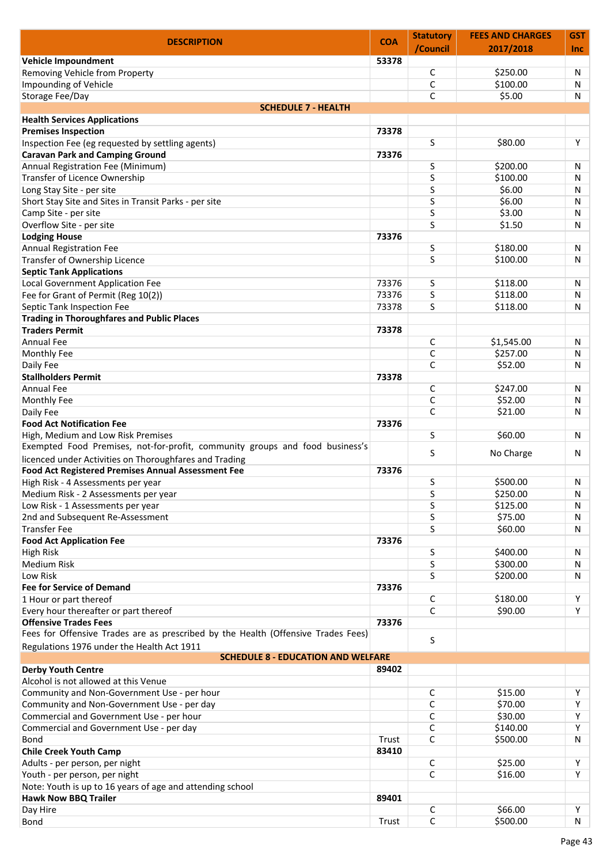| <b>DESCRIPTION</b>                                                                | <b>COA</b> | <b>Statutory</b> | <b>FEES AND CHARGES</b> | <b>GST</b> |
|-----------------------------------------------------------------------------------|------------|------------------|-------------------------|------------|
|                                                                                   |            | /Council         | 2017/2018               | <b>Inc</b> |
| Vehicle Impoundment                                                               | 53378      |                  |                         |            |
| Removing Vehicle from Property                                                    |            | $\mathsf{C}$     | \$250.00                | N          |
| Impounding of Vehicle                                                             |            | C                | \$100.00                | N          |
| Storage Fee/Day                                                                   |            | C                | \$5.00                  | N          |
| <b>SCHEDULE 7 - HEALTH</b>                                                        |            |                  |                         |            |
| <b>Health Services Applications</b>                                               |            |                  |                         |            |
| <b>Premises Inspection</b><br>Inspection Fee (eg requested by settling agents)    | 73378      | S                | \$80.00                 | Υ          |
| <b>Caravan Park and Camping Ground</b>                                            | 73376      |                  |                         |            |
| Annual Registration Fee (Minimum)                                                 |            | S                | \$200.00                | N          |
| Transfer of Licence Ownership                                                     |            | S                | \$100.00                | N          |
| Long Stay Site - per site                                                         |            | S                | \$6.00                  | N          |
| Short Stay Site and Sites in Transit Parks - per site                             |            | S                | \$6.00                  | N          |
| Camp Site - per site                                                              |            | S                | \$3.00                  | N          |
| Overflow Site - per site                                                          |            | S                | \$1.50                  | N          |
| <b>Lodging House</b>                                                              | 73376      |                  |                         |            |
| <b>Annual Registration Fee</b>                                                    |            | S                | \$180.00                | N          |
| Transfer of Ownership Licence                                                     |            | S                | \$100.00                | N          |
| <b>Septic Tank Applications</b>                                                   |            |                  |                         |            |
| Local Government Application Fee                                                  | 73376      | S                | \$118.00                | N          |
| Fee for Grant of Permit (Reg 10(2))                                               | 73376      | S                | \$118.00                | Ν          |
| Septic Tank Inspection Fee                                                        | 73378      | S                | \$118.00                | N          |
| <b>Trading in Thoroughfares and Public Places</b>                                 |            |                  |                         |            |
| <b>Traders Permit</b>                                                             | 73378      |                  |                         |            |
| <b>Annual Fee</b>                                                                 |            | C                | \$1,545.00              | N          |
| Monthly Fee                                                                       |            | C                | \$257.00                | N          |
| Daily Fee                                                                         |            | C                | \$52.00                 | N          |
| <b>Stallholders Permit</b>                                                        | 73378      |                  |                         |            |
| Annual Fee                                                                        |            | C                | \$247.00                | N          |
| Monthly Fee                                                                       |            | C                | \$52.00                 | N          |
| Daily Fee                                                                         |            | C                | \$21.00                 | N          |
| <b>Food Act Notification Fee</b>                                                  | 73376      |                  |                         |            |
| High, Medium and Low Risk Premises                                                |            | S                | \$60.00                 | N          |
| Exempted Food Premises, not-for-profit, community groups and food business's      |            |                  |                         |            |
| licenced under Activities on Thoroughfares and Trading                            |            | S                | No Charge               | N          |
| <b>Food Act Registered Premises Annual Assessment Fee</b>                         | 73376      |                  |                         |            |
| High Risk - 4 Assessments per year                                                |            | S                | \$500.00                | N          |
| Medium Risk - 2 Assessments per year                                              |            | S                | \$250.00                | N          |
| Low Risk - 1 Assessments per year                                                 |            | S                | \$125.00                | N          |
| 2nd and Subsequent Re-Assessment                                                  |            | S                | \$75.00                 | N          |
| <b>Transfer Fee</b>                                                               |            | S                | \$60.00                 | N          |
| <b>Food Act Application Fee</b>                                                   | 73376      |                  |                         |            |
| <b>High Risk</b>                                                                  |            | S                | \$400.00                | N          |
| Medium Risk                                                                       |            | S                | \$300.00                | N          |
| Low Risk                                                                          |            | S                | \$200.00                | N          |
| <b>Fee for Service of Demand</b>                                                  | 73376      |                  |                         |            |
| 1 Hour or part thereof                                                            |            | C                | \$180.00                | Υ          |
| Every hour thereafter or part thereof                                             |            | C                | \$90.00                 | Y          |
| <b>Offensive Trades Fees</b>                                                      | 73376      |                  |                         |            |
| Fees for Offensive Trades are as prescribed by the Health (Offensive Trades Fees) |            |                  |                         |            |
| Regulations 1976 under the Health Act 1911                                        |            | S                |                         |            |
| <b>SCHEDULE 8 - EDUCATION AND WELFARE</b>                                         |            |                  |                         |            |
| <b>Derby Youth Centre</b>                                                         | 89402      |                  |                         |            |
| Alcohol is not allowed at this Venue                                              |            |                  |                         |            |
| Community and Non-Government Use - per hour                                       |            | C                | \$15.00                 | Y          |
| Community and Non-Government Use - per day                                        |            | C                | \$70.00                 | Y          |
| Commercial and Government Use - per hour                                          |            | C                | \$30.00                 | Y          |
| Commercial and Government Use - per day                                           |            | C                | \$140.00                | Υ          |
| <b>Bond</b>                                                                       | Trust      | C                | \$500.00                | N          |
| <b>Chile Creek Youth Camp</b>                                                     | 83410      |                  |                         |            |
| Adults - per person, per night                                                    |            | C                | \$25.00                 | Υ          |
| Youth - per person, per night                                                     |            | C                | \$16.00                 | Y          |
| Note: Youth is up to 16 years of age and attending school                         |            |                  |                         |            |
| <b>Hawk Now BBQ Trailer</b>                                                       | 89401      |                  |                         |            |
| Day Hire                                                                          |            | C                | \$66.00                 | Υ          |
| <b>Bond</b>                                                                       | Trust      | $\mathsf{C}$     | \$500.00                | N          |
|                                                                                   |            |                  |                         |            |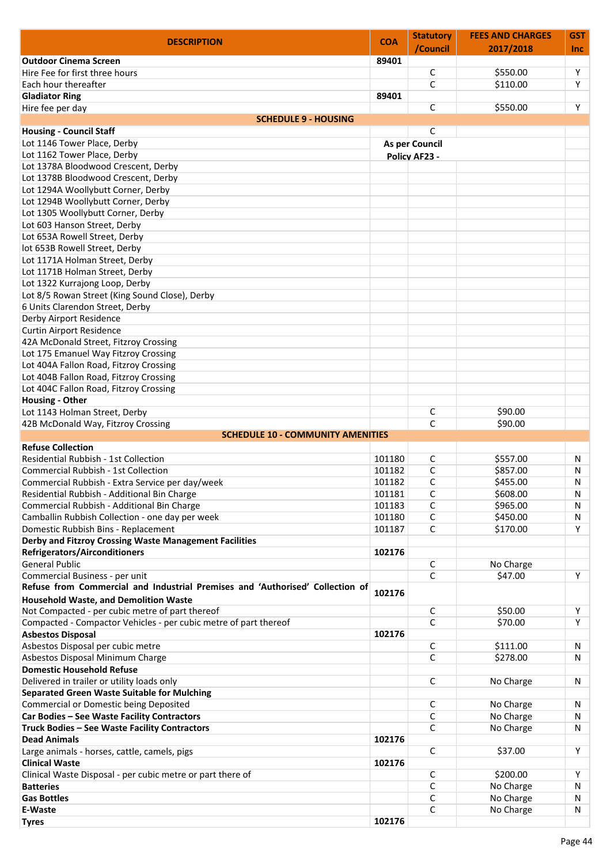| <b>DESCRIPTION</b>                                                            | <b>COA</b> | <b>Statutory</b>      | <b>FEES AND CHARGES</b> | <b>GST</b> |
|-------------------------------------------------------------------------------|------------|-----------------------|-------------------------|------------|
|                                                                               |            | /Council              | 2017/2018               | <b>Inc</b> |
| <b>Outdoor Cinema Screen</b>                                                  | 89401      |                       |                         |            |
| Hire Fee for first three hours                                                |            | C                     | \$550.00                | Υ          |
| Each hour thereafter                                                          |            | $\mathsf{C}$          | \$110.00                | Y          |
| <b>Gladiator Ring</b>                                                         | 89401      | C                     | \$550.00                | Υ          |
| Hire fee per day<br><b>SCHEDULE 9 - HOUSING</b>                               |            |                       |                         |            |
| <b>Housing - Council Staff</b>                                                |            | C                     |                         |            |
| Lot 1146 Tower Place, Derby                                                   |            | <b>As per Council</b> |                         |            |
| Lot 1162 Tower Place, Derby                                                   |            |                       |                         |            |
| Lot 1378A Bloodwood Crescent, Derby                                           |            | <b>Policy AF23 -</b>  |                         |            |
| Lot 1378B Bloodwood Crescent, Derby                                           |            |                       |                         |            |
| Lot 1294A Woollybutt Corner, Derby                                            |            |                       |                         |            |
| Lot 1294B Woollybutt Corner, Derby                                            |            |                       |                         |            |
| Lot 1305 Woollybutt Corner, Derby                                             |            |                       |                         |            |
| Lot 603 Hanson Street, Derby                                                  |            |                       |                         |            |
| Lot 653A Rowell Street, Derby                                                 |            |                       |                         |            |
| lot 653B Rowell Street, Derby                                                 |            |                       |                         |            |
| Lot 1171A Holman Street, Derby                                                |            |                       |                         |            |
| Lot 1171B Holman Street, Derby                                                |            |                       |                         |            |
| Lot 1322 Kurrajong Loop, Derby                                                |            |                       |                         |            |
| Lot 8/5 Rowan Street (King Sound Close), Derby                                |            |                       |                         |            |
| 6 Units Clarendon Street, Derby                                               |            |                       |                         |            |
| Derby Airport Residence                                                       |            |                       |                         |            |
| <b>Curtin Airport Residence</b>                                               |            |                       |                         |            |
| 42A McDonald Street, Fitzroy Crossing                                         |            |                       |                         |            |
| Lot 175 Emanuel Way Fitzroy Crossing                                          |            |                       |                         |            |
| Lot 404A Fallon Road, Fitzroy Crossing                                        |            |                       |                         |            |
| Lot 404B Fallon Road, Fitzroy Crossing                                        |            |                       |                         |            |
| Lot 404C Fallon Road, Fitzroy Crossing                                        |            |                       |                         |            |
| <b>Housing - Other</b>                                                        |            |                       |                         |            |
| Lot 1143 Holman Street, Derby                                                 |            | C                     | \$90.00                 |            |
| 42B McDonald Way, Fitzroy Crossing                                            |            | C                     | \$90.00                 |            |
| <b>SCHEDULE 10 - COMMUNITY AMENITIES</b>                                      |            |                       |                         |            |
| <b>Refuse Collection</b>                                                      |            |                       |                         |            |
| Residential Rubbish - 1st Collection                                          | 101180     | C                     | \$557.00                | N          |
| <b>Commercial Rubbish - 1st Collection</b>                                    | 101182     | C                     | \$857.00                | N          |
| Commercial Rubbish - Extra Service per day/week                               | 101182     | C                     | \$455.00                | N          |
| Residential Rubbish - Additional Bin Charge                                   | 101181     | $\mathsf C$           | \$608.00                | N          |
| Commercial Rubbish - Additional Bin Charge                                    | 101183     | C                     | \$965.00                | N          |
| Camballin Rubbish Collection - one day per week                               | 101180     | C                     | \$450.00                | N          |
| Domestic Rubbish Bins - Replacement                                           | 101187     | $\mathsf{C}$          | \$170.00                | Y          |
| Derby and Fitzroy Crossing Waste Management Facilities                        |            |                       |                         |            |
| <b>Refrigerators/Airconditioners</b>                                          | 102176     |                       |                         |            |
| <b>General Public</b>                                                         |            | C                     | No Charge               |            |
| Commercial Business - per unit                                                |            | C                     | \$47.00                 | Y          |
| Refuse from Commercial and Industrial Premises and 'Authorised' Collection of | 102176     |                       |                         |            |
| <b>Household Waste, and Demolition Waste</b>                                  |            |                       |                         |            |
| Not Compacted - per cubic metre of part thereof                               |            | $\mathsf C$           | \$50.00                 | Υ          |
| Compacted - Compactor Vehicles - per cubic metre of part thereof              |            | $\mathsf{C}$          | \$70.00                 | Y          |
| <b>Asbestos Disposal</b>                                                      | 102176     |                       |                         |            |
| Asbestos Disposal per cubic metre                                             |            | $\mathsf C$           | \$111.00                | N          |
| Asbestos Disposal Minimum Charge                                              |            | C                     | \$278.00                | N          |
| <b>Domestic Household Refuse</b>                                              |            |                       |                         |            |
| Delivered in trailer or utility loads only                                    |            | C                     | No Charge               | N          |
| <b>Separated Green Waste Suitable for Mulching</b>                            |            |                       |                         |            |
| Commercial or Domestic being Deposited                                        |            | C                     | No Charge               | N          |
| Car Bodies - See Waste Facility Contractors                                   |            | C                     | No Charge               | N          |
| Truck Bodies - See Waste Facility Contractors                                 |            | $\mathsf{C}$          | No Charge               | N          |
| <b>Dead Animals</b>                                                           | 102176     |                       |                         |            |
| Large animals - horses, cattle, camels, pigs                                  |            | $\mathsf{C}$          | \$37.00                 | Y          |
| <b>Clinical Waste</b>                                                         | 102176     |                       |                         |            |
| Clinical Waste Disposal - per cubic metre or part there of                    |            | C                     | \$200.00                | Y          |
| <b>Batteries</b>                                                              |            | $\mathsf{C}$          | No Charge               | N          |
| <b>Gas Bottles</b>                                                            |            | C                     | No Charge               | N          |
| E-Waste                                                                       |            | C                     | No Charge               | N          |
| <b>Tyres</b>                                                                  | 102176     |                       |                         |            |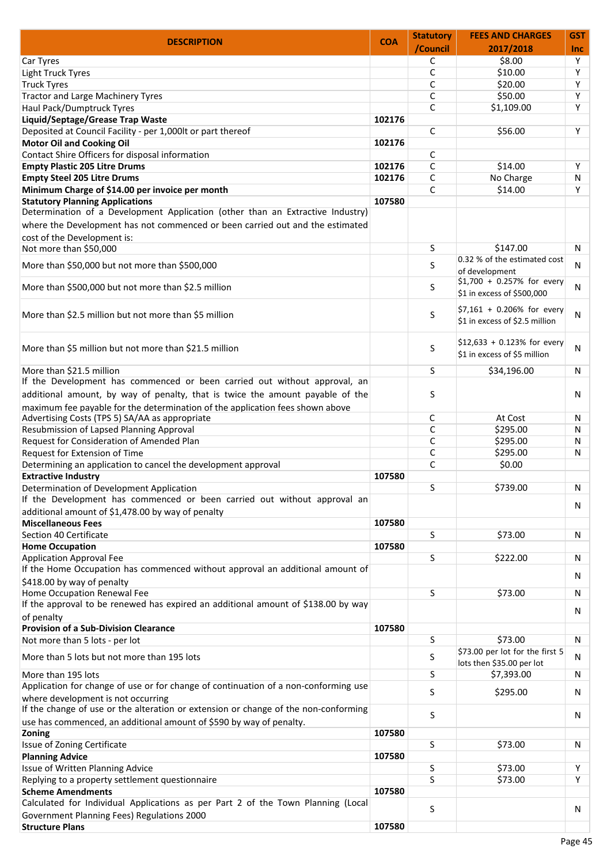| <b>DESCRIPTION</b>                                                                                                             | <b>COA</b> | <b>Statutory</b> | <b>FEES AND CHARGES</b>                                       | GST        |
|--------------------------------------------------------------------------------------------------------------------------------|------------|------------------|---------------------------------------------------------------|------------|
|                                                                                                                                |            | /Council         | 2017/2018                                                     | <b>Inc</b> |
| Car Tyres                                                                                                                      |            | C                | \$8.00                                                        | Y          |
| Light Truck Tyres                                                                                                              |            | C                | \$10.00                                                       | Y          |
| <b>Truck Tyres</b>                                                                                                             |            | C                | \$20.00                                                       | Y          |
| <b>Tractor and Large Machinery Tyres</b>                                                                                       |            | C                | \$50.00                                                       | Y          |
| Haul Pack/Dumptruck Tyres                                                                                                      |            | C                | \$1,109.00                                                    | Y          |
| Liquid/Septage/Grease Trap Waste                                                                                               | 102176     |                  |                                                               |            |
| Deposited at Council Facility - per 1,000lt or part thereof                                                                    |            | C                | \$56.00                                                       | Υ          |
| <b>Motor Oil and Cooking Oil</b>                                                                                               | 102176     |                  |                                                               |            |
| Contact Shire Officers for disposal information                                                                                |            | C                |                                                               |            |
| <b>Empty Plastic 205 Litre Drums</b>                                                                                           | 102176     | C                | \$14.00                                                       | Υ          |
| <b>Empty Steel 205 Litre Drums</b>                                                                                             | 102176     | C                | No Charge                                                     | N          |
| Minimum Charge of \$14.00 per invoice per month                                                                                |            | C                | \$14.00                                                       | Υ          |
| <b>Statutory Planning Applications</b><br>Determination of a Development Application (other than an Extractive Industry)       | 107580     |                  |                                                               |            |
| where the Development has not commenced or been carried out and the estimated                                                  |            |                  |                                                               |            |
| cost of the Development is:                                                                                                    |            |                  |                                                               |            |
| Not more than \$50,000                                                                                                         |            | S                | \$147.00                                                      | N          |
|                                                                                                                                |            |                  | 0.32 % of the estimated cost                                  |            |
| More than \$50,000 but not more than \$500,000                                                                                 |            | S                | of development                                                | N          |
| More than \$500,000 but not more than \$2.5 million                                                                            |            | S                | $$1,700 + 0.257\%$ for every<br>\$1 in excess of \$500,000    | N          |
| More than \$2.5 million but not more than \$5 million                                                                          |            | S                | \$7,161 + 0.206% for every<br>\$1 in excess of \$2.5 million  | N          |
| More than \$5 million but not more than \$21.5 million                                                                         |            | S                | $$12,633 + 0.123\%$ for every<br>\$1 in excess of \$5 million | N          |
| More than \$21.5 million                                                                                                       |            | S                | \$34,196.00                                                   | N          |
| If the Development has commenced or been carried out without approval, an                                                      |            |                  |                                                               |            |
| additional amount, by way of penalty, that is twice the amount payable of the                                                  |            | S                |                                                               | N          |
| maximum fee payable for the determination of the application fees shown above                                                  |            |                  |                                                               |            |
| Advertising Costs (TPS 5) SA/AA as appropriate                                                                                 |            | C                | At Cost                                                       | N          |
| Resubmission of Lapsed Planning Approval                                                                                       |            | C                | \$295.00                                                      | N          |
| Request for Consideration of Amended Plan                                                                                      |            | C                | \$295.00                                                      | N          |
| Request for Extension of Time                                                                                                  |            | С                | \$295.00                                                      | N          |
| Determining an application to cancel the development approval                                                                  |            | C                | \$0.00                                                        |            |
| <b>Extractive Industry</b>                                                                                                     | 107580     |                  |                                                               |            |
| Determination of Development Application                                                                                       |            | S                | \$739.00                                                      | N          |
| If the Development has commenced or been carried out without approval an                                                       |            |                  |                                                               |            |
| additional amount of \$1,478.00 by way of penalty                                                                              |            |                  |                                                               | N          |
| <b>Miscellaneous Fees</b>                                                                                                      | 107580     |                  |                                                               |            |
| Section 40 Certificate                                                                                                         |            |                  |                                                               |            |
|                                                                                                                                |            | S                | \$73.00                                                       | N          |
| <b>Home Occupation</b>                                                                                                         | 107580     |                  |                                                               |            |
| <b>Application Approval Fee</b>                                                                                                |            | S.               | \$222.00                                                      | N          |
| If the Home Occupation has commenced without approval an additional amount of                                                  |            |                  |                                                               | N          |
| \$418.00 by way of penalty                                                                                                     |            |                  |                                                               |            |
| Home Occupation Renewal Fee                                                                                                    |            | S                | \$73.00                                                       | N          |
| If the approval to be renewed has expired an additional amount of \$138.00 by way                                              |            |                  |                                                               | N          |
| of penalty                                                                                                                     |            |                  |                                                               |            |
| <b>Provision of a Sub-Division Clearance</b>                                                                                   | 107580     |                  |                                                               |            |
| Not more than 5 lots - per lot                                                                                                 |            | S                | \$73.00                                                       | N          |
| More than 5 lots but not more than 195 lots                                                                                    |            | S                | \$73.00 per lot for the first 5<br>lots then \$35.00 per lot  | N          |
| More than 195 lots                                                                                                             |            | S                | \$7,393.00                                                    | N          |
| Application for change of use or for change of continuation of a non-conforming use                                            |            | S                | \$295.00                                                      | N          |
| where development is not occurring<br>If the change of use or the alteration or extension or change of the non-conforming      |            |                  |                                                               |            |
| use has commenced, an additional amount of \$590 by way of penalty.<br>Zoning                                                  | 107580     | S                |                                                               | N          |
| Issue of Zoning Certificate                                                                                                    |            | S                | \$73.00                                                       | N          |
| <b>Planning Advice</b>                                                                                                         | 107580     |                  |                                                               |            |
| Issue of Written Planning Advice                                                                                               |            | S                | \$73.00                                                       | Y          |
| Replying to a property settlement questionnaire                                                                                |            | S                | \$73.00                                                       | Y          |
| <b>Scheme Amendments</b>                                                                                                       | 107580     |                  |                                                               |            |
| Calculated for Individual Applications as per Part 2 of the Town Planning (Local<br>Government Planning Fees) Regulations 2000 |            | S                |                                                               | N          |
| <b>Structure Plans</b>                                                                                                         | 107580     |                  |                                                               |            |
|                                                                                                                                |            |                  |                                                               |            |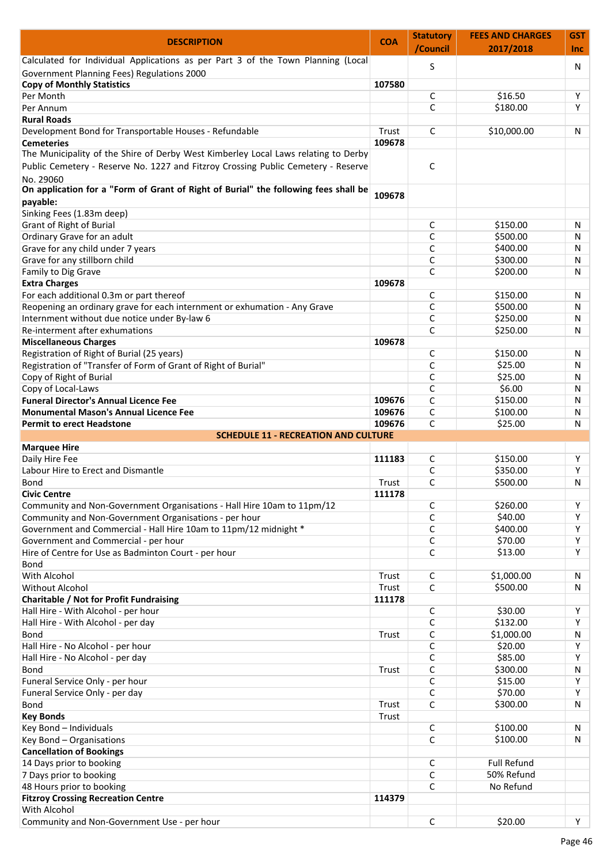| <b>DESCRIPTION</b>                                                                    | <b>COA</b> | <b>Statutory</b> | <b>FEES AND CHARGES</b> | <b>GST</b> |
|---------------------------------------------------------------------------------------|------------|------------------|-------------------------|------------|
|                                                                                       |            | /Council         | 2017/2018               | <b>Inc</b> |
| Calculated for Individual Applications as per Part 3 of the Town Planning (Local      |            | S                |                         | N          |
| Government Planning Fees) Regulations 2000                                            |            |                  |                         |            |
| <b>Copy of Monthly Statistics</b>                                                     | 107580     |                  |                         |            |
| Per Month                                                                             |            | C                | \$16.50                 | Υ          |
| Per Annum                                                                             |            | C                | \$180.00                | Y          |
| <b>Rural Roads</b>                                                                    |            |                  |                         |            |
| Development Bond for Transportable Houses - Refundable                                | Trust      | $\mathsf{C}$     | \$10,000.00             | N          |
| <b>Cemeteries</b>                                                                     | 109678     |                  |                         |            |
| The Municipality of the Shire of Derby West Kimberley Local Laws relating to Derby    |            |                  |                         |            |
| Public Cemetery - Reserve No. 1227 and Fitzroy Crossing Public Cemetery - Reserve     |            | C                |                         |            |
| No. 29060                                                                             |            |                  |                         |            |
| On application for a "Form of Grant of Right of Burial" the following fees shall be   | 109678     |                  |                         |            |
| payable:                                                                              |            |                  |                         |            |
| Sinking Fees (1.83m deep)                                                             |            |                  |                         |            |
| <b>Grant of Right of Burial</b>                                                       |            | C                | \$150.00                | N          |
| Ordinary Grave for an adult                                                           |            | C                | \$500.00                | N          |
| Grave for any child under 7 years                                                     |            | C                | \$400.00                | N          |
| Grave for any stillborn child                                                         |            | C                | \$300.00                | N          |
| Family to Dig Grave                                                                   |            | C                | \$200.00                | N          |
| <b>Extra Charges</b>                                                                  | 109678     |                  |                         |            |
| For each additional 0.3m or part thereof                                              |            | C                | \$150.00                | N          |
| Reopening an ordinary grave for each internment or exhumation - Any Grave             |            | C                | \$500.00                | N          |
| Internment without due notice under By-law 6                                          |            | C                | \$250.00                | N          |
| Re-interment after exhumations                                                        |            | $\mathsf{C}$     | \$250.00                | N          |
| <b>Miscellaneous Charges</b>                                                          | 109678     |                  |                         |            |
| Registration of Right of Burial (25 years)                                            |            | C                | \$150.00                | N          |
| Registration of "Transfer of Form of Grant of Right of Burial"                        |            | C                | \$25.00                 | N          |
| Copy of Right of Burial                                                               |            | C                | \$25.00                 | N          |
| Copy of Local-Laws                                                                    |            | C                | \$6.00                  | N          |
| <b>Funeral Director's Annual Licence Fee</b>                                          | 109676     | $\mathsf{C}$     | \$150.00                | N          |
| <b>Monumental Mason's Annual Licence Fee</b>                                          | 109676     | C                | \$100.00                | N          |
| <b>Permit to erect Headstone</b>                                                      | 109676     | $\mathsf{C}$     | \$25.00                 | N          |
| <b>SCHEDULE 11 - RECREATION AND CULTURE</b>                                           |            |                  |                         |            |
| <b>Marquee Hire</b>                                                                   |            |                  |                         |            |
| Daily Hire Fee                                                                        | 111183     | C                | \$150.00                | Υ          |
| Labour Hire to Erect and Dismantle                                                    |            | C                | \$350.00                | Y          |
| Bond                                                                                  | Trust      | C                | \$500.00                | N          |
| <b>Civic Centre</b>                                                                   | 111178     |                  |                         |            |
| Community and Non-Government Organisations - Hall Hire 10am to 11pm/12                |            | C                | \$260.00                | Y          |
| Community and Non-Government Organisations - per hour                                 |            | C                | \$40.00                 | Y          |
| Government and Commercial - Hall Hire 10am to 11pm/12 midnight *                      |            | C                | \$400.00                | Y          |
| Government and Commercial - per hour                                                  |            | C                | \$70.00                 | Y          |
| Hire of Centre for Use as Badminton Court - per hour                                  |            | $\mathsf C$      | \$13.00                 | Y          |
| <b>Bond</b>                                                                           |            |                  |                         |            |
| With Alcohol                                                                          | Trust      | C                | \$1,000.00              | N          |
| Without Alcohol                                                                       | Trust      | $\mathsf{C}$     | \$500.00                | N          |
|                                                                                       | 111178     |                  |                         |            |
| <b>Charitable / Not for Profit Fundraising</b><br>Hall Hire - With Alcohol - per hour |            |                  |                         | Y          |
|                                                                                       |            | C<br>C           | \$30.00<br>\$132.00     | Y          |
| Hall Hire - With Alcohol - per day                                                    |            |                  |                         |            |
| <b>Bond</b>                                                                           | Trust      | C                | \$1,000.00              | N          |
| Hall Hire - No Alcohol - per hour                                                     |            | C                | \$20.00                 | Υ          |
| Hall Hire - No Alcohol - per day                                                      |            | C                | \$85.00                 | Υ          |
| <b>Bond</b>                                                                           | Trust      | $\mathsf{C}$     | \$300.00                | N          |
| Funeral Service Only - per hour                                                       |            | C                | \$15.00                 | Y          |
| Funeral Service Only - per day                                                        |            | $\mathsf{C}$     | \$70.00                 | Y          |
| Bond                                                                                  | Trust      | C                | \$300.00                | N          |
| <b>Key Bonds</b>                                                                      | Trust      |                  |                         |            |
| Key Bond - Individuals                                                                |            | C                | \$100.00                | N          |
| Key Bond - Organisations                                                              |            | C                | \$100.00                | N          |
| <b>Cancellation of Bookings</b>                                                       |            |                  |                         |            |
| 14 Days prior to booking                                                              |            | C                | <b>Full Refund</b>      |            |
| 7 Days prior to booking                                                               |            | C                | 50% Refund              |            |
| 48 Hours prior to booking                                                             |            | C                | No Refund               |            |
| <b>Fitzroy Crossing Recreation Centre</b>                                             | 114379     |                  |                         |            |
| With Alcohol                                                                          |            |                  |                         |            |
| Community and Non-Government Use - per hour                                           |            | $\mathsf C$      | \$20.00                 | Y          |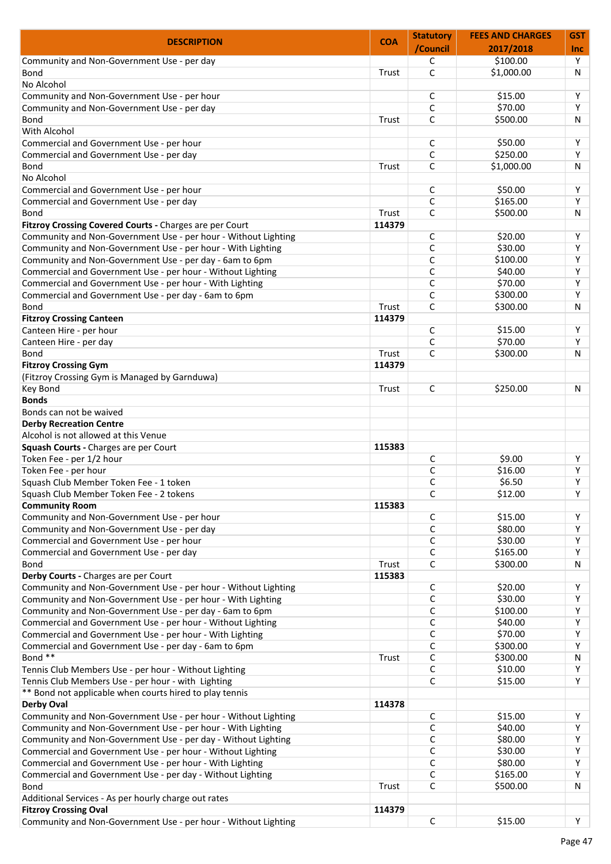| <b>DESCRIPTION</b>                                             | <b>COA</b> | <b>Statutory</b> | <b>FEES AND CHARGES</b> | <b>GST</b> |
|----------------------------------------------------------------|------------|------------------|-------------------------|------------|
|                                                                |            | /Council         | 2017/2018               | <b>Inc</b> |
| Community and Non-Government Use - per day                     |            | C                | \$100.00                | Y          |
| Bond                                                           | Trust      | $\mathsf{C}$     | \$1,000.00              | N          |
| No Alcohol                                                     |            |                  |                         |            |
| Community and Non-Government Use - per hour                    |            | C                | \$15.00                 | Υ          |
| Community and Non-Government Use - per day                     |            | C                | \$70.00                 | Y          |
| <b>Bond</b>                                                    | Trust      | C                | \$500.00                | N          |
| With Alcohol                                                   |            |                  |                         |            |
| Commercial and Government Use - per hour                       |            | C                | \$50.00                 | Υ          |
| Commercial and Government Use - per day                        |            | C                | \$250.00                | Y          |
| Bond                                                           | Trust      | C                | \$1,000.00              | N          |
| No Alcohol                                                     |            |                  |                         |            |
| Commercial and Government Use - per hour                       |            | C                | \$50.00                 | Υ          |
| Commercial and Government Use - per day                        |            | C                | \$165.00                | Y          |
| Bond                                                           | Trust      | C                | \$500.00                | N          |
| Fitzroy Crossing Covered Courts - Charges are per Court        | 114379     |                  |                         |            |
| Community and Non-Government Use - per hour - Without Lighting |            | C                | \$20.00                 | Υ          |
| Community and Non-Government Use - per hour - With Lighting    |            | C                | \$30.00                 | Y          |
| Community and Non-Government Use - per day - 6am to 6pm        |            | C                | \$100.00                | Y          |
| Commercial and Government Use - per hour - Without Lighting    |            | C                | \$40.00                 | Y          |
| Commercial and Government Use - per hour - With Lighting       |            | C                | \$70.00                 | Y          |
| Commercial and Government Use - per day - 6am to 6pm           |            | C                | \$300.00                | Y          |
| Bond                                                           | Trust      | $\mathsf{C}$     | \$300.00                | N          |
| <b>Fitzroy Crossing Canteen</b>                                | 114379     |                  |                         |            |
| Canteen Hire - per hour                                        |            | C                | \$15.00                 | Y          |
| Canteen Hire - per day                                         |            | C                | \$70.00                 | Y          |
| <b>Bond</b>                                                    | Trust      | C                | \$300.00                | N          |
| <b>Fitzroy Crossing Gym</b>                                    | 114379     |                  |                         |            |
|                                                                |            |                  |                         |            |
| (Fitzroy Crossing Gym is Managed by Garnduwa)                  |            |                  |                         |            |
| Key Bond                                                       | Trust      | C                | \$250.00                | N          |
| <b>Bonds</b>                                                   |            |                  |                         |            |
| Bonds can not be waived                                        |            |                  |                         |            |
| <b>Derby Recreation Centre</b>                                 |            |                  |                         |            |
| Alcohol is not allowed at this Venue                           |            |                  |                         |            |
| Squash Courts - Charges are per Court                          | 115383     |                  |                         |            |
| Token Fee - per 1/2 hour                                       |            | C                | \$9.00                  | Υ          |
| Token Fee - per hour                                           |            | C                | \$16.00                 | Y          |
| Squash Club Member Token Fee - 1 token                         |            | C                | \$6.50                  | Y          |
| Squash Club Member Token Fee - 2 tokens                        |            | C                | \$12.00                 | Y          |
| <b>Community Room</b>                                          | 115383     |                  |                         |            |
| Community and Non-Government Use - per hour                    |            | $\mathsf C$      | \$15.00                 | Y          |
| Community and Non-Government Use - per day                     |            | $\mathsf{C}$     | \$80.00                 | Y          |
| Commercial and Government Use - per hour                       |            | $\mathsf{C}$     | \$30.00                 | Y          |
| Commercial and Government Use - per day                        |            | C                | \$165.00                | Y          |
| Bond                                                           | Trust      | C                | \$300.00                | N          |
| Derby Courts - Charges are per Court                           | 115383     |                  |                         |            |
| Community and Non-Government Use - per hour - Without Lighting |            | C                | \$20.00                 | Y          |
| Community and Non-Government Use - per hour - With Lighting    |            | C                | \$30.00                 | Y          |
| Community and Non-Government Use - per day - 6am to 6pm        |            | C                | \$100.00                | Υ          |
| Commercial and Government Use - per hour - Without Lighting    |            | $\mathsf{C}$     | \$40.00                 | Y          |
| Commercial and Government Use - per hour - With Lighting       |            | $\mathsf{C}$     | \$70.00                 | Y          |
| Commercial and Government Use - per day - 6am to 6pm           |            | $\mathsf{C}$     | \$300.00                | Y          |
| Bond **                                                        | Trust      | $\mathsf C$      | \$300.00                | N          |
| Tennis Club Members Use - per hour - Without Lighting          |            | $\mathsf{C}$     | \$10.00                 | Y          |
| Tennis Club Members Use - per hour - with Lighting             |            | C                | \$15.00                 | Y          |
| ** Bond not applicable when courts hired to play tennis        |            |                  |                         |            |
| <b>Derby Oval</b>                                              | 114378     |                  |                         |            |
| Community and Non-Government Use - per hour - Without Lighting |            | C                | \$15.00                 | Y          |
| Community and Non-Government Use - per hour - With Lighting    |            | C                | \$40.00                 | Y          |
| Community and Non-Government Use - per day - Without Lighting  |            | C                | \$80.00                 | Y          |
| Commercial and Government Use - per hour - Without Lighting    |            | $\mathsf{C}$     | \$30.00                 | Y          |
| Commercial and Government Use - per hour - With Lighting       |            | $\mathsf{C}$     | \$80.00                 | Y          |
| Commercial and Government Use - per day - Without Lighting     |            | $\mathsf{C}$     | \$165.00                | Y          |
|                                                                | Trust      | $\mathsf{C}$     | \$500.00                | N          |
| Bond                                                           |            |                  |                         |            |
| Additional Services - As per hourly charge out rates           |            |                  |                         |            |
| <b>Fitzroy Crossing Oval</b>                                   | 114379     |                  |                         |            |
| Community and Non-Government Use - per hour - Without Lighting |            | $\mathsf C$      | \$15.00                 | Y          |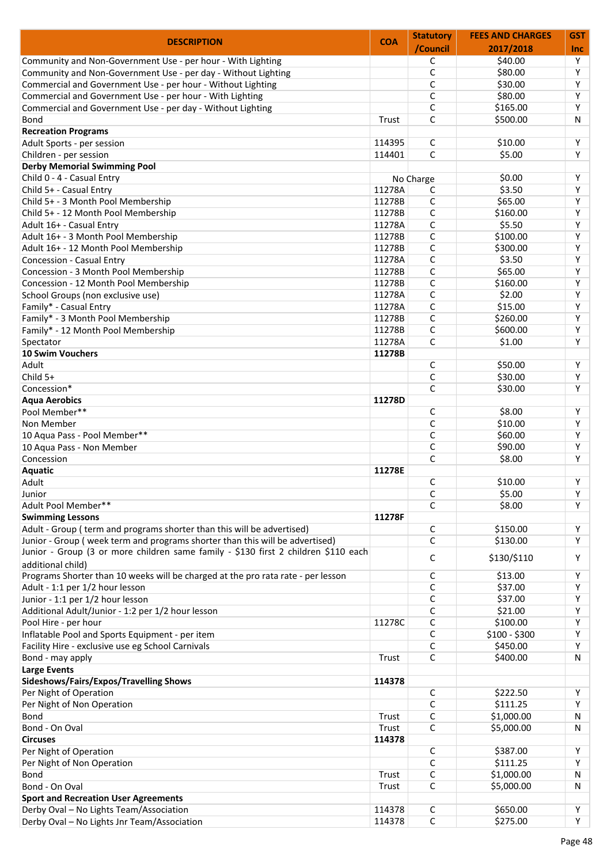| <b>DESCRIPTION</b>                                                                                                                                                 | <b>COA</b> | <b>Statutory</b> | <b>FEES AND CHARGES</b> | <b>GST</b> |
|--------------------------------------------------------------------------------------------------------------------------------------------------------------------|------------|------------------|-------------------------|------------|
|                                                                                                                                                                    |            | /Council         | 2017/2018               | <b>Inc</b> |
| Community and Non-Government Use - per hour - With Lighting                                                                                                        |            | C                | \$40.00                 | Y          |
| Community and Non-Government Use - per day - Without Lighting                                                                                                      |            | $\mathsf C$      | \$80.00                 | Y          |
| Commercial and Government Use - per hour - Without Lighting                                                                                                        |            | C                | \$30.00                 | Y          |
| Commercial and Government Use - per hour - With Lighting                                                                                                           |            | $\mathsf{C}$     | \$80.00                 | Y          |
| Commercial and Government Use - per day - Without Lighting                                                                                                         |            | C                | \$165.00                | Y          |
| <b>Bond</b>                                                                                                                                                        | Trust      | C                | \$500.00                | N          |
| <b>Recreation Programs</b>                                                                                                                                         |            |                  |                         |            |
| Adult Sports - per session                                                                                                                                         | 114395     | C                | \$10.00                 | Υ          |
| Children - per session                                                                                                                                             | 114401     | $\mathsf{C}$     | \$5.00                  | Y          |
| <b>Derby Memorial Swimming Pool</b>                                                                                                                                |            |                  |                         |            |
| Child 0 - 4 - Casual Entry                                                                                                                                         |            |                  | \$0.00                  | Y          |
|                                                                                                                                                                    |            | No Charge        |                         |            |
| Child 5+ - Casual Entry                                                                                                                                            | 11278A     | C                | \$3.50                  | Y          |
| Child 5+ - 3 Month Pool Membership                                                                                                                                 | 11278B     | $\mathsf{C}$     | \$65.00                 | Y          |
| Child 5+ - 12 Month Pool Membership                                                                                                                                | 11278B     | $\mathsf{C}$     | \$160.00                | Y          |
| Adult 16+ - Casual Entry                                                                                                                                           | 11278A     | C                | \$5.50                  | Y          |
| Adult 16+ - 3 Month Pool Membership                                                                                                                                | 11278B     | C                | \$100.00                | Y          |
| Adult 16+ - 12 Month Pool Membership                                                                                                                               | 11278B     | $\mathsf{C}$     | \$300.00                | Y          |
| Concession - Casual Entry                                                                                                                                          | 11278A     | C                | \$3.50                  | Y          |
| Concession - 3 Month Pool Membership                                                                                                                               | 11278B     | C                | \$65.00                 | Υ          |
| Concession - 12 Month Pool Membership                                                                                                                              | 11278B     | $\mathsf{C}$     | \$160.00                | Y          |
| School Groups (non exclusive use)                                                                                                                                  | 11278A     | C                | \$2.00                  | Y          |
| Family* - Casual Entry                                                                                                                                             | 11278A     | $\mathsf C$      | \$15.00                 | Y          |
| Family* - 3 Month Pool Membership                                                                                                                                  | 11278B     | C                | \$260.00                | Y          |
| Family* - 12 Month Pool Membership                                                                                                                                 | 11278B     | C                | \$600.00                | Y          |
| Spectator                                                                                                                                                          | 11278A     | C                | \$1.00                  | Y          |
| 10 Swim Vouchers                                                                                                                                                   | 11278B     |                  |                         |            |
| Adult                                                                                                                                                              |            |                  | \$50.00                 |            |
|                                                                                                                                                                    |            | C                |                         | Y          |
| Child 5+                                                                                                                                                           |            | C                | \$30.00                 | Y          |
| Concession*                                                                                                                                                        |            | C                | \$30.00                 | Y          |
| <b>Aqua Aerobics</b>                                                                                                                                               | 11278D     |                  |                         |            |
| Pool Member**                                                                                                                                                      |            | C                | \$8.00                  | Y          |
| Non Member                                                                                                                                                         |            | $\mathsf{C}$     | \$10.00                 | Y          |
| 10 Aqua Pass - Pool Member**                                                                                                                                       |            | C                | \$60.00                 | Y          |
| 10 Aqua Pass - Non Member                                                                                                                                          |            | C                | \$90.00                 | Y          |
| Concession                                                                                                                                                         |            | C                | \$8.00                  | Y          |
| <b>Aquatic</b>                                                                                                                                                     | 11278E     |                  |                         |            |
| Adult                                                                                                                                                              |            | C                | \$10.00                 | Y          |
| Junior                                                                                                                                                             |            | C                | \$5.00                  | Υ          |
| Adult Pool Member**                                                                                                                                                |            | C                | \$8.00                  | Y          |
| <b>Swimming Lessons</b>                                                                                                                                            | 11278F     |                  |                         |            |
| Adult - Group (term and programs shorter than this will be advertised)                                                                                             |            | C                | \$150.00                | Υ          |
|                                                                                                                                                                    |            | $\mathsf{C}$     |                         | Y          |
| Junior - Group (week term and programs shorter than this will be advertised)<br>Junior - Group (3 or more children same family - \$130 first 2 children \$110 each |            | C                | \$130.00<br>\$130/\$110 | Υ          |
| additional child)                                                                                                                                                  |            |                  |                         |            |
| Programs Shorter than 10 weeks will be charged at the pro rata rate - per lesson                                                                                   |            | C                | \$13.00                 | Y          |
| Adult - 1:1 per 1/2 hour lesson                                                                                                                                    |            | C                | \$37.00                 | Y          |
| Junior - 1:1 per 1/2 hour lesson                                                                                                                                   |            | C                | \$37.00                 | Y          |
| Additional Adult/Junior - 1:2 per 1/2 hour lesson                                                                                                                  |            | C                | \$21.00                 | Υ          |
| Pool Hire - per hour                                                                                                                                               | 11278C     | C                | \$100.00                | Y          |
| Inflatable Pool and Sports Equipment - per item                                                                                                                    |            | $\mathsf{C}$     | $$100 - $300$           | Y          |
| Facility Hire - exclusive use eg School Carnivals                                                                                                                  |            | C                | \$450.00                | Y          |
| Bond - may apply                                                                                                                                                   | Trust      | C                | \$400.00                | N          |
| <b>Large Events</b>                                                                                                                                                |            |                  |                         |            |
| Sideshows/Fairs/Expos/Travelling Shows                                                                                                                             | 114378     |                  |                         |            |
| Per Night of Operation                                                                                                                                             |            | C                | \$222.50                | Y          |
| Per Night of Non Operation                                                                                                                                         |            | C                | \$111.25                | Y          |
|                                                                                                                                                                    |            |                  |                         |            |
| Bond                                                                                                                                                               | Trust      | C                | \$1,000.00              | N          |
| Bond - On Oval                                                                                                                                                     | Trust      | C                | \$5,000.00              | N          |
| <b>Circuses</b>                                                                                                                                                    | 114378     |                  |                         |            |
| Per Night of Operation                                                                                                                                             |            | C                | \$387.00                | Υ          |
| Per Night of Non Operation                                                                                                                                         |            | C                | \$111.25                | Y          |
| Bond                                                                                                                                                               | Trust      | C                | \$1,000.00              | Ν          |
| Bond - On Oval                                                                                                                                                     | Trust      | $\mathsf{C}$     | \$5,000.00              | N          |
| <b>Sport and Recreation User Agreements</b>                                                                                                                        |            |                  |                         |            |
| Derby Oval - No Lights Team/Association                                                                                                                            | 114378     | C                | \$650.00                | Υ          |
| Derby Oval - No Lights Jnr Team/Association                                                                                                                        | 114378     | $\mathsf C$      | \$275.00                | Y          |
|                                                                                                                                                                    |            |                  |                         |            |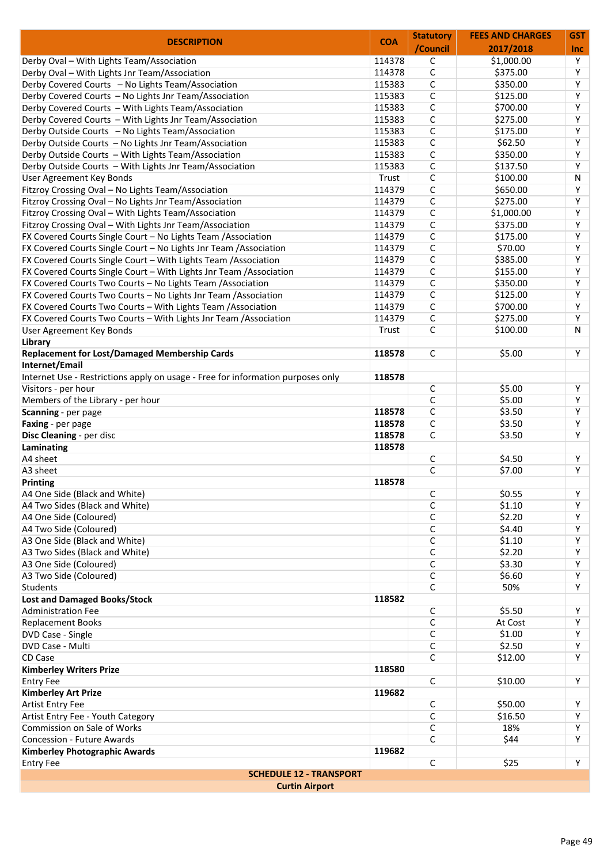| <b>DESCRIPTION</b>                                                              | <b>COA</b> | <b>Statutory</b> | <b>FEES AND CHARGES</b> | <b>GST</b> |
|---------------------------------------------------------------------------------|------------|------------------|-------------------------|------------|
|                                                                                 |            | /Council         | 2017/2018               | <b>Inc</b> |
| Derby Oval - With Lights Team/Association                                       | 114378     | $\mathsf C$      | \$1,000.00              | Y          |
| Derby Oval - With Lights Jnr Team/Association                                   | 114378     | $\mathsf C$      | \$375.00                | Y          |
| Derby Covered Courts - No Lights Team/Association                               | 115383     | $\mathsf C$      | \$350.00                | Y          |
| Derby Covered Courts - No Lights Jnr Team/Association                           | 115383     | $\mathsf{C}$     | \$125.00                | Y          |
| Derby Covered Courts - With Lights Team/Association                             | 115383     | C                | \$700.00                | Y          |
| Derby Covered Courts - With Lights Jnr Team/Association                         | 115383     | $\mathsf{C}$     | \$275.00                | Y          |
| Derby Outside Courts - No Lights Team/Association                               | 115383     | $\mathsf{C}$     | \$175.00                | Y          |
| Derby Outside Courts - No Lights Jnr Team/Association                           | 115383     | $\mathsf{C}$     | \$62.50                 | Υ          |
| Derby Outside Courts - With Lights Team/Association                             | 115383     | $\mathsf{C}$     | \$350.00                | Y          |
| Derby Outside Courts - With Lights Jnr Team/Association                         | 115383     | C                | \$137.50                | Y          |
| User Agreement Key Bonds                                                        | Trust      | C                | \$100.00                | N          |
| Fitzroy Crossing Oval - No Lights Team/Association                              | 114379     | $\mathsf{C}$     | \$650.00                | Y          |
| Fitzroy Crossing Oval - No Lights Jnr Team/Association                          | 114379     | $\mathsf C$      | \$275.00                | Y          |
| Fitzroy Crossing Oval - With Lights Team/Association                            | 114379     | $\mathsf{C}$     | \$1,000.00              | Y          |
| Fitzroy Crossing Oval - With Lights Jnr Team/Association                        | 114379     | C                | \$375.00                | Y          |
| FX Covered Courts Single Court - No Lights Team / Association                   | 114379     | C                | \$175.00                | Υ          |
| FX Covered Courts Single Court - No Lights Jnr Team / Association               | 114379     | C                | \$70.00                 | Y          |
| FX Covered Courts Single Court - With Lights Team / Association                 | 114379     | $\mathsf{C}$     | \$385.00                | Υ          |
| FX Covered Courts Single Court - With Lights Jnr Team / Association             | 114379     | $\mathsf{C}$     | \$155.00                | Υ          |
| FX Covered Courts Two Courts - No Lights Team / Association                     | 114379     | C                | \$350.00                | Y          |
| FX Covered Courts Two Courts - No Lights Jnr Team / Association                 | 114379     | $\mathsf C$      | \$125.00                | Y          |
| FX Covered Courts Two Courts - With Lights Team / Association                   | 114379     | $\mathsf{C}$     | \$700.00                | Y          |
|                                                                                 |            |                  | \$275.00                | Y          |
| FX Covered Courts Two Courts - With Lights Jnr Team / Association               | 114379     | $\mathsf{C}$     |                         |            |
| User Agreement Key Bonds                                                        | Trust      | $\mathsf{C}$     | \$100.00                | N          |
| Library                                                                         |            |                  |                         |            |
| <b>Replacement for Lost/Damaged Membership Cards</b>                            | 118578     | C                | \$5.00                  | Y          |
| Internet/Email                                                                  |            |                  |                         |            |
| Internet Use - Restrictions apply on usage - Free for information purposes only | 118578     |                  |                         |            |
| Visitors - per hour                                                             |            | $\mathsf C$      | \$5.00                  | Υ          |
| Members of the Library - per hour                                               |            | $\mathsf{C}$     | \$5.00                  | Y          |
| Scanning - per page                                                             | 118578     | $\mathsf C$      | \$3.50                  | Y          |
| Faxing - per page                                                               | 118578     | $\mathsf{C}$     | \$3.50                  | Y          |
| Disc Cleaning - per disc                                                        | 118578     | $\mathsf{C}$     | \$3.50                  | Y          |
| Laminating                                                                      | 118578     |                  |                         |            |
| A4 sheet                                                                        |            | C                | \$4.50                  | Y          |
| A3 sheet                                                                        |            | $\mathsf{C}$     | \$7.00                  | Y          |
| Printing                                                                        | 118578     |                  |                         |            |
| A4 One Side (Black and White)                                                   |            | C                | \$0.55                  | Y          |
| A4 Two Sides (Black and White)                                                  |            | C                | \$1.10                  | Y          |
| A4 One Side (Coloured)                                                          |            | C                | \$2.20                  | Y          |
| A4 Two Side (Coloured)                                                          |            | C                | \$4.40                  | Y          |
| A3 One Side (Black and White)                                                   |            | C                | \$1.10                  | Y          |
| A3 Two Sides (Black and White)                                                  |            | C                | \$2.20                  | Y          |
| A3 One Side (Coloured)                                                          |            | C                | \$3.30                  | Y          |
| A3 Two Side (Coloured)                                                          |            | C                | \$6.60                  | Y          |
| <b>Students</b>                                                                 |            | C                | 50%                     | Y          |
| <b>Lost and Damaged Books/Stock</b>                                             | 118582     |                  |                         |            |
| <b>Administration Fee</b>                                                       |            | $\mathsf{C}$     | \$5.50                  | Y          |
| <b>Replacement Books</b>                                                        |            | $\mathsf{C}$     | At Cost                 | Y          |
| DVD Case - Single                                                               |            | C                | \$1.00                  | Y          |
| DVD Case - Multi                                                                |            | C                | \$2.50                  | Y          |
|                                                                                 |            | $\mathsf{C}$     |                         | Y          |
| CD Case                                                                         |            |                  | \$12.00                 |            |
| <b>Kimberley Writers Prize</b>                                                  | 118580     |                  |                         |            |
| <b>Entry Fee</b>                                                                |            | $\mathsf{C}$     | \$10.00                 | Y          |
| <b>Kimberley Art Prize</b>                                                      | 119682     |                  |                         |            |
|                                                                                 |            | C                | \$50.00                 | Υ          |
| Artist Entry Fee                                                                |            | C                | \$16.50                 | Y          |
| Artist Entry Fee - Youth Category                                               |            |                  |                         | Y          |
| Commission on Sale of Works                                                     |            | C                | 18%                     |            |
| <b>Concession - Future Awards</b>                                               |            | $\mathsf{C}$     | \$44                    | Y          |
| <b>Kimberley Photographic Awards</b><br><b>Entry Fee</b>                        | 119682     | C                | \$25                    | Y          |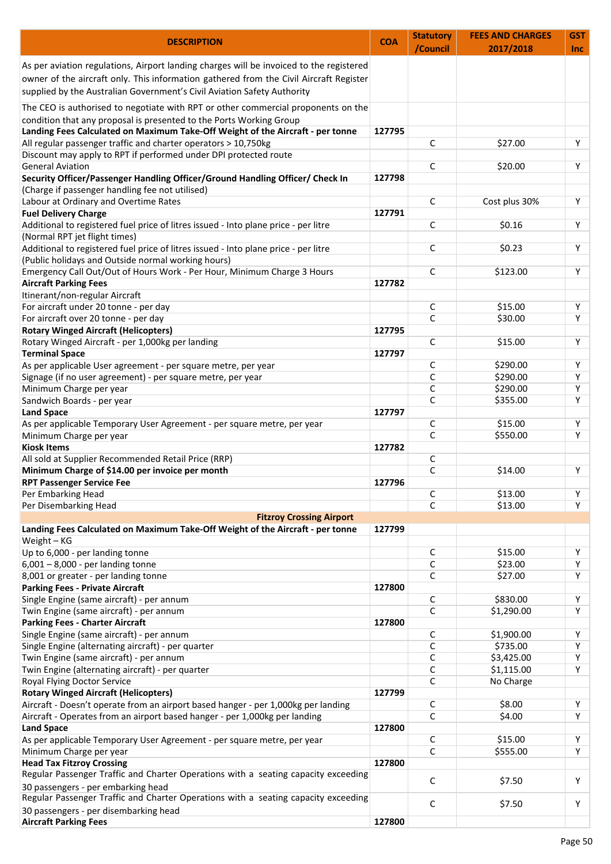| <b>DESCRIPTION</b>                                                                                                          | <b>COA</b> | <b>Statutory</b><br>/Council | <b>FEES AND CHARGES</b><br>2017/2018 | <b>GST</b><br><b>Inc</b> |
|-----------------------------------------------------------------------------------------------------------------------------|------------|------------------------------|--------------------------------------|--------------------------|
| As per aviation regulations, Airport landing charges will be invoiced to the registered                                     |            |                              |                                      |                          |
| owner of the aircraft only. This information gathered from the Civil Aircraft Register                                      |            |                              |                                      |                          |
| supplied by the Australian Government's Civil Aviation Safety Authority                                                     |            |                              |                                      |                          |
| The CEO is authorised to negotiate with RPT or other commercial proponents on the                                           |            |                              |                                      |                          |
| condition that any proposal is presented to the Ports Working Group                                                         |            |                              |                                      |                          |
| Landing Fees Calculated on Maximum Take-Off Weight of the Aircraft - per tonne                                              | 127795     |                              |                                      |                          |
| All regular passenger traffic and charter operators > 10,750kg                                                              |            | С                            | \$27.00                              | Υ                        |
| Discount may apply to RPT if performed under DPI protected route                                                            |            |                              |                                      |                          |
| <b>General Aviation</b>                                                                                                     |            | C                            | \$20.00                              | Υ                        |
| Security Officer/Passenger Handling Officer/Ground Handling Officer/ Check In                                               | 127798     |                              |                                      |                          |
| (Charge if passenger handling fee not utilised)                                                                             |            |                              |                                      |                          |
| Labour at Ordinary and Overtime Rates                                                                                       |            | C                            | Cost plus 30%                        | Υ                        |
| <b>Fuel Delivery Charge</b>                                                                                                 | 127791     |                              |                                      |                          |
| Additional to registered fuel price of litres issued - Into plane price - per litre                                         |            | С                            | \$0.16                               | Υ                        |
| (Normal RPT jet flight times)                                                                                               |            |                              |                                      |                          |
| Additional to registered fuel price of litres issued - Into plane price - per litre                                         |            | C                            | \$0.23                               | Υ                        |
| (Public holidays and Outside normal working hours)                                                                          |            |                              |                                      |                          |
| Emergency Call Out/Out of Hours Work - Per Hour, Minimum Charge 3 Hours                                                     |            | С                            | \$123.00                             | Υ                        |
| <b>Aircraft Parking Fees</b>                                                                                                | 127782     |                              |                                      |                          |
| Itinerant/non-regular Aircraft                                                                                              |            |                              |                                      |                          |
| For aircraft under 20 tonne - per day                                                                                       |            | С                            | \$15.00                              | Υ                        |
| For aircraft over 20 tonne - per day                                                                                        |            | C                            | \$30.00                              | Υ                        |
| <b>Rotary Winged Aircraft (Helicopters)</b>                                                                                 | 127795     |                              |                                      |                          |
| Rotary Winged Aircraft - per 1,000kg per landing                                                                            |            | C                            | \$15.00                              | Υ                        |
| <b>Terminal Space</b>                                                                                                       | 127797     |                              |                                      |                          |
| As per applicable User agreement - per square metre, per year                                                               |            | C                            | \$290.00                             | Υ                        |
| Signage (if no user agreement) - per square metre, per year                                                                 |            | С                            | \$290.00                             | Υ                        |
| Minimum Charge per year                                                                                                     |            | С                            | \$290.00                             | Υ                        |
| Sandwich Boards - per year                                                                                                  |            | C                            | \$355.00                             | Υ                        |
| <b>Land Space</b>                                                                                                           | 127797     |                              |                                      |                          |
| As per applicable Temporary User Agreement - per square metre, per year                                                     |            | C                            | \$15.00                              | Υ                        |
| Minimum Charge per year                                                                                                     |            | C                            | \$550.00                             | Υ                        |
| <b>Kiosk Items</b>                                                                                                          | 127782     |                              |                                      |                          |
| All sold at Supplier Recommended Retail Price (RRP)                                                                         |            | С                            |                                      |                          |
| Minimum Charge of \$14.00 per invoice per month                                                                             |            | C                            | \$14.00                              | Υ                        |
| <b>RPT Passenger Service Fee</b>                                                                                            | 127796     |                              |                                      |                          |
| Per Embarking Head                                                                                                          |            | C                            | \$13.00                              | Y                        |
| Per Disembarking Head                                                                                                       |            | C                            | \$13.00                              | Y                        |
| <b>Fitzroy Crossing Airport</b>                                                                                             |            |                              |                                      |                          |
| Landing Fees Calculated on Maximum Take-Off Weight of the Aircraft - per tonne                                              | 127799     |                              |                                      |                          |
| Weight - KG                                                                                                                 |            |                              |                                      |                          |
| Up to 6,000 - per landing tonne                                                                                             |            | C                            | \$15.00                              | Υ                        |
| $6,001 - 8,000$ - per landing tonne                                                                                         |            | С                            | \$23.00                              | Υ                        |
| 8,001 or greater - per landing tonne                                                                                        |            | C                            | \$27.00                              | Υ                        |
| <b>Parking Fees - Private Aircraft</b>                                                                                      | 127800     |                              |                                      |                          |
| Single Engine (same aircraft) - per annum                                                                                   |            | С                            | \$830.00                             | Υ                        |
| Twin Engine (same aircraft) - per annum                                                                                     |            | С                            | \$1,290.00                           | Υ                        |
| <b>Parking Fees - Charter Aircraft</b>                                                                                      | 127800     |                              |                                      |                          |
| Single Engine (same aircraft) - per annum                                                                                   |            | С                            | \$1,900.00                           | Υ                        |
| Single Engine (alternating aircraft) - per quarter                                                                          |            | C                            | \$735.00                             | Y                        |
| Twin Engine (same aircraft) - per annum                                                                                     |            | C                            | \$3,425.00                           | Υ                        |
| Twin Engine (alternating aircraft) - per quarter                                                                            |            | С                            | \$1,115.00                           | Υ                        |
| Royal Flying Doctor Service                                                                                                 |            | C                            | No Charge                            |                          |
| <b>Rotary Winged Aircraft (Helicopters)</b>                                                                                 | 127799     |                              |                                      |                          |
| Aircraft - Doesn't operate from an airport based hanger - per 1,000kg per landing                                           |            | C                            | \$8.00                               | Υ                        |
| Aircraft - Operates from an airport based hanger - per 1,000kg per landing<br><b>Land Space</b>                             | 127800     | C                            | \$4.00                               | Y                        |
| As per applicable Temporary User Agreement - per square metre, per year                                                     |            | С                            | \$15.00                              | Υ                        |
| Minimum Charge per year                                                                                                     |            | C                            | \$555.00                             | Υ                        |
| <b>Head Tax Fitzroy Crossing</b>                                                                                            | 127800     |                              |                                      |                          |
| Regular Passenger Traffic and Charter Operations with a seating capacity exceeding<br>30 passengers - per embarking head    |            | C                            | \$7.50                               | Y                        |
| Regular Passenger Traffic and Charter Operations with a seating capacity exceeding<br>30 passengers - per disembarking head |            | С                            | \$7.50                               | Υ                        |
| <b>Aircraft Parking Fees</b>                                                                                                | 127800     |                              |                                      |                          |
|                                                                                                                             |            |                              |                                      |                          |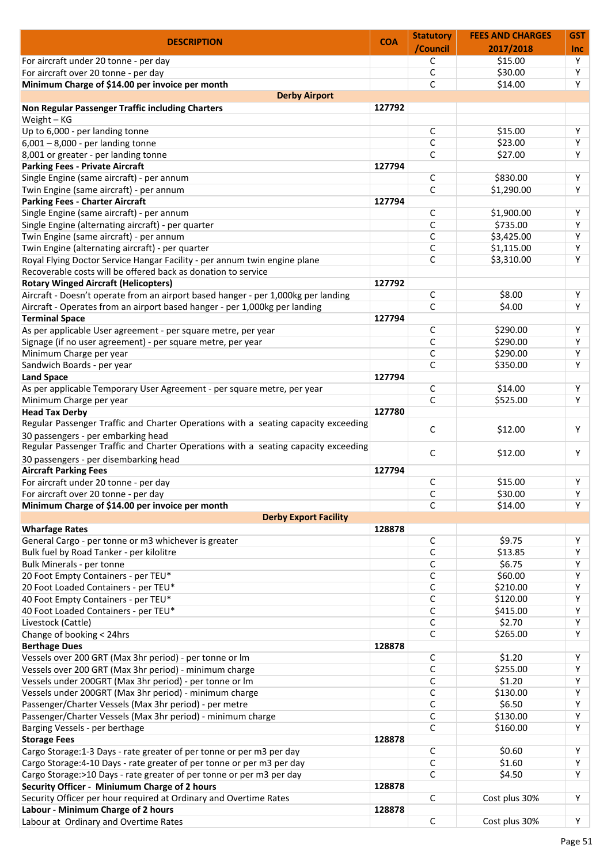| <b>DESCRIPTION</b>                                                                                                                                                                                                                                                                                                                                                                                                                                                                                                                                                                                                                                                                                                                                                                                                                                                                                                                                                                                                                                                                                                                                                                                                                                          | <b>COA</b> | <b>Statutory</b> | <b>FEES AND CHARGES</b> | <b>GST</b> |
|-------------------------------------------------------------------------------------------------------------------------------------------------------------------------------------------------------------------------------------------------------------------------------------------------------------------------------------------------------------------------------------------------------------------------------------------------------------------------------------------------------------------------------------------------------------------------------------------------------------------------------------------------------------------------------------------------------------------------------------------------------------------------------------------------------------------------------------------------------------------------------------------------------------------------------------------------------------------------------------------------------------------------------------------------------------------------------------------------------------------------------------------------------------------------------------------------------------------------------------------------------------|------------|------------------|-------------------------|------------|
|                                                                                                                                                                                                                                                                                                                                                                                                                                                                                                                                                                                                                                                                                                                                                                                                                                                                                                                                                                                                                                                                                                                                                                                                                                                             |            | /Council         | 2017/2018               | <b>Inc</b> |
| For aircraft under 20 tonne - per day                                                                                                                                                                                                                                                                                                                                                                                                                                                                                                                                                                                                                                                                                                                                                                                                                                                                                                                                                                                                                                                                                                                                                                                                                       |            | С                | \$15.00                 | Y          |
| For aircraft over 20 tonne - per day                                                                                                                                                                                                                                                                                                                                                                                                                                                                                                                                                                                                                                                                                                                                                                                                                                                                                                                                                                                                                                                                                                                                                                                                                        |            | C                | \$30.00                 | Υ          |
| Minimum Charge of \$14.00 per invoice per month                                                                                                                                                                                                                                                                                                                                                                                                                                                                                                                                                                                                                                                                                                                                                                                                                                                                                                                                                                                                                                                                                                                                                                                                             |            | C                | \$14.00                 | Y          |
| <b>Derby Airport</b>                                                                                                                                                                                                                                                                                                                                                                                                                                                                                                                                                                                                                                                                                                                                                                                                                                                                                                                                                                                                                                                                                                                                                                                                                                        |            |                  |                         |            |
| Non Regular Passenger Traffic including Charters                                                                                                                                                                                                                                                                                                                                                                                                                                                                                                                                                                                                                                                                                                                                                                                                                                                                                                                                                                                                                                                                                                                                                                                                            | 127792     |                  |                         |            |
| Weight - KG                                                                                                                                                                                                                                                                                                                                                                                                                                                                                                                                                                                                                                                                                                                                                                                                                                                                                                                                                                                                                                                                                                                                                                                                                                                 |            |                  |                         |            |
| Up to 6,000 - per landing tonne                                                                                                                                                                                                                                                                                                                                                                                                                                                                                                                                                                                                                                                                                                                                                                                                                                                                                                                                                                                                                                                                                                                                                                                                                             |            | C                | \$15.00                 | Υ          |
| $6,001 - 8,000$ - per landing tonne                                                                                                                                                                                                                                                                                                                                                                                                                                                                                                                                                                                                                                                                                                                                                                                                                                                                                                                                                                                                                                                                                                                                                                                                                         |            | С                | \$23.00                 | Y          |
| 8,001 or greater - per landing tonne                                                                                                                                                                                                                                                                                                                                                                                                                                                                                                                                                                                                                                                                                                                                                                                                                                                                                                                                                                                                                                                                                                                                                                                                                        |            | C                | \$27.00                 | Y          |
| <b>Parking Fees - Private Aircraft</b>                                                                                                                                                                                                                                                                                                                                                                                                                                                                                                                                                                                                                                                                                                                                                                                                                                                                                                                                                                                                                                                                                                                                                                                                                      | 127794     |                  |                         |            |
| Single Engine (same aircraft) - per annum                                                                                                                                                                                                                                                                                                                                                                                                                                                                                                                                                                                                                                                                                                                                                                                                                                                                                                                                                                                                                                                                                                                                                                                                                   |            | С                | \$830.00                | Υ          |
| Twin Engine (same aircraft) - per annum                                                                                                                                                                                                                                                                                                                                                                                                                                                                                                                                                                                                                                                                                                                                                                                                                                                                                                                                                                                                                                                                                                                                                                                                                     |            | C                | \$1,290.00              | Υ          |
| <b>Parking Fees - Charter Aircraft</b>                                                                                                                                                                                                                                                                                                                                                                                                                                                                                                                                                                                                                                                                                                                                                                                                                                                                                                                                                                                                                                                                                                                                                                                                                      | 127794     |                  |                         |            |
| Single Engine (same aircraft) - per annum                                                                                                                                                                                                                                                                                                                                                                                                                                                                                                                                                                                                                                                                                                                                                                                                                                                                                                                                                                                                                                                                                                                                                                                                                   |            | С                | \$1,900.00              | Y          |
| Single Engine (alternating aircraft) - per quarter                                                                                                                                                                                                                                                                                                                                                                                                                                                                                                                                                                                                                                                                                                                                                                                                                                                                                                                                                                                                                                                                                                                                                                                                          |            | С                | \$735.00                | Y          |
| Twin Engine (same aircraft) - per annum                                                                                                                                                                                                                                                                                                                                                                                                                                                                                                                                                                                                                                                                                                                                                                                                                                                                                                                                                                                                                                                                                                                                                                                                                     |            | C                | \$3,425.00              | Υ          |
|                                                                                                                                                                                                                                                                                                                                                                                                                                                                                                                                                                                                                                                                                                                                                                                                                                                                                                                                                                                                                                                                                                                                                                                                                                                             |            |                  | \$1,115.00              | Υ          |
| Twin Engine (alternating aircraft) - per quarter                                                                                                                                                                                                                                                                                                                                                                                                                                                                                                                                                                                                                                                                                                                                                                                                                                                                                                                                                                                                                                                                                                                                                                                                            |            | С                |                         |            |
| Royal Flying Doctor Service Hangar Facility - per annum twin engine plane                                                                                                                                                                                                                                                                                                                                                                                                                                                                                                                                                                                                                                                                                                                                                                                                                                                                                                                                                                                                                                                                                                                                                                                   |            | C                | \$3,310.00              | Υ          |
| Recoverable costs will be offered back as donation to service                                                                                                                                                                                                                                                                                                                                                                                                                                                                                                                                                                                                                                                                                                                                                                                                                                                                                                                                                                                                                                                                                                                                                                                               |            |                  |                         |            |
| <b>Rotary Winged Aircraft (Helicopters)</b>                                                                                                                                                                                                                                                                                                                                                                                                                                                                                                                                                                                                                                                                                                                                                                                                                                                                                                                                                                                                                                                                                                                                                                                                                 | 127792     |                  |                         |            |
| Aircraft - Doesn't operate from an airport based hanger - per 1,000kg per landing                                                                                                                                                                                                                                                                                                                                                                                                                                                                                                                                                                                                                                                                                                                                                                                                                                                                                                                                                                                                                                                                                                                                                                           |            | С                | \$8.00                  | Υ          |
| Aircraft - Operates from an airport based hanger - per 1,000kg per landing                                                                                                                                                                                                                                                                                                                                                                                                                                                                                                                                                                                                                                                                                                                                                                                                                                                                                                                                                                                                                                                                                                                                                                                  |            | C                | \$4.00                  | Y          |
| <b>Terminal Space</b>                                                                                                                                                                                                                                                                                                                                                                                                                                                                                                                                                                                                                                                                                                                                                                                                                                                                                                                                                                                                                                                                                                                                                                                                                                       | 127794     |                  |                         |            |
| As per applicable User agreement - per square metre, per year                                                                                                                                                                                                                                                                                                                                                                                                                                                                                                                                                                                                                                                                                                                                                                                                                                                                                                                                                                                                                                                                                                                                                                                               |            | С                | \$290.00                | Υ          |
| Signage (if no user agreement) - per square metre, per year                                                                                                                                                                                                                                                                                                                                                                                                                                                                                                                                                                                                                                                                                                                                                                                                                                                                                                                                                                                                                                                                                                                                                                                                 |            | C                | \$290.00                | Y          |
| Minimum Charge per year                                                                                                                                                                                                                                                                                                                                                                                                                                                                                                                                                                                                                                                                                                                                                                                                                                                                                                                                                                                                                                                                                                                                                                                                                                     |            | C                | \$290.00                | Υ          |
| Sandwich Boards - per year                                                                                                                                                                                                                                                                                                                                                                                                                                                                                                                                                                                                                                                                                                                                                                                                                                                                                                                                                                                                                                                                                                                                                                                                                                  |            | C                | \$350.00                | Υ          |
| <b>Land Space</b>                                                                                                                                                                                                                                                                                                                                                                                                                                                                                                                                                                                                                                                                                                                                                                                                                                                                                                                                                                                                                                                                                                                                                                                                                                           | 127794     |                  |                         |            |
| As per applicable Temporary User Agreement - per square metre, per year                                                                                                                                                                                                                                                                                                                                                                                                                                                                                                                                                                                                                                                                                                                                                                                                                                                                                                                                                                                                                                                                                                                                                                                     |            | С                | \$14.00                 | Υ          |
| Minimum Charge per year                                                                                                                                                                                                                                                                                                                                                                                                                                                                                                                                                                                                                                                                                                                                                                                                                                                                                                                                                                                                                                                                                                                                                                                                                                     |            | C                | \$525.00                | Y          |
| <b>Head Tax Derby</b>                                                                                                                                                                                                                                                                                                                                                                                                                                                                                                                                                                                                                                                                                                                                                                                                                                                                                                                                                                                                                                                                                                                                                                                                                                       | 127780     |                  |                         |            |
| Regular Passenger Traffic and Charter Operations with a seating capacity exceeding                                                                                                                                                                                                                                                                                                                                                                                                                                                                                                                                                                                                                                                                                                                                                                                                                                                                                                                                                                                                                                                                                                                                                                          |            |                  |                         |            |
| 30 passengers - per embarking head<br>Regular Passenger Traffic and Charter Operations with a seating capacity exceeding                                                                                                                                                                                                                                                                                                                                                                                                                                                                                                                                                                                                                                                                                                                                                                                                                                                                                                                                                                                                                                                                                                                                    |            | С                | \$12.00                 | Υ          |
| 30 passengers - per disembarking head                                                                                                                                                                                                                                                                                                                                                                                                                                                                                                                                                                                                                                                                                                                                                                                                                                                                                                                                                                                                                                                                                                                                                                                                                       |            | С                | \$12.00                 | Υ          |
| <b>Aircraft Parking Fees</b>                                                                                                                                                                                                                                                                                                                                                                                                                                                                                                                                                                                                                                                                                                                                                                                                                                                                                                                                                                                                                                                                                                                                                                                                                                | 127794     |                  |                         |            |
| For aircraft under 20 tonne - per day                                                                                                                                                                                                                                                                                                                                                                                                                                                                                                                                                                                                                                                                                                                                                                                                                                                                                                                                                                                                                                                                                                                                                                                                                       |            | С                | \$15.00                 | Υ          |
| For aircraft over 20 tonne - per day                                                                                                                                                                                                                                                                                                                                                                                                                                                                                                                                                                                                                                                                                                                                                                                                                                                                                                                                                                                                                                                                                                                                                                                                                        |            | C                | \$30.00                 | Υ          |
| Minimum Charge of \$14.00 per invoice per month                                                                                                                                                                                                                                                                                                                                                                                                                                                                                                                                                                                                                                                                                                                                                                                                                                                                                                                                                                                                                                                                                                                                                                                                             |            | C                | \$14.00                 | Y          |
|                                                                                                                                                                                                                                                                                                                                                                                                                                                                                                                                                                                                                                                                                                                                                                                                                                                                                                                                                                                                                                                                                                                                                                                                                                                             |            |                  |                         |            |
|                                                                                                                                                                                                                                                                                                                                                                                                                                                                                                                                                                                                                                                                                                                                                                                                                                                                                                                                                                                                                                                                                                                                                                                                                                                             |            |                  |                         |            |
| <b>Derby Export Facility</b>                                                                                                                                                                                                                                                                                                                                                                                                                                                                                                                                                                                                                                                                                                                                                                                                                                                                                                                                                                                                                                                                                                                                                                                                                                |            |                  |                         |            |
|                                                                                                                                                                                                                                                                                                                                                                                                                                                                                                                                                                                                                                                                                                                                                                                                                                                                                                                                                                                                                                                                                                                                                                                                                                                             | 128878     |                  |                         |            |
|                                                                                                                                                                                                                                                                                                                                                                                                                                                                                                                                                                                                                                                                                                                                                                                                                                                                                                                                                                                                                                                                                                                                                                                                                                                             |            | С                | \$9.75                  | Υ          |
|                                                                                                                                                                                                                                                                                                                                                                                                                                                                                                                                                                                                                                                                                                                                                                                                                                                                                                                                                                                                                                                                                                                                                                                                                                                             |            | С                | \$13.85                 | Y          |
|                                                                                                                                                                                                                                                                                                                                                                                                                                                                                                                                                                                                                                                                                                                                                                                                                                                                                                                                                                                                                                                                                                                                                                                                                                                             |            | С                | \$6.75                  | Υ          |
|                                                                                                                                                                                                                                                                                                                                                                                                                                                                                                                                                                                                                                                                                                                                                                                                                                                                                                                                                                                                                                                                                                                                                                                                                                                             |            | С                | \$60.00                 | Y          |
|                                                                                                                                                                                                                                                                                                                                                                                                                                                                                                                                                                                                                                                                                                                                                                                                                                                                                                                                                                                                                                                                                                                                                                                                                                                             |            | С                | \$210.00                | Υ          |
|                                                                                                                                                                                                                                                                                                                                                                                                                                                                                                                                                                                                                                                                                                                                                                                                                                                                                                                                                                                                                                                                                                                                                                                                                                                             |            | С                | \$120.00                | Y          |
|                                                                                                                                                                                                                                                                                                                                                                                                                                                                                                                                                                                                                                                                                                                                                                                                                                                                                                                                                                                                                                                                                                                                                                                                                                                             |            | С                | \$415.00                | Y          |
|                                                                                                                                                                                                                                                                                                                                                                                                                                                                                                                                                                                                                                                                                                                                                                                                                                                                                                                                                                                                                                                                                                                                                                                                                                                             |            | С                | \$2.70                  | Y          |
|                                                                                                                                                                                                                                                                                                                                                                                                                                                                                                                                                                                                                                                                                                                                                                                                                                                                                                                                                                                                                                                                                                                                                                                                                                                             |            | C                | \$265.00                | Y          |
|                                                                                                                                                                                                                                                                                                                                                                                                                                                                                                                                                                                                                                                                                                                                                                                                                                                                                                                                                                                                                                                                                                                                                                                                                                                             | 128878     |                  |                         |            |
|                                                                                                                                                                                                                                                                                                                                                                                                                                                                                                                                                                                                                                                                                                                                                                                                                                                                                                                                                                                                                                                                                                                                                                                                                                                             |            | С                | \$1.20                  | Y          |
|                                                                                                                                                                                                                                                                                                                                                                                                                                                                                                                                                                                                                                                                                                                                                                                                                                                                                                                                                                                                                                                                                                                                                                                                                                                             |            | С                | \$255.00                | Y          |
|                                                                                                                                                                                                                                                                                                                                                                                                                                                                                                                                                                                                                                                                                                                                                                                                                                                                                                                                                                                                                                                                                                                                                                                                                                                             |            | С                | \$1.20                  | Y          |
|                                                                                                                                                                                                                                                                                                                                                                                                                                                                                                                                                                                                                                                                                                                                                                                                                                                                                                                                                                                                                                                                                                                                                                                                                                                             |            | С                | \$130.00                | Y          |
|                                                                                                                                                                                                                                                                                                                                                                                                                                                                                                                                                                                                                                                                                                                                                                                                                                                                                                                                                                                                                                                                                                                                                                                                                                                             |            | C                | \$6.50                  | Y          |
|                                                                                                                                                                                                                                                                                                                                                                                                                                                                                                                                                                                                                                                                                                                                                                                                                                                                                                                                                                                                                                                                                                                                                                                                                                                             |            | С                | \$130.00                | Υ          |
|                                                                                                                                                                                                                                                                                                                                                                                                                                                                                                                                                                                                                                                                                                                                                                                                                                                                                                                                                                                                                                                                                                                                                                                                                                                             |            | C                | \$160.00                | Y          |
|                                                                                                                                                                                                                                                                                                                                                                                                                                                                                                                                                                                                                                                                                                                                                                                                                                                                                                                                                                                                                                                                                                                                                                                                                                                             | 128878     |                  |                         |            |
|                                                                                                                                                                                                                                                                                                                                                                                                                                                                                                                                                                                                                                                                                                                                                                                                                                                                                                                                                                                                                                                                                                                                                                                                                                                             |            | С                | \$0.60                  | Υ          |
|                                                                                                                                                                                                                                                                                                                                                                                                                                                                                                                                                                                                                                                                                                                                                                                                                                                                                                                                                                                                                                                                                                                                                                                                                                                             |            | C                | \$1.60                  | Y          |
|                                                                                                                                                                                                                                                                                                                                                                                                                                                                                                                                                                                                                                                                                                                                                                                                                                                                                                                                                                                                                                                                                                                                                                                                                                                             |            | С                | \$4.50                  | Y          |
|                                                                                                                                                                                                                                                                                                                                                                                                                                                                                                                                                                                                                                                                                                                                                                                                                                                                                                                                                                                                                                                                                                                                                                                                                                                             | 128878     |                  |                         |            |
|                                                                                                                                                                                                                                                                                                                                                                                                                                                                                                                                                                                                                                                                                                                                                                                                                                                                                                                                                                                                                                                                                                                                                                                                                                                             |            | C                | Cost plus 30%           | Υ          |
| <b>Wharfage Rates</b><br>General Cargo - per tonne or m3 whichever is greater<br>Bulk fuel by Road Tanker - per kilolitre<br>Bulk Minerals - per tonne<br>20 Foot Empty Containers - per TEU*<br>20 Foot Loaded Containers - per TEU*<br>40 Foot Empty Containers - per TEU*<br>40 Foot Loaded Containers - per TEU*<br>Livestock (Cattle)<br>Change of booking < 24hrs<br><b>Berthage Dues</b><br>Vessels over 200 GRT (Max 3hr period) - per tonne or lm<br>Vessels over 200 GRT (Max 3hr period) - minimum charge<br>Vessels under 200GRT (Max 3hr period) - per tonne or lm<br>Vessels under 200GRT (Max 3hr period) - minimum charge<br>Passenger/Charter Vessels (Max 3hr period) - per metre<br>Passenger/Charter Vessels (Max 3hr period) - minimum charge<br>Barging Vessels - per berthage<br><b>Storage Fees</b><br>Cargo Storage: 1-3 Days - rate greater of per tonne or per m3 per day<br>Cargo Storage: 4-10 Days - rate greater of per tonne or per m3 per day<br>Cargo Storage:>10 Days - rate greater of per tonne or per m3 per day<br>Security Officer - Miniumum Charge of 2 hours<br>Security Officer per hour required at Ordinary and Overtime Rates<br>Labour - Minimum Charge of 2 hours<br>Labour at Ordinary and Overtime Rates | 128878     |                  |                         |            |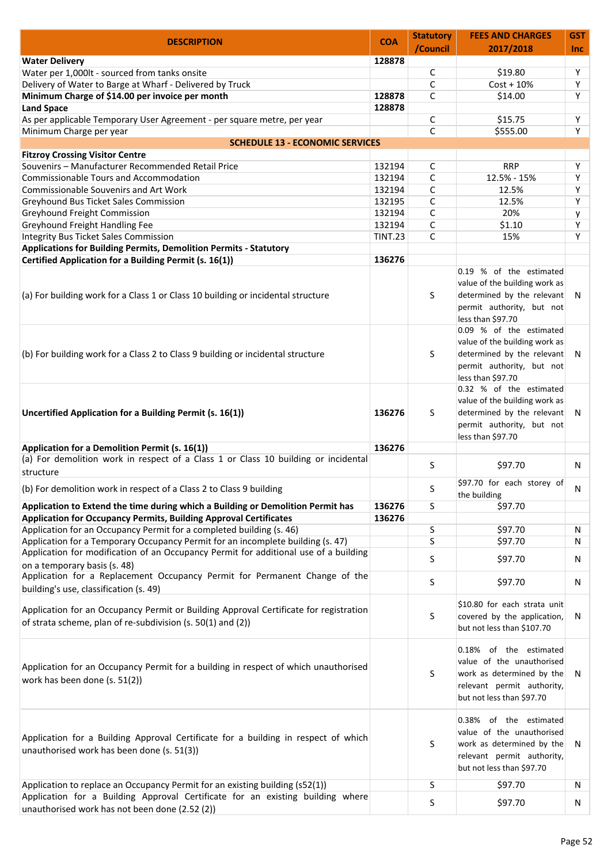| <b>DESCRIPTION</b>                                                                                                                                   | <b>COA</b>     | <b>Statutory</b> | <b>FEES AND CHARGES</b>                                                                                                                     | GST        |
|------------------------------------------------------------------------------------------------------------------------------------------------------|----------------|------------------|---------------------------------------------------------------------------------------------------------------------------------------------|------------|
|                                                                                                                                                      |                | /Council         | 2017/2018                                                                                                                                   | <b>Inc</b> |
| <b>Water Delivery</b>                                                                                                                                | 128878         |                  |                                                                                                                                             |            |
| Water per 1,000lt - sourced from tanks onsite                                                                                                        |                | C                | \$19.80                                                                                                                                     | Y          |
| Delivery of Water to Barge at Wharf - Delivered by Truck                                                                                             |                | C                | $Cost + 10%$                                                                                                                                | Y          |
| Minimum Charge of \$14.00 per invoice per month                                                                                                      | 128878         | C                | \$14.00                                                                                                                                     | Y          |
| <b>Land Space</b>                                                                                                                                    | 128878         |                  |                                                                                                                                             |            |
| As per applicable Temporary User Agreement - per square metre, per year                                                                              |                | С                | \$15.75                                                                                                                                     | Υ          |
| Minimum Charge per year<br><b>SCHEDULE 13 - ECONOMIC SERVICES</b>                                                                                    |                | C                | \$555.00                                                                                                                                    | Y          |
| <b>Fitzroy Crossing Visitor Centre</b>                                                                                                               |                |                  |                                                                                                                                             |            |
| Souvenirs - Manufacturer Recommended Retail Price                                                                                                    | 132194         | C                | <b>RRP</b>                                                                                                                                  | Υ          |
| Commissionable Tours and Accommodation                                                                                                               | 132194         | C                | 12.5% - 15%                                                                                                                                 | Y          |
| Commissionable Souvenirs and Art Work                                                                                                                | 132194         | C                | 12.5%                                                                                                                                       | Y          |
| Greyhound Bus Ticket Sales Commission                                                                                                                | 132195         | C                | 12.5%                                                                                                                                       | Y          |
| Greyhound Freight Commission                                                                                                                         | 132194         | C                | 20%                                                                                                                                         | y          |
| Greyhound Freight Handling Fee                                                                                                                       | 132194         | C                | \$1.10                                                                                                                                      | Υ          |
| <b>Integrity Bus Ticket Sales Commission</b>                                                                                                         | <b>TINT.23</b> | C                | 15%                                                                                                                                         | Y          |
| <b>Applications for Building Permits, Demolition Permits - Statutory</b>                                                                             |                |                  |                                                                                                                                             |            |
| Certified Application for a Building Permit (s. 16(1))                                                                                               | 136276         |                  |                                                                                                                                             |            |
| (a) For building work for a Class 1 or Class 10 building or incidental structure                                                                     |                | S                | 0.19 % of the estimated<br>value of the building work as<br>determined by the relevant N<br>permit authority, but not<br>less than \$97.70  |            |
| (b) For building work for a Class 2 to Class 9 building or incidental structure                                                                      |                | S                | 0.09 % of the estimated<br>value of the building work as<br>determined by the relevant N<br>permit authority, but not<br>less than \$97.70  |            |
| Uncertified Application for a Building Permit (s. 16(1))                                                                                             | 136276         | S                | 0.32 % of the estimated<br>value of the building work as<br>determined by the relevant<br>permit authority, but not<br>less than \$97.70    | - N        |
| Application for a Demolition Permit (s. 16(1))                                                                                                       | 136276         |                  |                                                                                                                                             |            |
| (a) For demolition work in respect of a Class 1 or Class 10 building or incidental                                                                   |                | S                | \$97.70                                                                                                                                     | N          |
| structure<br>(b) For demolition work in respect of a Class 2 to Class 9 building                                                                     |                | S                | \$97.70 for each storey of<br>the building                                                                                                  | N          |
| Application to Extend the time during which a Building or Demolition Permit has                                                                      | 136276         | S                | \$97.70                                                                                                                                     |            |
| <b>Application for Occupancy Permits, Building Approval Certificates</b>                                                                             | 136276         |                  |                                                                                                                                             |            |
| Application for an Occupancy Permit for a completed building (s. 46)                                                                                 |                | S                | \$97.70                                                                                                                                     | N          |
| Application for a Temporary Occupancy Permit for an incomplete building (s. 47)                                                                      |                | S                | \$97.70                                                                                                                                     | N          |
| Application for modification of an Occupancy Permit for additional use of a building                                                                 |                |                  |                                                                                                                                             |            |
| on a temporary basis (s. 48)<br>Application for a Replacement Occupancy Permit for Permanent Change of the                                           |                | S                | \$97.70                                                                                                                                     | N          |
| building's use, classification (s. 49)                                                                                                               |                | S                | \$97.70                                                                                                                                     | N          |
| Application for an Occupancy Permit or Building Approval Certificate for registration<br>of strata scheme, plan of re-subdivision (s. 50(1) and (2)) |                | S                | \$10.80 for each strata unit<br>covered by the application,<br>but not less than \$107.70                                                   | N          |
| Application for an Occupancy Permit for a building in respect of which unauthorised<br>work has been done (s. 51(2))                                 |                | S                | 0.18% of the estimated<br>value of the unauthorised<br>work as determined by the<br>relevant permit authority,<br>but not less than \$97.70 | N          |
| Application for a Building Approval Certificate for a building in respect of which<br>unauthorised work has been done (s. 51(3))                     |                | S                | 0.38% of the estimated<br>value of the unauthorised<br>work as determined by the<br>relevant permit authority,<br>but not less than \$97.70 | N          |
| Application to replace an Occupancy Permit for an existing building (s52(1))                                                                         |                | S                | \$97.70                                                                                                                                     | N          |
| Application for a Building Approval Certificate for an existing building where<br>unauthorised work has not been done (2.52 (2))                     |                | S                | \$97.70                                                                                                                                     | N          |